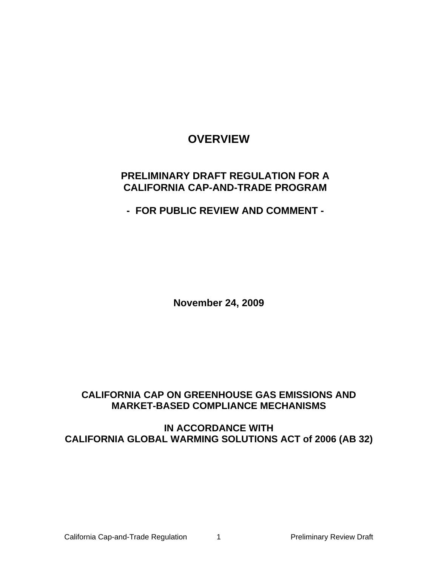# **OVERVIEW**

# **PRELIMINARY DRAFT REGULATION FOR A CALIFORNIA CAP-AND-TRADE PROGRAM**

**- FOR PUBLIC REVIEW AND COMMENT -** 

**November 24, 2009** 

# **CALIFORNIA CAP ON GREENHOUSE GAS EMISSIONS AND MARKET-BASED COMPLIANCE MECHANISMS**

**IN ACCORDANCE WITH CALIFORNIA GLOBAL WARMING SOLUTIONS ACT of 2006 (AB 32)**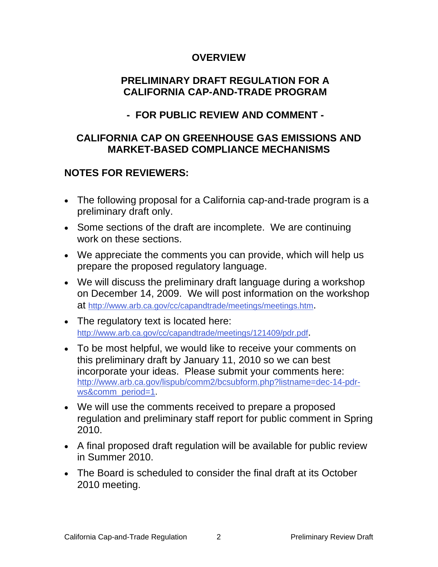# **OVERVIEW**

# **PRELIMINARY DRAFT REGULATION FOR A CALIFORNIA CAP-AND-TRADE PROGRAM**

# **- FOR PUBLIC REVIEW AND COMMENT -**

# **CALIFORNIA CAP ON GREENHOUSE GAS EMISSIONS AND MARKET-BASED COMPLIANCE MECHANISMS**

# **NOTES FOR REVIEWERS:**

- The following proposal for a California cap-and-trade program is a preliminary draft only.
- Some sections of the draft are incomplete. We are continuing work on these sections.
- We appreciate the comments you can provide, which will help us prepare the proposed regulatory language.
- We will discuss the preliminary draft language during a workshop on December 14, 2009. We will post information on the workshop at <http://www.arb.ca.gov/cc/capandtrade/meetings/meetings.htm>.
- The regulatory text is located here: [http://www.arb.ca.gov/cc/capandtrade/meetings/121409/pdr.pdf.](http://www.arb.ca.gov/cc/capandtrade/meetings/121409/pdr.pdf)
- To be most helpful, we would like to receive your comments on this preliminary draft by January 11, 2010 so we can best incorporate your ideas. Please submit your comments here: [http://www.arb.ca.gov/lispub/comm2/bcsubform.php?listname=dec-14-pdr](http://www.arb.ca.gov/lispub/comm2/bcsubform.php?listname=dec-14-pdr-ws&comm_period=1)[ws&comm\\_period=1.](http://www.arb.ca.gov/lispub/comm2/bcsubform.php?listname=dec-14-pdr-ws&comm_period=1)
- We will use the comments received to prepare a proposed regulation and preliminary staff report for public comment in Spring 2010.
- A final proposed draft regulation will be available for public review in Summer 2010.
- The Board is scheduled to consider the final draft at its October 2010 meeting.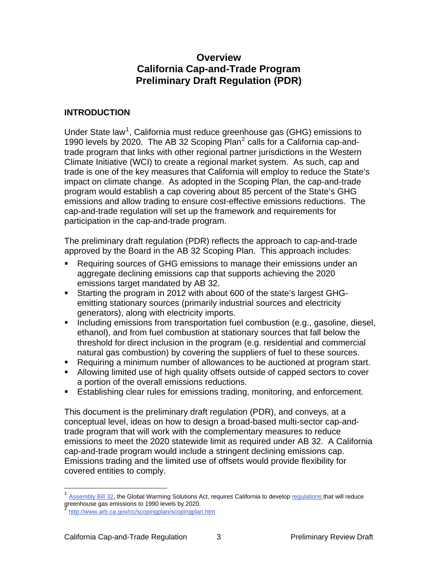# **Overview California Cap-and-Trade Program Preliminary Draft Regulation (PDR)**

## **INTRODUCTION**

Under State law<sup>[1](#page-2-0)</sup>, California must reduce greenhouse gas (GHG) emissions to 1990 levels by [2](#page-2-1)020. The AB 32 Scoping Plan $^2$  calls for a California cap-andtrade program that links with other regional partner jurisdictions in the Western Climate Initiative (WCI) to create a regional market system. As such, cap and trade is one of the key measures that California will employ to reduce the State's impact on climate change. As adopted in the Scoping Plan, the cap-and-trade program would establish a cap covering about 85 percent of the State's GHG emissions and allow trading to ensure cost-effective emissions reductions. The cap-and-trade regulation will set up the framework and requirements for participation in the cap-and-trade program.

The preliminary draft regulation (PDR) reflects the approach to cap-and-trade approved by the Board in the AB 32 Scoping Plan. This approach includes:

- Requiring sources of GHG emissions to manage their emissions under an aggregate declining emissions cap that supports achieving the 2020 emissions target mandated by AB 32.
- Starting the program in 2012 with about 600 of the state's largest GHGemitting stationary sources (primarily industrial sources and electricity generators), along with electricity imports.
- **Including emissions from transportation fuel combustion (e.g., gasoline, diesel,** ethanol), and from fuel combustion at stationary sources that fall below the threshold for direct inclusion in the program (e.g. residential and commercial natural gas combustion) by covering the suppliers of fuel to these sources.
- Requiring a minimum number of allowances to be auctioned at program start.
- Allowing limited use of high quality offsets outside of capped sectors to cover a portion of the overall emissions reductions.
- Establishing clear rules for emissions trading, monitoring, and enforcement.

This document is the preliminary draft regulation (PDR), and conveys, at a conceptual level, ideas on how to design a broad-based multi-sector cap-andtrade program that will work with the complementary measures to reduce emissions to meet the 2020 statewide limit as required under AB 32. A California cap-and-trade program would include a stringent declining emissions cap. Emissions trading and the limited use of offsets would provide flexibility for covered entities to comply.

 $\overline{a}$ 

<span id="page-2-0"></span>[Assembly Bill 32,](http://www.arb.ca.gov/cc/ab32/ab32.htm) the Global Warming Solutions Act, requires California to develop [regulations](http://www.arb.ca.gov/cc/scopingplan/sp_measures_implementation_timeline.pdf) that will reduce greenhouse gas emissions to 1990 levels by 2020.

<span id="page-2-1"></span><http://www.arb.ca.gov/cc/scopingplan/scopingplan.htm>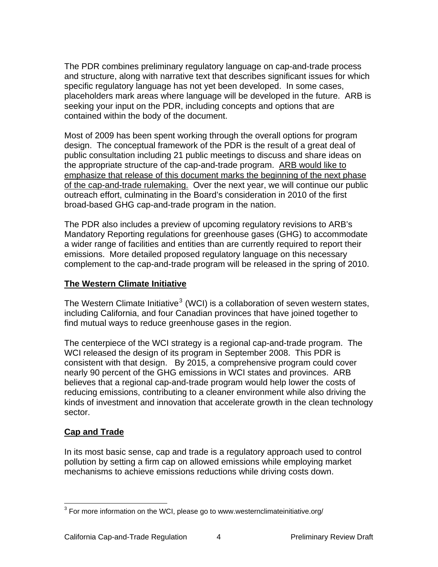The PDR combines preliminary regulatory language on cap-and-trade process and structure, along with narrative text that describes significant issues for which specific regulatory language has not yet been developed. In some cases, placeholders mark areas where language will be developed in the future. ARB is seeking your input on the PDR, including concepts and options that are contained within the body of the document.

Most of 2009 has been spent working through the overall options for program design. The conceptual framework of the PDR is the result of a great deal of public consultation including 21 public meetings to discuss and share ideas on the appropriate structure of the cap-and-trade program. ARB would like to emphasize that release of this document marks the beginning of the next phase of the cap-and-trade rulemaking. Over the next year, we will continue our public outreach effort, culminating in the Board's consideration in 2010 of the first broad-based GHG cap-and-trade program in the nation.

The PDR also includes a preview of upcoming regulatory revisions to ARB's Mandatory Reporting regulations for greenhouse gases (GHG) to accommodate a wider range of facilities and entities than are currently required to report their emissions. More detailed proposed regulatory language on this necessary complement to the cap-and-trade program will be released in the spring of 2010.

## **The Western Climate Initiative**

The Western Climate Initiative<sup>[3](#page-3-0)</sup> (WCI) is a collaboration of seven western states, including California, and four Canadian provinces that have joined together to find mutual ways to reduce greenhouse gases in the region.

The centerpiece of the WCI strategy is a regional cap-and-trade program. The WCI released the design of its program in September 2008. This PDR is consistent with that design. By 2015, a comprehensive program could cover nearly 90 percent of the GHG emissions in WCI states and provinces. ARB believes that a regional cap-and-trade program would help lower the costs of reducing emissions, contributing to a cleaner environment while also driving the kinds of investment and innovation that accelerate growth in the clean technology sector.

# **Cap and Trade**

 $\overline{a}$ 

In its most basic sense, cap and trade is a regulatory approach used to control pollution by setting a firm cap on allowed emissions while employing market mechanisms to achieve emissions reductions while driving costs down.

<span id="page-3-0"></span> $3$  For more information on the WCI, please go to [www.westernclimateinitiative.org/](http://www.westernclimateinitiative.org/)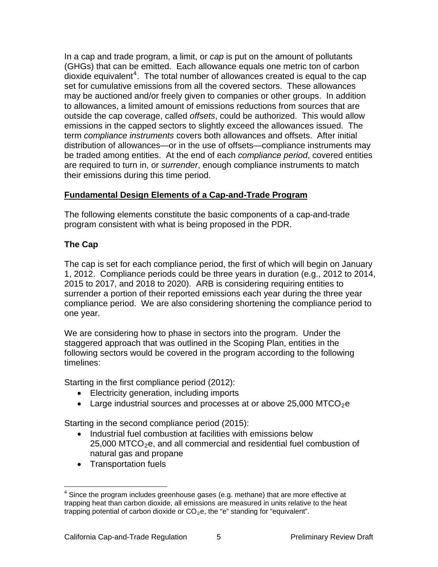In a cap and trade program, a limit, or *cap* is put on the amount of pollutants (GHGs) that can be emitted. Each allowance equals one metric ton of carbon dioxide equivalent<sup>[4](#page-4-0)</sup>. The total number of allowances created is equal to the cap set for cumulative emissions from all the covered sectors. These allowances may be auctioned and/or freely given to companies or other groups. In addition to allowances, a limited amount of emissions reductions from sources that are outside the cap coverage, called *offsets*, could be authorized. This would allow emissions in the capped sectors to slightly exceed the allowances issued. The term *compliance instruments* covers both allowances and offsets. After initial distribution of allowances—or in the use of offsets—compliance instruments may be traded among entities. At the end of each *compliance period*, covered entities are required to turn in, or *surrender*, enough compliance instruments to match their emissions during this time period.

# **Fundamental Design Elements of a Cap-and-Trade Program**

The following elements constitute the basic components of a cap-and-trade program consistent with what is being proposed in the PDR.

# **The Cap**

The cap is set for each compliance period, the first of which will begin on January 1, 2012. Compliance periods could be three years in duration (e.g., 2012 to 2014, 2015 to 2017, and 2018 to 2020). ARB is considering requiring entities to surrender a portion of their reported emissions each year during the three year compliance period. We are also considering shortening the compliance period to one year.

We are considering how to phase in sectors into the program. Under the staggered approach that was outlined in the Scoping Plan, entities in the following sectors would be covered in the program according to the following timelines:

Starting in the first compliance period (2012):

- Electricity generation, including imports
- Large industrial sources and processes at or above 25,000 MTCO<sub>2</sub>e

Starting in the second compliance period (2015):

- Industrial fuel combustion at facilities with emissions below 25,000 MTCO<sub>2</sub>e, and all commercial and residential fuel combustion of natural gas and propane
- Transportation fuels

<span id="page-4-0"></span> $\overline{a}$  $4$  Since the program includes greenhouse gases (e.g. methane) that are more effective at trapping heat than carbon dioxide, all emissions are measured in units relative to the heat trapping potential of carbon dioxide or  $CO<sub>2</sub>e$ , the "e" standing for "equivalent".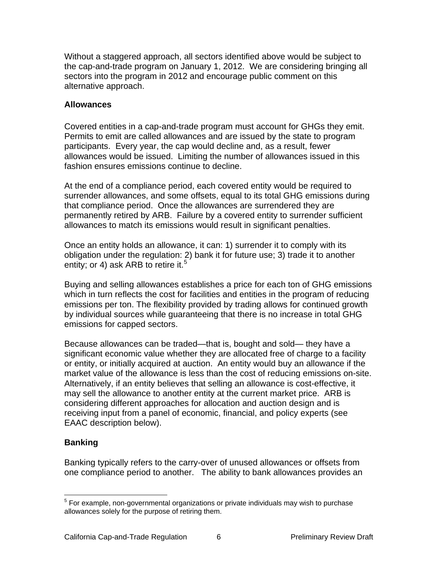Without a staggered approach, all sectors identified above would be subject to the cap-and-trade program on January 1, 2012. We are considering bringing all sectors into the program in 2012 and encourage public comment on this alternative approach.

#### **Allowances**

Covered entities in a cap-and-trade program must account for GHGs they emit. Permits to emit are called allowances and are issued by the state to program participants. Every year, the cap would decline and, as a result, fewer allowances would be issued. Limiting the number of allowances issued in this fashion ensures emissions continue to decline.

At the end of a compliance period, each covered entity would be required to surrender allowances, and some offsets, equal to its total GHG emissions during that compliance period. Once the allowances are surrendered they are permanently retired by ARB. Failure by a covered entity to surrender sufficient allowances to match its emissions would result in significant penalties.

Once an entity holds an allowance, it can: 1) surrender it to comply with its obligation under the regulation: 2) bank it for future use; 3) trade it to another entity; or 4) ask ARB to retire it.<sup>[5](#page-5-0)</sup>

Buying and selling allowances establishes a price for each ton of GHG emissions which in turn reflects the cost for facilities and entities in the program of reducing emissions per ton. The flexibility provided by trading allows for continued growth by individual sources while guaranteeing that there is no increase in total GHG emissions for capped sectors.

Because allowances can be traded—that is, bought and sold— they have a significant economic value whether they are allocated free of charge to a facility or entity, or initially acquired at auction. An entity would buy an allowance if the market value of the allowance is less than the cost of reducing emissions on-site. Alternatively, if an entity believes that selling an allowance is cost-effective, it may sell the allowance to another entity at the current market price. ARB is considering different approaches for allocation and auction design and is receiving input from a panel of economic, financial, and policy experts (see EAAC description below).

# **Banking**

Banking typically refers to the carry-over of unused allowances or offsets from one compliance period to another. The ability to bank allowances provides an

<span id="page-5-0"></span> 5 For example, non-governmental organizations or private individuals may wish to purchase allowances solely for the purpose of retiring them.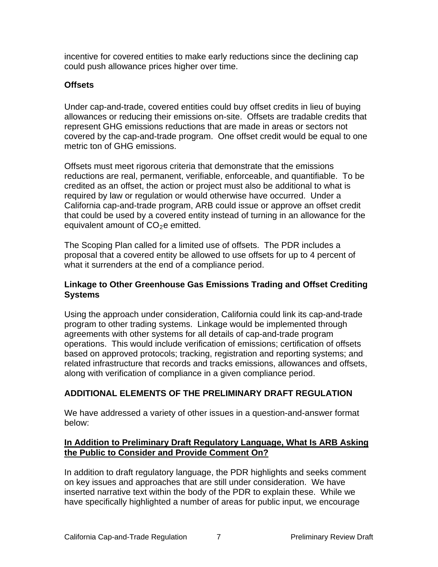incentive for covered entities to make early reductions since the declining cap could push allowance prices higher over time.

# **Offsets**

Under cap-and-trade, covered entities could buy offset credits in lieu of buying allowances or reducing their emissions on-site. Offsets are tradable credits that represent GHG emissions reductions that are made in areas or sectors not covered by the cap-and-trade program. One offset credit would be equal to one metric ton of GHG emissions.

Offsets must meet rigorous criteria that demonstrate that the emissions reductions are real, permanent, verifiable, enforceable, and quantifiable. To be credited as an offset, the action or project must also be additional to what is required by law or regulation or would otherwise have occurred. Under a California cap-and-trade program, ARB could issue or approve an offset credit that could be used by a covered entity instead of turning in an allowance for the equivalent amount of  $CO<sub>2</sub>e$  emitted.

The Scoping Plan called for a limited use of offsets. The PDR includes a proposal that a covered entity be allowed to use offsets for up to 4 percent of what it surrenders at the end of a compliance period.

## **Linkage to Other Greenhouse Gas Emissions Trading and Offset Crediting Systems**

Using the approach under consideration, California could link its cap-and-trade program to other trading systems. Linkage would be implemented through agreements with other systems for all details of cap-and-trade program operations. This would include verification of emissions; certification of offsets based on approved protocols; tracking, registration and reporting systems; and related infrastructure that records and tracks emissions, allowances and offsets, along with verification of compliance in a given compliance period.

# **ADDITIONAL ELEMENTS OF THE PRELIMINARY DRAFT REGULATION**

We have addressed a variety of other issues in a question-and-answer format below:

## **In Addition to Preliminary Draft Regulatory Language, What Is ARB Asking the Public to Consider and Provide Comment On?**

In addition to draft regulatory language, the PDR highlights and seeks comment on key issues and approaches that are still under consideration. We have inserted narrative text within the body of the PDR to explain these. While we have specifically highlighted a number of areas for public input, we encourage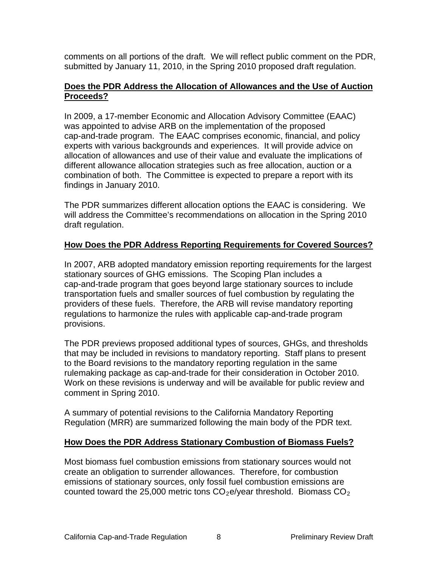comments on all portions of the draft. We will reflect public comment on the PDR, submitted by January 11, 2010, in the Spring 2010 proposed draft regulation.

## **Does the PDR Address the Allocation of Allowances and the Use of Auction Proceeds?**

In 2009, a 17-member Economic and Allocation Advisory Committee (EAAC) was appointed to advise ARB on the implementation of the proposed cap-and-trade program. The EAAC comprises economic, financial, and policy experts with various backgrounds and experiences. It will provide advice on allocation of allowances and use of their value and evaluate the implications of different allowance allocation strategies such as free allocation, auction or a combination of both. The Committee is expected to prepare a report with its findings in January 2010.

The PDR summarizes different allocation options the EAAC is considering. We will address the Committee's recommendations on allocation in the Spring 2010 draft regulation.

# **How Does the PDR Address Reporting Requirements for Covered Sources?**

In 2007, ARB adopted mandatory emission reporting requirements for the largest stationary sources of GHG emissions. The Scoping Plan includes a cap-and-trade program that goes beyond large stationary sources to include transportation fuels and smaller sources of fuel combustion by regulating the providers of these fuels. Therefore, the ARB will revise mandatory reporting regulations to harmonize the rules with applicable cap-and-trade program provisions.

The PDR previews proposed additional types of sources, GHGs, and thresholds that may be included in revisions to mandatory reporting. Staff plans to present to the Board revisions to the mandatory reporting regulation in the same rulemaking package as cap-and-trade for their consideration in October 2010. Work on these revisions is underway and will be available for public review and comment in Spring 2010.

A summary of potential revisions to the California Mandatory Reporting Regulation (MRR) are summarized following the main body of the PDR text.

# **How Does the PDR Address Stationary Combustion of Biomass Fuels?**

Most biomass fuel combustion emissions from stationary sources would not create an obligation to surrender allowances. Therefore, for combustion emissions of stationary sources, only fossil fuel combustion emissions are counted toward the 25,000 metric tons  $CO<sub>2</sub>e/year$  threshold. Biomass  $CO<sub>2</sub>$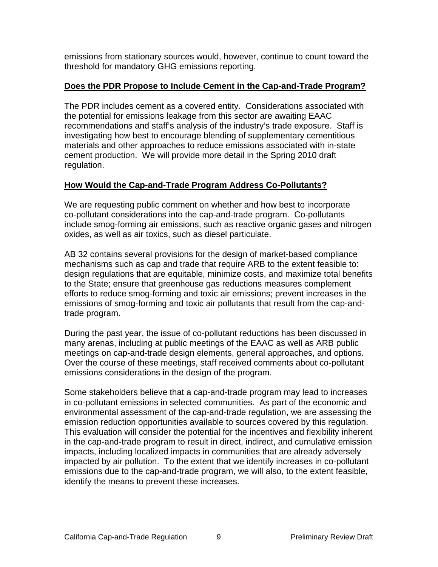emissions from stationary sources would, however, continue to count toward the threshold for mandatory GHG emissions reporting.

## **Does the PDR Propose to Include Cement in the Cap-and-Trade Program?**

The PDR includes cement as a covered entity. Considerations associated with the potential for emissions leakage from this sector are awaiting EAAC recommendations and staff's analysis of the industry's trade exposure. Staff is investigating how best to encourage blending of supplementary cementitious materials and other approaches to reduce emissions associated with in-state cement production. We will provide more detail in the Spring 2010 draft regulation.

# **How Would the Cap-and-Trade Program Address Co-Pollutants?**

We are requesting public comment on whether and how best to incorporate co-pollutant considerations into the cap-and-trade program. Co-pollutants include smog-forming air emissions, such as reactive organic gases and nitrogen oxides, as well as air toxics, such as diesel particulate.

AB 32 contains several provisions for the design of market-based compliance mechanisms such as cap and trade that require ARB to the extent feasible to: design regulations that are equitable, minimize costs, and maximize total benefits to the State; ensure that greenhouse gas reductions measures complement efforts to reduce smog-forming and toxic air emissions; prevent increases in the emissions of smog-forming and toxic air pollutants that result from the cap-andtrade program.

During the past year, the issue of co-pollutant reductions has been discussed in many arenas, including at public meetings of the EAAC as well as ARB public meetings on cap-and-trade design elements, general approaches, and options. Over the course of these meetings, staff received comments about co-pollutant emissions considerations in the design of the program.

Some stakeholders believe that a cap-and-trade program may lead to increases in co-pollutant emissions in selected communities. As part of the economic and environmental assessment of the cap-and-trade regulation, we are assessing the emission reduction opportunities available to sources covered by this regulation. This evaluation will consider the potential for the incentives and flexibility inherent in the cap-and-trade program to result in direct, indirect, and cumulative emission impacts, including localized impacts in communities that are already adversely impacted by air pollution. To the extent that we identify increases in co-pollutant emissions due to the cap-and-trade program, we will also, to the extent feasible, identify the means to prevent these increases.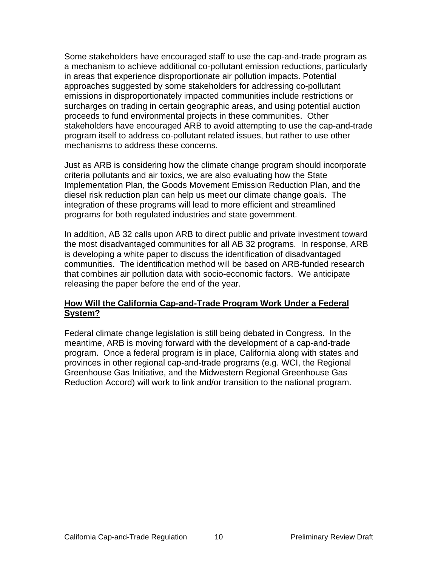Some stakeholders have encouraged staff to use the cap-and-trade program as a mechanism to achieve additional co-pollutant emission reductions, particularly in areas that experience disproportionate air pollution impacts. Potential approaches suggested by some stakeholders for addressing co-pollutant emissions in disproportionately impacted communities include restrictions or surcharges on trading in certain geographic areas, and using potential auction proceeds to fund environmental projects in these communities. Other stakeholders have encouraged ARB to avoid attempting to use the cap-and-trade program itself to address co-pollutant related issues, but rather to use other mechanisms to address these concerns.

Just as ARB is considering how the climate change program should incorporate criteria pollutants and air toxics, we are also evaluating how the State Implementation Plan, the Goods Movement Emission Reduction Plan, and the diesel risk reduction plan can help us meet our climate change goals. The integration of these programs will lead to more efficient and streamlined programs for both regulated industries and state government.

In addition, AB 32 calls upon ARB to direct public and private investment toward the most disadvantaged communities for all AB 32 programs. In response, ARB is developing a white paper to discuss the identification of disadvantaged communities. The identification method will be based on ARB-funded research that combines air pollution data with socio-economic factors. We anticipate releasing the paper before the end of the year.

## **How Will the California Cap-and-Trade Program Work Under a Federal System?**

Federal climate change legislation is still being debated in Congress. In the meantime, ARB is moving forward with the development of a cap-and-trade program. Once a federal program is in place, California along with states and provinces in other regional cap-and-trade programs (e.g. WCI, the Regional Greenhouse Gas Initiative, and the Midwestern Regional Greenhouse Gas Reduction Accord) will work to link and/or transition to the national program.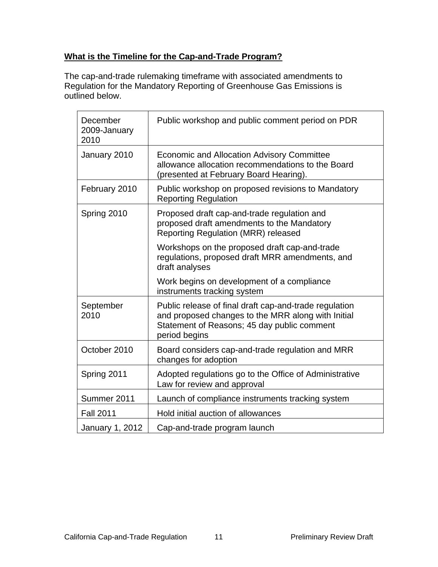# **What is the Timeline for the Cap-and-Trade Program?**

The cap-and-trade rulemaking timeframe with associated amendments to Regulation for the Mandatory Reporting of Greenhouse Gas Emissions is outlined below.

| December<br>2009-January<br>2010 | Public workshop and public comment period on PDR                                                                                                                             |
|----------------------------------|------------------------------------------------------------------------------------------------------------------------------------------------------------------------------|
| January 2010                     | <b>Economic and Allocation Advisory Committee</b><br>allowance allocation recommendations to the Board<br>(presented at February Board Hearing).                             |
| February 2010                    | Public workshop on proposed revisions to Mandatory<br><b>Reporting Regulation</b>                                                                                            |
| Spring 2010                      | Proposed draft cap-and-trade regulation and<br>proposed draft amendments to the Mandatory<br><b>Reporting Regulation (MRR) released</b>                                      |
|                                  | Workshops on the proposed draft cap-and-trade<br>regulations, proposed draft MRR amendments, and<br>draft analyses                                                           |
|                                  | Work begins on development of a compliance<br>instruments tracking system                                                                                                    |
| September<br>2010                | Public release of final draft cap-and-trade regulation<br>and proposed changes to the MRR along with Initial<br>Statement of Reasons; 45 day public comment<br>period begins |
| October 2010                     | Board considers cap-and-trade regulation and MRR<br>changes for adoption                                                                                                     |
| Spring 2011                      | Adopted regulations go to the Office of Administrative<br>Law for review and approval                                                                                        |
| Summer 2011                      | Launch of compliance instruments tracking system                                                                                                                             |
| <b>Fall 2011</b>                 | Hold initial auction of allowances                                                                                                                                           |
| January 1, 2012                  | Cap-and-trade program launch                                                                                                                                                 |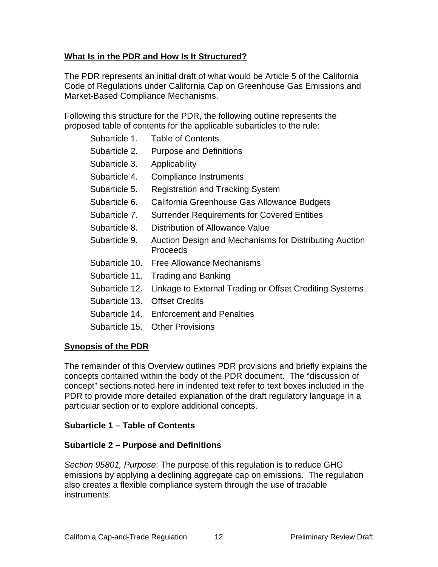# **What Is in the PDR and How Is It Structured?**

The PDR represents an initial draft of what would be Article 5 of the California Code of Regulations under California Cap on Greenhouse Gas Emissions and Market-Based Compliance Mechanisms.

Following this structure for the PDR, the following outline represents the proposed table of contents for the applicable subarticles to the rule:

- Subarticle 1. Table of Contents
- Subarticle 2. Purpose and Definitions
- Subarticle 3. Applicability
- Subarticle 4. Compliance Instruments
- Subarticle 5. Registration and Tracking System
- Subarticle 6. California Greenhouse Gas Allowance Budgets
- Subarticle 7. Surrender Requirements for Covered Entities
- Subarticle 8. Distribution of Allowance Value
- Subarticle 9. Auction Design and Mechanisms for Distributing Auction Proceeds
- Subarticle 10. Free Allowance Mechanisms
- Subarticle 11. Trading and Banking
- Subarticle 12. Linkage to External Trading or Offset Crediting Systems
- Subarticle 13. Offset Credits
- Subarticle 14. Enforcement and Penalties
- Subarticle 15. Other Provisions

# **Synopsis of the PDR**

The remainder of this Overview outlines PDR provisions and briefly explains the concepts contained within the body of the PDR document. The "discussion of concept" sections noted here in indented text refer to text boxes included in the PDR to provide more detailed explanation of the draft regulatory language in a particular section or to explore additional concepts.

# **Subarticle 1 – Table of Contents**

# **Subarticle 2 – Purpose and Definitions**

*Section 95801, Purpose*: The purpose of this regulation is to reduce GHG emissions by applying a declining aggregate cap on emissions. The regulation also creates a flexible compliance system through the use of tradable instruments.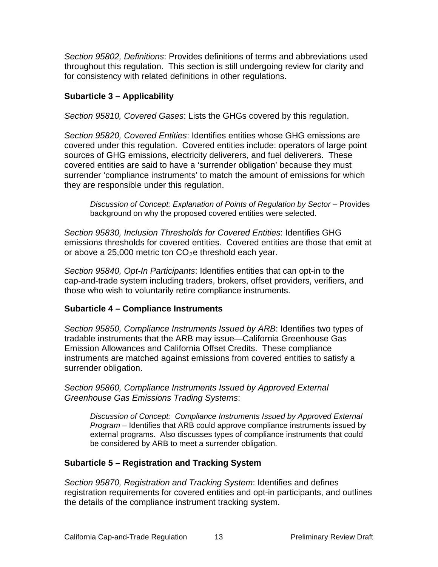*Section 95802, Definitions*: Provides definitions of terms and abbreviations used throughout this regulation. This section is still undergoing review for clarity and for consistency with related definitions in other regulations.

## **Subarticle 3 – Applicability**

*Section 95810, Covered Gases*: Lists the GHGs covered by this regulation.

*Section 95820, Covered Entities*: Identifies entities whose GHG emissions are covered under this regulation. Covered entities include: operators of large point sources of GHG emissions, electricity deliverers, and fuel deliverers. These covered entities are said to have a 'surrender obligation' because they must surrender 'compliance instruments' to match the amount of emissions for which they are responsible under this regulation.

*Discussion of Concept: Explanation of Points of Regulation by Sector* – Provides background on why the proposed covered entities were selected.

*Section 95830, Inclusion Thresholds for Covered Entities*: Identifies GHG emissions thresholds for covered entities. Covered entities are those that emit at or above a 25,000 metric ton  $CO<sub>2</sub>e$  threshold each year.

*Section 95840, Opt-In Participants*: Identifies entities that can opt-in to the cap-and-trade system including traders, brokers, offset providers, verifiers, and those who wish to voluntarily retire compliance instruments.

#### **Subarticle 4 – Compliance Instruments**

*Section 95850, Compliance Instruments Issued by ARB*: Identifies two types of tradable instruments that the ARB may issue—California Greenhouse Gas Emission Allowances and California Offset Credits. These compliance instruments are matched against emissions from covered entities to satisfy a surrender obligation.

*Section 95860, Compliance Instruments Issued by Approved External Greenhouse Gas Emissions Trading Systems*:

*Discussion of Concept: Compliance Instruments Issued by Approved External Program* – Identifies that ARB could approve compliance instruments issued by external programs. Also discusses types of compliance instruments that could be considered by ARB to meet a surrender obligation.

# **Subarticle 5 – Registration and Tracking System**

*Section 95870, Registration and Tracking System*: Identifies and defines registration requirements for covered entities and opt-in participants, and outlines the details of the compliance instrument tracking system.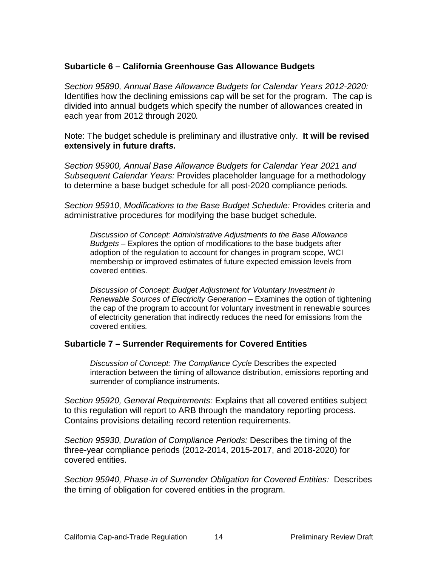#### **Subarticle 6 – California Greenhouse Gas Allowance Budgets**

*Section 95890, Annual Base Allowance Budgets for Calendar Years 2012-2020:*  Identifies how the declining emissions cap will be set for the program. The cap is divided into annual budgets which specify the number of allowances created in each year from 2012 through 2020*.* 

Note: The budget schedule is preliminary and illustrative only. **It will be revised extensively in future draft***s.* 

*Section 95900, Annual Base Allowance Budgets for Calendar Year 2021 and Subsequent Calendar Years:* Provides placeholder language for a methodology to determine a base budget schedule for all post-2020 compliance periods*.*

*Section 95910, Modifications to the Base Budget Schedule:* Provides criteria and administrative procedures for modifying the base budget schedule*.* 

*Discussion of Concept: Administrative Adjustments to the Base Allowance Budgets –* Explores the option of modifications to the base budgets after adoption of the regulation to account for changes in program scope, WCI membership or improved estimates of future expected emission levels from covered entities.

*Discussion of Concept: Budget Adjustment for Voluntary Investment in Renewable Sources of Electricity Generation –* Examines the option of tightening the cap of the program to account for voluntary investment in renewable sources of electricity generation that indirectly reduces the need for emissions from the covered entities*.* 

#### **Subarticle 7 – Surrender Requirements for Covered Entities**

**Discussion of Concept: The Compliance Cycle Describes the expected** interaction between the timing of allowance distribution, emissions reporting and surrender of compliance instruments.

*Section 95920, General Requirements:* Explains that all covered entities subject to this regulation will report to ARB through the mandatory reporting process. Contains provisions detailing record retention requirements.

*Section 95930, Duration of Compliance Periods:* Describes the timing of the three-year compliance periods (2012-2014, 2015-2017, and 2018-2020) for covered entities.

*Section 95940, Phase-in of Surrender Obligation for Covered Entities:* Describes the timing of obligation for covered entities in the program.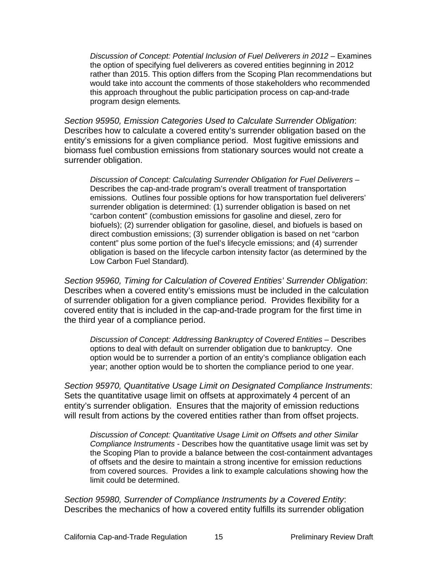*Discussion of Concept: Potential Inclusion of Fuel Deliverers in 2012 – Examines* the option of specifying fuel deliverers as covered entities beginning in 2012 rather than 2015. This option differs from the Scoping Plan recommendations but would take into account the comments of those stakeholders who recommended this approach throughout the public participation process on cap-and-trade program design elements*.* 

*Section 95950, Emission Categories Used to Calculate Surrender Obligation*: Describes how to calculate a covered entity's surrender obligation based on the entity's emissions for a given compliance period. Most fugitive emissions and biomass fuel combustion emissions from stationary sources would not create a surrender obligation.

*Discussion of Concept: Calculating Surrender Obligation for Fuel Deliverers –*  Describes the cap-and-trade program's overall treatment of transportation emissions. Outlines four possible options for how transportation fuel deliverers' surrender obligation is determined: (1) surrender obligation is based on net "carbon content" (combustion emissions for gasoline and diesel, zero for biofuels); (2) surrender obligation for gasoline, diesel, and biofuels is based on direct combustion emissions; (3) surrender obligation is based on net "carbon content" plus some portion of the fuel's lifecycle emissions; and (4) surrender obligation is based on the lifecycle carbon intensity factor (as determined by the Low Carbon Fuel Standard)*.* 

*Section 95960, Timing for Calculation of Covered Entities' Surrender Obligation*: Describes when a covered entity's emissions must be included in the calculation of surrender obligation for a given compliance period. Provides flexibility for a covered entity that is included in the cap-and-trade program for the first time in the third year of a compliance period.

*Discussion of Concept: Addressing Bankruptcy of Covered Entities* – Describes options to deal with default on surrender obligation due to bankruptcy. One option would be to surrender a portion of an entity's compliance obligation each year; another option would be to shorten the compliance period to one year.

*Section 95970, Quantitative Usage Limit on Designated Compliance Instruments*: Sets the quantitative usage limit on offsets at approximately 4 percent of an entity's surrender obligation. Ensures that the majority of emission reductions will result from actions by the covered entities rather than from offset projects.

*Discussion of Concept: Quantitative Usage Limit on Offsets and other Similar Compliance Instruments* - Describes how the quantitative usage limit was set by the Scoping Plan to provide a balance between the cost-containment advantages of offsets and the desire to maintain a strong incentive for emission reductions from covered sources. Provides a link to example calculations showing how the limit could be determined.

*Section 95980, Surrender of Compliance Instruments by a Covered Entity*: Describes the mechanics of how a covered entity fulfills its surrender obligation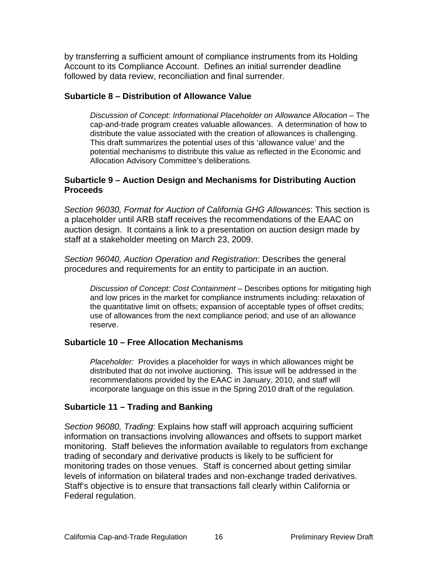by transferring a sufficient amount of compliance instruments from its Holding Account to its Compliance Account. Defines an initial surrender deadline followed by data review, reconciliation and final surrender.

#### **Subarticle 8 – Distribution of Allowance Value**

*Discussion of Concept: Informational Placeholder on Allowance Allocation* – The cap-and-trade program creates valuable allowances. A determination of how to distribute the value associated with the creation of allowances is challenging. This draft summarizes the potential uses of this 'allowance value' and the potential mechanisms to distribute this value as reflected in the Economic and Allocation Advisory Committee's deliberations*.* 

## **Subarticle 9 – Auction Design and Mechanisms for Distributing Auction Proceeds**

*Section 96030, Format for Auction of California GHG Allowances*: This section is a placeholder until ARB staff receives the recommendations of the EAAC on auction design. It contains a link to a presentation on auction design made by staff at a stakeholder meeting on March 23, 2009.

*Section 96040, Auction Operation and Registration*: Describes the general procedures and requirements for an entity to participate in an auction.

*Discussion of Concept: Cost Containment –* Describes options for mitigating high and low prices in the market for compliance instruments including: relaxation of the quantitative limit on offsets; expansion of acceptable types of offset credits; use of allowances from the next compliance period; and use of an allowance reserve.

# **Subarticle 10 – Free Allocation Mechanisms**

*Placeholder:* Provides a placeholder for ways in which allowances might be distributed that do not involve auctioning. This issue will be addressed in the recommendations provided by the EAAC in January, 2010, and staff will incorporate language on this issue in the Spring 2010 draft of the regulation*.* 

# **Subarticle 11 – Trading and Banking**

*Section 96080, Trading*: Explains how staff will approach acquiring sufficient information on transactions involving allowances and offsets to support market monitoring. Staff believes the information available to regulators from exchange trading of secondary and derivative products is likely to be sufficient for monitoring trades on those venues. Staff is concerned about getting similar levels of information on bilateral trades and non-exchange traded derivatives. Staff's objective is to ensure that transactions fall clearly within California or Federal regulation.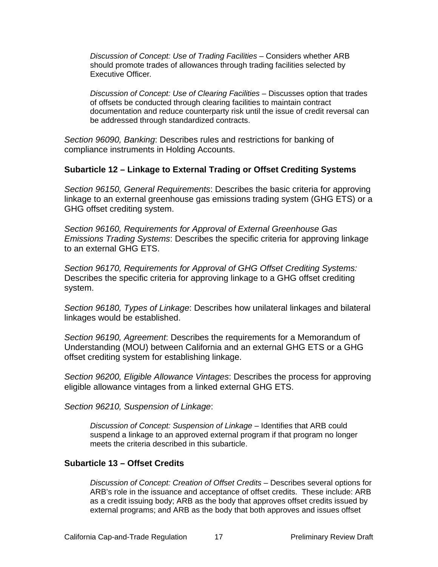*Discussion of Concept: Use of Trading Facilities –* Considers whether ARB should promote trades of allowances through trading facilities selected by Executive Officer*.* 

*Discussion of Concept: Use of Clearing Facilities – Discusses option that trades* of offsets be conducted through clearing facilities to maintain contract documentation and reduce counterparty risk until the issue of credit reversal can be addressed through standardized contracts.

*Section 96090, Banking*: Describes rules and restrictions for banking of compliance instruments in Holding Accounts.

#### **Subarticle 12 – Linkage to External Trading or Offset Crediting Systems**

*Section 96150, General Requirements*: Describes the basic criteria for approving linkage to an external greenhouse gas emissions trading system (GHG ETS) or a GHG offset crediting system.

*Section 96160, Requirements for Approval of External Greenhouse Gas Emissions Trading Systems*: Describes the specific criteria for approving linkage to an external GHG ETS.

*Section 96170, Requirements for Approval of GHG Offset Crediting Systems:* Describes the specific criteria for approving linkage to a GHG offset crediting system.

*Section 96180, Types of Linkage*: Describes how unilateral linkages and bilateral linkages would be established.

*Section 96190, Agreement*: Describes the requirements for a Memorandum of Understanding (MOU) between California and an external GHG ETS or a GHG offset crediting system for establishing linkage.

*Section 96200, Eligible Allowance Vintages*: Describes the process for approving eligible allowance vintages from a linked external GHG ETS.

*Section 96210, Suspension of Linkage*:

*Discussion of Concept: Suspension of Linkage* – Identifies that ARB could suspend a linkage to an approved external program if that program no longer meets the criteria described in this subarticle.

#### **Subarticle 13 – Offset Credits**

*Discussion of Concept: Creation of Offset Credits –* Describes several options for ARB's role in the issuance and acceptance of offset credits. These include: ARB as a credit issuing body; ARB as the body that approves offset credits issued by external programs; and ARB as the body that both approves and issues offset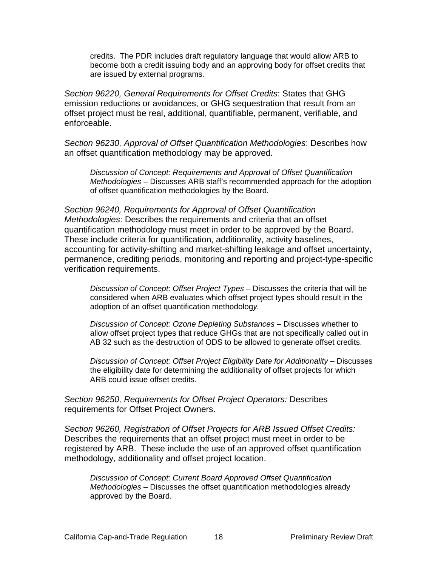credits. The PDR includes draft regulatory language that would allow ARB to become both a credit issuing body and an approving body for offset credits that are issued by external programs*.* 

*Section 96220, General Requirements for Offset Credits*: States that GHG emission reductions or avoidances, or GHG sequestration that result from an offset project must be real, additional, quantifiable, permanent, verifiable, and enforceable.

*Section 96230, Approval of Offset Quantification Methodologies*: Describes how an offset quantification methodology may be approved.

*Discussion of Concept: Requirements and Approval of Offset Quantification Methodologies* – Discusses ARB staff's recommended approach for the adoption of offset quantification methodologies by the Board*.* 

*Section 96240, Requirements for Approval of Offset Quantification Methodologies*: Describes the requirements and criteria that an offset quantification methodology must meet in order to be approved by the Board. These include criteria for quantification, additionality, activity baselines, accounting for activity-shifting and market-shifting leakage and offset uncertainty, permanence, crediting periods, monitoring and reporting and project-type-specific verification requirements.

*Discussion of Concept: Offset Project Types –* Discusses the criteria that will be considered when ARB evaluates which offset project types should result in the adoption of an offset quantification methodolog*y.* 

*Discussion of Concept: Ozone Depleting Substances –* Discusses whether to allow offset project types that reduce GHGs that are not specifically called out in AB 32 such as the destruction of ODS to be allowed to generate offset credits.

*Discussion of Concept: Offset Project Eligibility Date for Additionality* – Discusses the eligibility date for determining the additionality of offset projects for which ARB could issue offset credits.

*Section 96250, Requirements for Offset Project Operators:* Describes requirements for Offset Project Owners.

*Section 96260, Registration of Offset Projects for ARB Issued Offset Credits:*  Describes the requirements that an offset project must meet in order to be registered by ARB. These include the use of an approved offset quantification methodology, additionality and offset project location.

*Discussion of Concept: Current Board Approved Offset Quantification Methodologies –* Discusses the offset quantification methodologies already approved by the Board.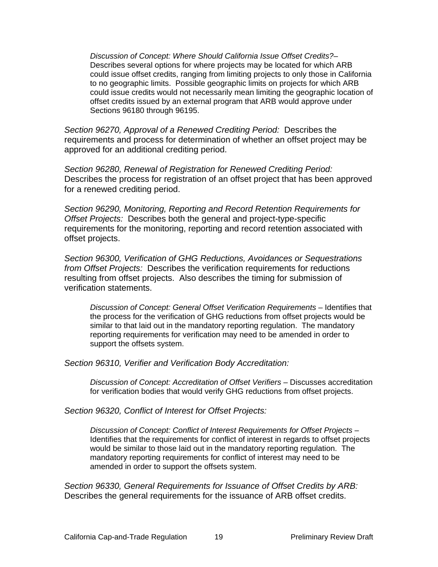*Discussion of Concept: Where Should California Issue Offset Credits?*– Describes several options for where projects may be located for which ARB could issue offset credits, ranging from limiting projects to only those in California to no geographic limits. Possible geographic limits on projects for which ARB could issue credits would not necessarily mean limiting the geographic location of offset credits issued by an external program that ARB would approve under Sections 96180 through 96195.

*Section 96270, Approval of a Renewed Crediting Period:* Describes the requirements and process for determination of whether an offset project may be approved for an additional crediting period.

*Section 96280, Renewal of Registration for Renewed Crediting Period:*  Describes the process for registration of an offset project that has been approved for a renewed crediting period.

*Section 96290, Monitoring, Reporting and Record Retention Requirements for Offset Projects:* Describes both the general and project-type-specific requirements for the monitoring, reporting and record retention associated with offset projects.

*Section 96300, Verification of GHG Reductions, Avoidances or Sequestrations from Offset Projects:* Describes the verification requirements for reductions resulting from offset projects. Also describes the timing for submission of verification statements.

*Discussion of Concept: General Offset Verification Requirements - Identifies that* the process for the verification of GHG reductions from offset projects would be similar to that laid out in the mandatory reporting regulation. The mandatory reporting requirements for verification may need to be amended in order to support the offsets system.

*Section 96310, Verifier and Verification Body Accreditation:* 

*Discussion of Concept: Accreditation of Offset Verifiers –* Discusses accreditation for verification bodies that would verify GHG reductions from offset projects.

*Section 96320, Conflict of Interest for Offset Projects:* 

*Discussion of Concept: Conflict of Interest Requirements for Offset Projects –*  Identifies that the requirements for conflict of interest in regards to offset projects would be similar to those laid out in the mandatory reporting regulation. The mandatory reporting requirements for conflict of interest may need to be amended in order to support the offsets system.

*Section 96330, General Requirements for Issuance of Offset Credits by ARB:*  Describes the general requirements for the issuance of ARB offset credits.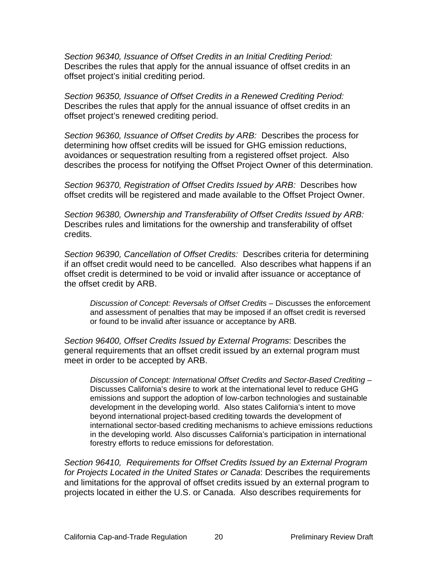*Section 96340, Issuance of Offset Credits in an Initial Crediting Period:*  Describes the rules that apply for the annual issuance of offset credits in an offset project's initial crediting period.

*Section 96350, Issuance of Offset Credits in a Renewed Crediting Period:*  Describes the rules that apply for the annual issuance of offset credits in an offset project's renewed crediting period.

*Section 96360, Issuance of Offset Credits by ARB:* Describes the process for determining how offset credits will be issued for GHG emission reductions, avoidances or sequestration resulting from a registered offset project. Also describes the process for notifying the Offset Project Owner of this determination.

*Section 96370, Registration of Offset Credits Issued by ARB:* Describes how offset credits will be registered and made available to the Offset Project Owner.

*Section 96380, Ownership and Transferability of Offset Credits Issued by ARB:*  Describes rules and limitations for the ownership and transferability of offset credits.

*Section 96390, Cancellation of Offset Credits:* Describes criteria for determining if an offset credit would need to be cancelled. Also describes what happens if an offset credit is determined to be void or invalid after issuance or acceptance of the offset credit by ARB.

*Discussion of Concept: Reversals of Offset Credits –* Discusses the enforcement and assessment of penalties that may be imposed if an offset credit is reversed or found to be invalid after issuance or acceptance by ARB*.* 

*Section 96400, Offset Credits Issued by External Programs*: Describes the general requirements that an offset credit issued by an external program must meet in order to be accepted by ARB.

*Discussion of Concept: International Offset Credits and Sector-Based Crediting –*  Discusses California's desire to work at the international level to reduce GHG emissions and support the adoption of low-carbon technologies and sustainable development in the developing world. Also states California's intent to move beyond international project-based crediting towards the development of international sector-based crediting mechanisms to achieve emissions reductions in the developing world*.* Also discusses California's participation in international forestry efforts to reduce emissions for deforestation.

*Section 96410, Requirements for Offset Credits Issued by an External Program for Projects Located in the United States or Canada*: Describes the requirements and limitations for the approval of offset credits issued by an external program to projects located in either the U.S. or Canada. Also describes requirements for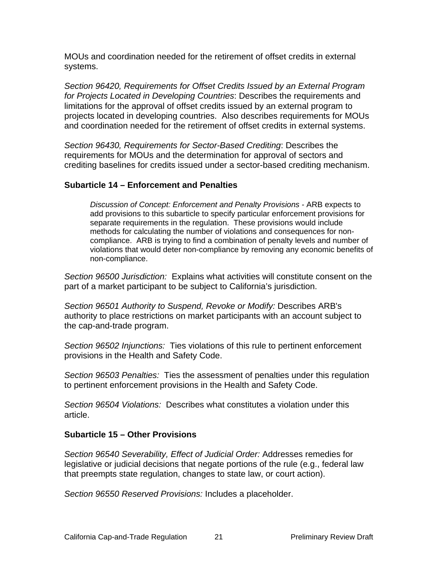MOUs and coordination needed for the retirement of offset credits in external systems.

*Section 96420, Requirements for Offset Credits Issued by an External Program for Projects Located in Developing Countries*: Describes the requirements and limitations for the approval of offset credits issued by an external program to projects located in developing countries. Also describes requirements for MOUs and coordination needed for the retirement of offset credits in external systems.

*Section 96430, Requirements for Sector-Based Crediting*: Describes the requirements for MOUs and the determination for approval of sectors and crediting baselines for credits issued under a sector-based crediting mechanism.

#### **Subarticle 14 – Enforcement and Penalties**

*Discussion of Concept: Enforcement and Penalty Provisions -* ARB expects to add provisions to this subarticle to specify particular enforcement provisions for separate requirements in the regulation. These provisions would include methods for calculating the number of violations and consequences for noncompliance. ARB is trying to find a combination of penalty levels and number of violations that would deter non-compliance by removing any economic benefits of non-compliance.

*Section 96500 Jurisdiction:* Explains what activities will constitute consent on the part of a market participant to be subject to California's jurisdiction.

*Section 96501 Authority to Suspend, Revoke or Modify:* Describes ARB's authority to place restrictions on market participants with an account subject to the cap-and-trade program.

*Section 96502 Injunctions:* Ties violations of this rule to pertinent enforcement provisions in the Health and Safety Code.

*Section 96503 Penalties:* Ties the assessment of penalties under this regulation to pertinent enforcement provisions in the Health and Safety Code.

*Section 96504 Violations:* Describes what constitutes a violation under this article.

#### **Subarticle 15 – Other Provisions**

*Section 96540 Severability, Effect of Judicial Order:* Addresses remedies for legislative or judicial decisions that negate portions of the rule (e.g., federal law that preempts state regulation, changes to state law, or court action).

*Section 96550 Reserved Provisions:* Includes a placeholder.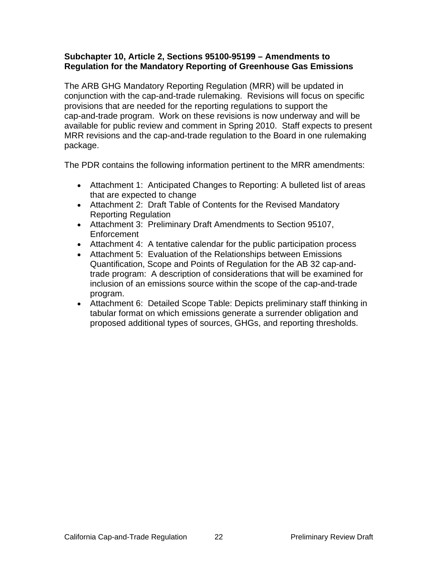#### **Subchapter 10, Article 2, Sections 95100-95199 – Amendments to Regulation for the Mandatory Reporting of Greenhouse Gas Emissions**

The ARB GHG Mandatory Reporting Regulation (MRR) will be updated in conjunction with the cap-and-trade rulemaking. Revisions will focus on specific provisions that are needed for the reporting regulations to support the cap-and-trade program. Work on these revisions is now underway and will be available for public review and comment in Spring 2010. Staff expects to present MRR revisions and the cap-and-trade regulation to the Board in one rulemaking package.

The PDR contains the following information pertinent to the MRR amendments:

- Attachment 1: Anticipated Changes to Reporting: A bulleted list of areas that are expected to change
- Attachment 2: Draft Table of Contents for the Revised Mandatory Reporting Regulation
- Attachment 3: Preliminary Draft Amendments to Section 95107, Enforcement
- Attachment 4: A tentative calendar for the public participation process
- Attachment 5: Evaluation of the Relationships between Emissions Quantification, Scope and Points of Regulation for the AB 32 cap-andtrade program: A description of considerations that will be examined for inclusion of an emissions source within the scope of the cap-and-trade program.
- Attachment 6: Detailed Scope Table: Depicts preliminary staff thinking in tabular format on which emissions generate a surrender obligation and proposed additional types of sources, GHGs, and reporting thresholds.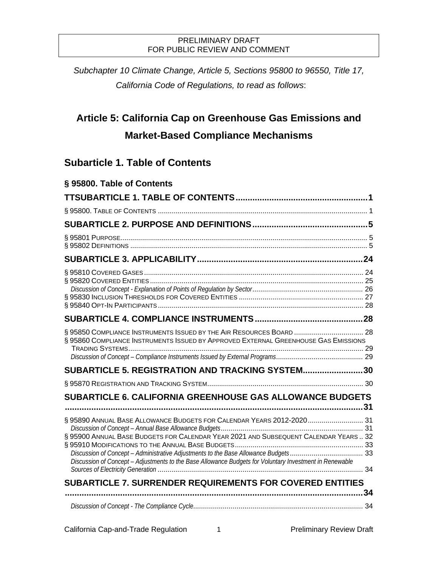*Subchapter 10 Climate Change, Article 5, Sections 95800 to 96550, Title 17, California Code of Regulations, to read as follows*:

# **Article 5: California Cap on Greenhouse Gas Emissions and Market-Based Compliance Mechanisms**

# <span id="page-22-0"></span>**Subarticle 1. Table of Contents**

<span id="page-22-1"></span>

| § 95800. Table of Contents                                                                                                                                                                                                                                              |  |
|-------------------------------------------------------------------------------------------------------------------------------------------------------------------------------------------------------------------------------------------------------------------------|--|
|                                                                                                                                                                                                                                                                         |  |
|                                                                                                                                                                                                                                                                         |  |
|                                                                                                                                                                                                                                                                         |  |
|                                                                                                                                                                                                                                                                         |  |
|                                                                                                                                                                                                                                                                         |  |
|                                                                                                                                                                                                                                                                         |  |
|                                                                                                                                                                                                                                                                         |  |
| § 95850 COMPLIANCE INSTRUMENTS ISSUED BY THE AIR RESOURCES BOARD  28<br>§ 95860 COMPLIANCE INSTRUMENTS ISSUED BY APPROVED EXTERNAL GREENHOUSE GAS EMISSIONS                                                                                                             |  |
| SUBARTICLE 5. REGISTRATION AND TRACKING SYSTEM30                                                                                                                                                                                                                        |  |
|                                                                                                                                                                                                                                                                         |  |
| <b>SUBARTICLE 6. CALIFORNIA GREENHOUSE GAS ALLOWANCE BUDGETS</b>                                                                                                                                                                                                        |  |
| § 95890 ANNUAL BASE ALLOWANCE BUDGETS FOR CALENDAR YEARS 2012-2020 31<br>§ 95900 ANNUAL BASE BUDGETS FOR CALENDAR YEAR 2021 AND SUBSEQUENT CALENDAR YEARS 32<br>Discussion of Concept - Adjustments to the Base Allowance Budgets for Voluntary Investment in Renewable |  |
| <b>SUBARTICLE 7. SURRENDER REQUIREMENTS FOR COVERED ENTITIES</b>                                                                                                                                                                                                        |  |
|                                                                                                                                                                                                                                                                         |  |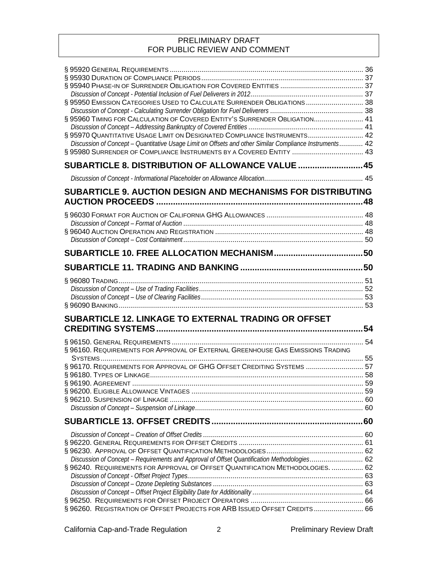| § 95950 EMISSION CATEGORIES USED TO CALCULATE SURRENDER OBLIGATIONS  38<br>§ 95960 TIMING FOR CALCULATION OF COVERED ENTITY'S SURRENDER OBLIGATION 41<br>§ 95970 QUANTITATIVE USAGE LIMIT ON DESIGNATED COMPLIANCE INSTRUMENTS 42<br>Discussion of Concept - Quantitative Usage Limit on Offsets and other Similar Compliance Instruments 42 |  |
|----------------------------------------------------------------------------------------------------------------------------------------------------------------------------------------------------------------------------------------------------------------------------------------------------------------------------------------------|--|
| SUBARTICLE 8. DISTRIBUTION OF ALLOWANCE VALUE  45                                                                                                                                                                                                                                                                                            |  |
|                                                                                                                                                                                                                                                                                                                                              |  |
| SUBARTICLE 9. AUCTION DESIGN AND MECHANISMS FOR DISTRIBUTING                                                                                                                                                                                                                                                                                 |  |
|                                                                                                                                                                                                                                                                                                                                              |  |
|                                                                                                                                                                                                                                                                                                                                              |  |
|                                                                                                                                                                                                                                                                                                                                              |  |
|                                                                                                                                                                                                                                                                                                                                              |  |
| SUBARTICLE 12. LINKAGE TO EXTERNAL TRADING OR OFFSET                                                                                                                                                                                                                                                                                         |  |
| § 96160. REQUIREMENTS FOR APPROVAL OF EXTERNAL GREENHOUSE GAS EMISSIONS TRADING<br>§ 96170. REQUIREMENTS FOR APPROVAL OF GHG OFFSET CREDITING SYSTEMS  57                                                                                                                                                                                    |  |
|                                                                                                                                                                                                                                                                                                                                              |  |
| Discussion of Concept - Requirements and Approval of Offset Quantification Methodologies 62<br>§ 96240. REQUIREMENTS FOR APPROVAL OF OFFSET QUANTIFICATION METHODOLOGIES.  62                                                                                                                                                                |  |
| § 96260. REGISTRATION OF OFFSET PROJECTS FOR ARB ISSUED OFFSET CREDITS 66                                                                                                                                                                                                                                                                    |  |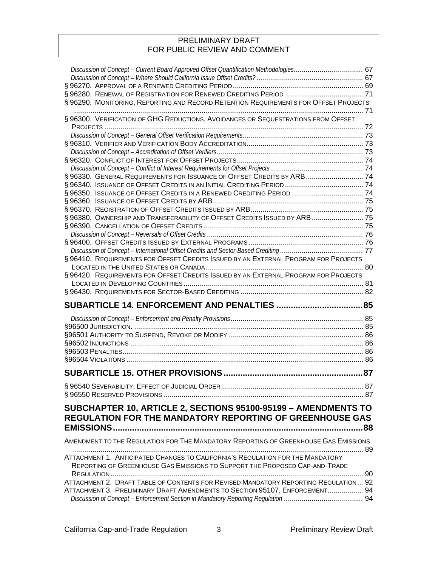| Discussion of Concept - Current Board Approved Offset Quantification Methodologies 67 |    |
|---------------------------------------------------------------------------------------|----|
|                                                                                       |    |
|                                                                                       |    |
|                                                                                       |    |
| § 96290. MONITORING, REPORTING AND RECORD RETENTION REQUIREMENTS FOR OFFSET PROJECTS  |    |
| § 96300. VERIFICATION OF GHG REDUCTIONS, AVOIDANCES OR SEQUESTRATIONS FROM OFFSET     |    |
|                                                                                       |    |
|                                                                                       |    |
|                                                                                       |    |
|                                                                                       |    |
|                                                                                       |    |
|                                                                                       |    |
| § 96330. GENERAL REQUIREMENTS FOR ISSUANCE OF OFFSET CREDITS BY ARB 74                |    |
| § 96350. ISSUANCE OF OFFSET CREDITS IN A RENEWED CREDITING PERIOD  74                 |    |
|                                                                                       |    |
|                                                                                       |    |
| § 96380. OWNERSHIP AND TRANSFERABILITY OF OFFSET CREDITS ISSUED BY ARB  75            |    |
|                                                                                       |    |
|                                                                                       |    |
|                                                                                       |    |
|                                                                                       |    |
| § 96410. REQUIREMENTS FOR OFFSET CREDITS ISSUED BY AN EXTERNAL PROGRAM FOR PROJECTS   |    |
|                                                                                       |    |
| § 96420. REQUIREMENTS FOR OFFSET CREDITS ISSUED BY AN EXTERNAL PROGRAM FOR PROJECTS   |    |
|                                                                                       | 81 |
|                                                                                       |    |
|                                                                                       |    |
|                                                                                       |    |
|                                                                                       |    |
|                                                                                       |    |
|                                                                                       |    |
|                                                                                       |    |
|                                                                                       |    |
|                                                                                       |    |
|                                                                                       |    |
|                                                                                       | 87 |
|                                                                                       |    |
|                                                                                       |    |
| SUBCHAPTER 10, ARTICLE 2, SECTIONS 95100-95199 - AMENDMENTS TO                        |    |
| <b>REGULATION FOR THE MANDATORY REPORTING OF GREENHOUSE GAS</b>                       |    |
|                                                                                       |    |
| AMENDMENT TO THE REGULATION FOR THE MANDATORY REPORTING OF GREENHOUSE GAS EMISSIONS   |    |
|                                                                                       |    |
| ATTACHMENT 1. ANTICIPATED CHANGES TO CALIFORNIA'S REGULATION FOR THE MANDATORY        |    |
| REPORTING OF GREENHOUSE GAS EMISSIONS TO SUPPORT THE PROPOSED CAP-AND-TRADE           |    |
|                                                                                       |    |
| ATTACHMENT 2. DRAFT TABLE OF CONTENTS FOR REVISED MANDATORY REPORTING REGULATION 92   |    |
| ATTACHMENT 3. PRELIMINARY DRAFT AMENDMENTS TO SECTION 95107, ENFORCEMENT 94           |    |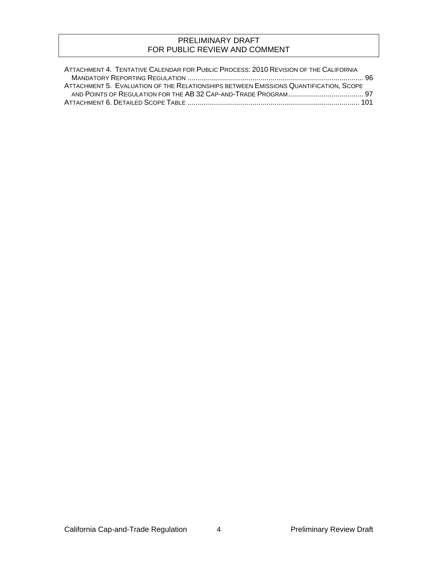| ATTACHMENT 4. TENTATIVE CALENDAR FOR PUBLIC PROCESS: 2010 REVISION OF THE CALIFORNIA  |  |
|---------------------------------------------------------------------------------------|--|
|                                                                                       |  |
| ATTACHMENT 5. EVALUATION OF THE RELATIONSHIPS BETWEEN EMISSIONS QUANTIFICATION, SCOPE |  |
|                                                                                       |  |
|                                                                                       |  |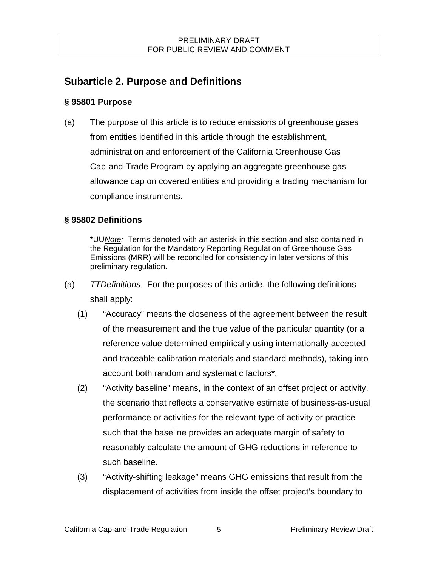# <span id="page-26-0"></span>**Subarticle 2. Purpose and Definitions**

# <span id="page-26-1"></span>**§ 95801 Purpose**

(a) The purpose of this article is to reduce emissions of greenhouse gases from entities identified in this article through the establishment, administration and enforcement of the California Greenhouse Gas Cap-and-Trade Program by applying an aggregate greenhouse gas allowance cap on covered entities and providing a trading mechanism for compliance instruments.

# <span id="page-26-2"></span>**§ 95802 Definitions**

\*UU*Note:* Terms denoted with an asterisk in this section and also contained in the Regulation for the Mandatory Reporting Regulation of Greenhouse G as Emissions (MRR) will be reconciled for consistency in later versions of this preliminary regulation.

- shall apply: (a) *TTDefinitions*. For the purposes of this article, the following definitions
	- (1) "Accuracy" means the closeness of the agreement between the result of the measurement and the true value of the particular quantity (or a reference value determined empirically using internationally accepted and traceable calibration materials and standard methods), taking into account both random and systematic factors\*.
	- (2) "Activity baseline" means, in the context of an offset project or activity, the scenario that reflects a conservative estimate of business-as-usual performance or activities for the relevant type of activity or practice such that the baseline provides an adequate margin of safety to reasonably calculate the amount of GHG reductions in reference to such baseline.
	- (3) "Activity-shifting leakage" means GHG emissions that result from the displacement of activities from inside the offset project's boundary to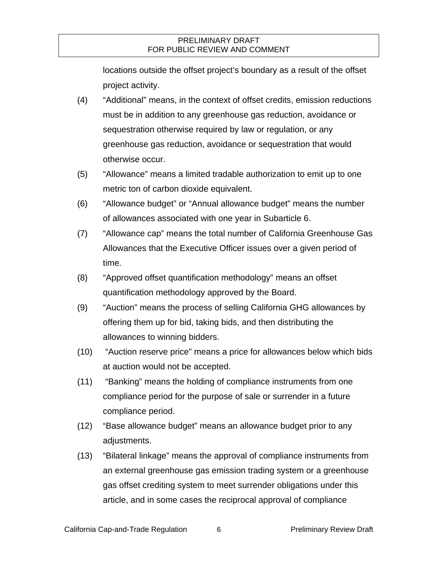locations outside the offset project's boundary as a result of the offset project activity.

- (4) "Additional" means, in the context of offset credits, emission reductions must be in addition to any greenhouse gas reduction, avoidance or sequestration otherwise required by law or regulation, or any greenhouse gas reduction, avoidance or sequestration that would otherwise occur.
- (5) "Allowance" means a limited tradable authorization to emit up to one metric ton of carbon dioxide equivalent.
- (6) "Allowance budget" or "Annual allowance budget" means the number of allowances associated with one year in Subarticle 6.
- (7) "Allowance cap" means the total number of California Greenhouse Gas Allowances that the Executive Officer issues over a given period of time.
- (8) "Approved offset quantification methodology" means an offset quantification methodology approved by the Board.
- (9) "Auction" means the process of selling California GHG allowances by offering them up for bid, taking bids, and then distributing the allowances to winning bidders.
- (10) "Auction reserve price" means a price for allowances below which bids at auction would not be accepted.
- (11) "Banking" means the holding of compliance instruments from one compliance period for the purpose of sale or surrender in a future compliance period.
- (12) "Base allowance budget" means an allowance budget prior to any adjustments.
- (13) "Bilateral linkage" means the approval of compliance instruments from an external greenhouse gas emission trading system or a greenhouse gas offset crediting system to meet surrender obligations under this article, and in some cases the reciprocal approval of compliance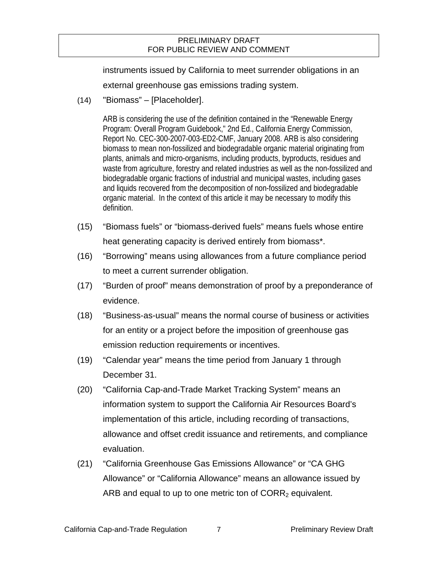instruments issued by California to meet surrender obligations in an external greenhouse gas emissions trading system.

(14) "Biomass" – [Placeholder].

ARB is considering the use of the definition contained in the "Renewable Energy Program: Overall Program Guidebook," 2nd Ed., California Energy Commission, Report No. CEC-300-2007-003-ED2-CMF, January 2008. ARB is also considering biomass to mean non-fossilized and biodegradable organic material originating from plants, animals and micro-organisms, including products, byproducts, residues and waste from agriculture, forestry and related industries as well as the non-fossilized and biodegradable organic fractions of industrial and municipal wastes, including gases and liquids recovered from the decomposition of non-fossilized and biodegradable organic material. In the context of this article it may be necessary to modify this definition.

- (15) "Biomass fuels" or "biomass-derived fuels" means fuels whose entire heat generating capacity is derived entirely from biomass\*.
- (16) "Borrowing" means using allowances from a future compliance period to meet a current surrender obligation.
- (17) "Burden of proof" means demonstration of proof by a preponderance of evidence.
- (18) "Business-as-usual" means the normal course of business or activities for an entity or a project before the imposition of greenhouse gas emission reduction requirements or incentives.
- (19) "Calendar year" means the time period from January 1 through December 31.
- (20) "California Cap-and-Trade Market Tracking System" means an information system to support the California Air Resources Board's implementation of this article, including recording of transactions, allowance and offset credit issuance and retirements, and compliance evaluation.
- ARB and equal to up to one metric ton of  $CORR<sub>2</sub>$  equivalent. (21) "California Greenhouse Gas Emissions Allowance" or "CA GHG Allowance" or "California Allowance" means an allowance issued by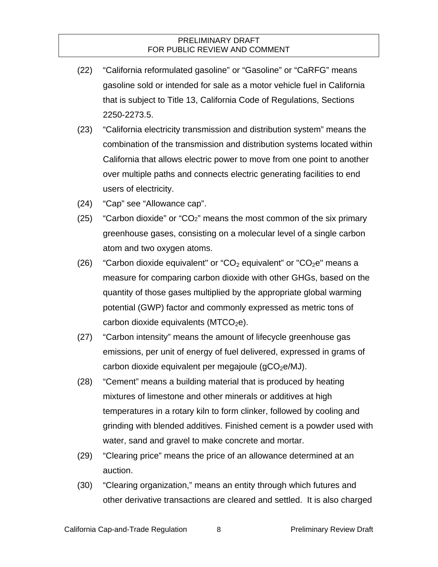- (22) "California reformulated gasoline" or "Gasoline" or "CaRFG" means gasoline sold or intended for sale as a motor vehicle fuel in California that is subject to Title 13, California Code of Regulations, Sections 2250-2273.5.
- (23) "California electricity transmission and distribution system" means the combination of the transmission and distribution systems located within California that allows electric power to move from one point to another over multiple paths and connects electric generating facilities to end users of electricity.
- (24) "Cap" see "Allowance cap".
- (25) "Carbon dioxide" or "CO2" means the most common of the six primary greenhouse gases, consisting on a molecular level of a single carbon atom and two oxygen atoms.
- (26) "Carbon dioxide equivalent" or "CO<sub>2</sub> equivalent" or "CO<sub>2</sub>e" means a measure for comparing carbon dioxide with other GHGs, based on the quantity of those gases multiplied by the appropriate global warming potential (GWP) factor and commonly expressed as metric tons of carbon dioxide equivalents ( $MTCO<sub>2</sub>e$ ).
- (27) "Carbon intensity" means the amount of lifecycle greenhouse gas emissions, per unit of energy of fuel delivered, expressed in grams of carbon dioxide equivalent per megajoule  $(qCO<sub>2</sub>e/MJ)$ .
- (28) "Cement" means a building material that is produced by heating mixtures of limestone and other minerals or additives at high temperatures in a rotary kiln to form clinker, followed by cooling and grinding with blended additives. Finished cement is a powder used with water, sand and gravel to make concrete and mortar.
- (29) "Clearing price" means the price of an allowance determined at an auction.
- (30) "Clearing organization," means an entity through which futures and other derivative transactions are cleared and settled. It is also charged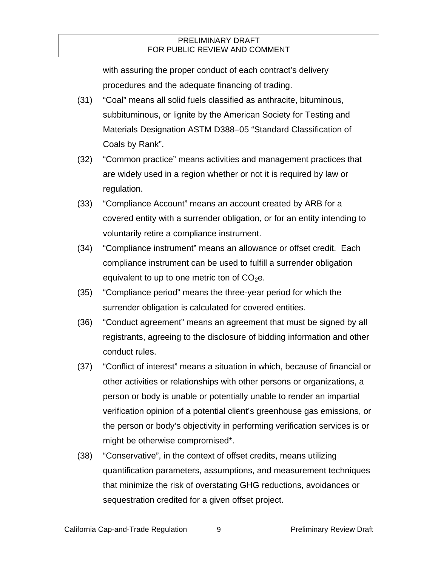with assuring the proper conduct of each contract's delivery procedures and the adequate financing of trading.

- (31) "Coal" means all solid fuels classified as anthracite, bituminous, subbituminous, or lignite by the American Society for Testing and Materials Designation ASTM D388–05 "Standard Classification of Coals by Rank".
- (32) "Common practice" means activities and management practices that are widely used in a region whether or not it is required by law or regulation.
- (33) "Compliance Account" means an account created by ARB for a covered entity with a surrender obligation, or for an entity intending to voluntarily retire a compliance instrument.
- (34) "Compliance instrument" means an allowance or offset credit. Each compliance instrument can be used to fulfill a surrender obligation equivalent to up to one metric ton of  $CO<sub>2</sub>e$ .
- (35) "Compliance period" means the three-year period for which the surrender obligation is calculated for covered entities.
- (36) "Conduct agreement" means an agreement that must be signed by all registrants, agreeing to the disclosure of bidding information and other conduct rules.
- (37) "Conflict of interest" means a situation in which, because of financial or other activities or relationships with other persons or organizations, a person or body is unable or potentially unable to render an impartial verification opinion of a potential client's greenhouse gas emissions, or the person or body's objectivity in performing verification services is or might be otherwise compromised\*.
- (38) "Conservative", in the context of offset credits, means utilizing quantification parameters, assumptions, and measurement techniques that minimize the risk of overstating GHG reductions, avoidances or sequestration credited for a given offset project.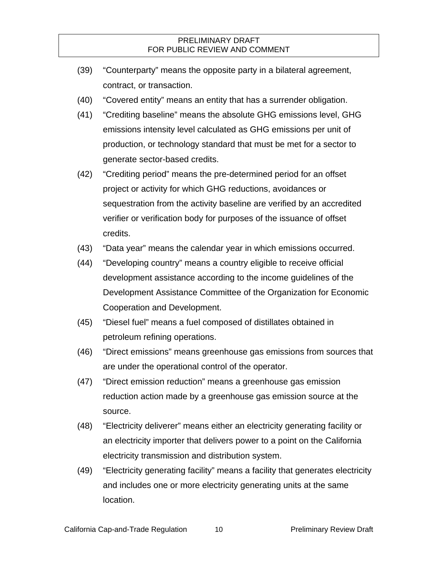- (39) "Counterparty" means the opposite party in a bilateral agreement, contract, or transaction.
- (40) "Covered entity" means an entity that has a surrender obligation.
- (41) "Crediting baseline" means the absolute GHG emissions level, GHG emissions intensity level calculated as GHG emissions per unit of production, or technology standard that must be met for a sector to generate sector-based credits.
- (42) "Crediting period" means the pre-determined period for an offset project or activity for which GHG reductions, avoidances or sequestration from the activity baseline are verified by an accredited verifier or verification body for purposes of the issuance of offset credits.
- (43) "Data year" means the calendar year in which emissions occurred.
- (44) "Developing country" means a country eligible to receive official development assistance according to the income guidelines of the Development Assistance Committee of the Organization for Economic Cooperation and Development.
- (45) "Diesel fuel" means a fuel composed of distillates obtained in petroleum refining operations.
- (46) "Direct emissions" means greenhouse gas emissions from sources that are under the operational control of the operator.
- (47) "Direct emission reduction" means a greenhouse gas emission reduction action made by a greenhouse gas emission source at the source.
- (48) "Electricity deliverer" means either an electricity generating facility or an electricity importer that delivers power to a point on the California electricity transmission and distribution system.
- (49) "Electricity generating facility" means a facility that generates electricity and includes one or more electricity generating units at the same location.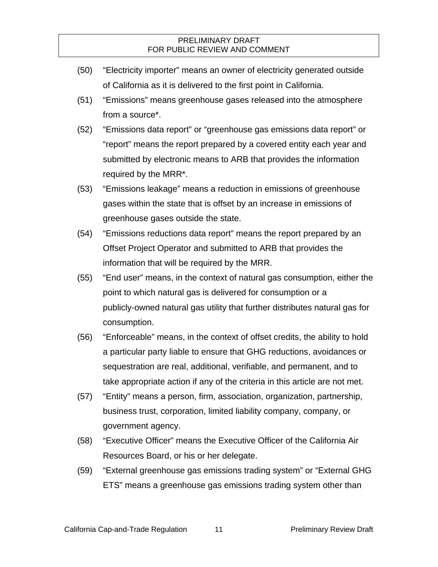- (50) "Electricity importer" means an owner of electricity generated outside of California as it is delivered to the first point in California.
- (51) "Emissions" means greenhouse gases released into the atmosphere from a source\*.
- (52) "Emissions data report" or "greenhouse gas emissions data report" or "report" means the report prepared by a covered entity each year and submitted by electronic means to ARB that provides the information required by the MRR\*.
- (53) "Emissions leakage" means a reduction in emissions of greenhouse gases within the state that is offset by an increase in emissions of greenhouse gases outside the state.
- (54) "Emissions reductions data report" means the report prepared by an Offset Project Operator and submitted to ARB that provides the information that will be required by the MRR.
- (55) "End user" means, in the context of natural gas consumption, either the point to which natural gas is delivered for consumption or a publicly-owned natural gas utility that further distributes natural gas for consumption.
- (56) "Enforceable" means, in the context of offset credits, the ability to hold a particular party liable to ensure that GHG reductions, avoidances or sequestration are real, additional, verifiable, and permanent, and to take appropriate action if any of the criteria in this article are not met.
- (57) "Entity" means a person, firm, association, organization, partnership, business trust, corporation, limited liability company, company, or government agency.
- (58) "Executive Officer" means the Executive Officer of the California Air Resources Board, or his or her delegate.
- (59) "External greenhouse gas emissions trading system" or "External GHG ETS" means a greenhouse gas emissions trading system other than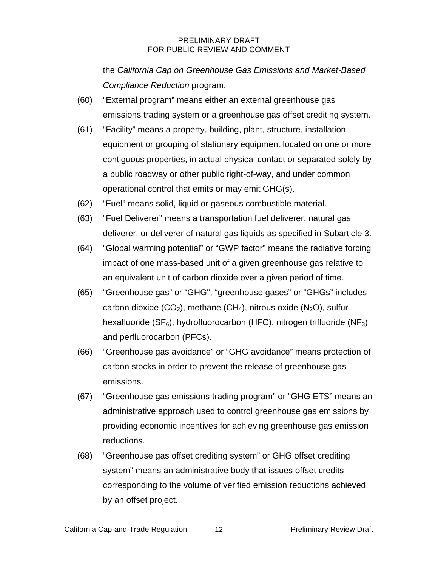the *California Cap on Greenhouse Gas Emissions and Market-Based Compliance Reduction* program.

- (60) "External program" means either an external greenhouse gas emissions trading system or a greenhouse gas offset crediting system.
- (61) "Facility" means a property, building, plant, structure, installation, equipment or grouping of stationary equipment located on one or more contiguous properties, in actual physical contact or separated solely by a public roadway or other public right-of-way, and under common operational control that emits or may emit GHG(s).
- (62) "Fuel" means solid, liquid or gaseous combustible material.
- (63) "Fuel Deliverer" means a transportation fuel deliverer, natural gas deliverer, or deliverer of natural gas liquids as specified in Subarticle 3.
- (64) "Global warming potential" or "GWP factor" means the radiative forcing impact of one mass-based unit of a given greenhouse gas relative to an equivalent unit of carbon dioxide over a given period of time.
- (65) "Greenhouse gas" or "GHG", "greenhouse gases" or "GHGs" includes carbon dioxide (CO<sub>2</sub>), methane (CH<sub>4</sub>), nitrous oxide (N<sub>2</sub>O), sulfur hexafluoride (SF $_6$ ), hydrofluorocarbon (HFC), nitrogen trifluoride (NF<sub>3</sub>) and perfluorocarbon (PFCs).
- (66) "Greenhouse gas avoidance" or "GHG avoidance" means protection of carbon stocks in order to prevent the release of greenhouse gas emissions.
- (67) "Greenhouse gas emissions trading program" or "GHG ETS" means an administrative approach used to control greenhouse gas emissions by providing economic incentives for achieving greenhouse gas emission reductions.
- (68) "Greenhouse gas offset crediting system" or GHG offset crediting system" means an administrative body that issues offset credits corresponding to the volume of verified emission reductions achieved by an offset project.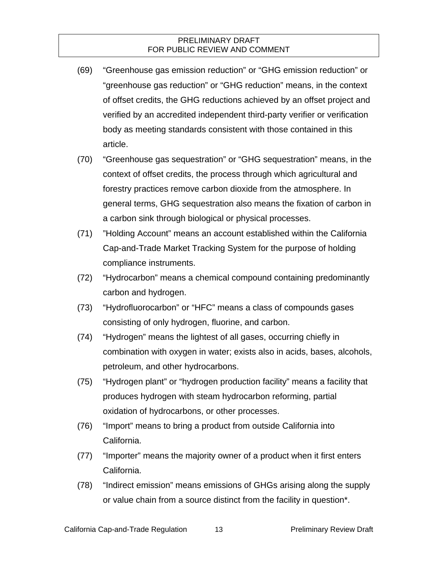- (69) "Greenhouse gas emission reduction" or "GHG emission reduction" or "greenhouse gas reduction" or "GHG reduction" means, in the context of offset credits, the GHG reductions achieved by an offset project and verified by an accredited independent third-party verifier or verification body as meeting standards consistent with those contained in this article.
- (70) "Greenhouse gas sequestration" or "GHG sequestration" means, in the context of offset credits, the process through which agricultural and forestry practices remove carbon dioxide from the atmosphere. In general terms, GHG sequestration also means the fixation of carbon in a carbon sink through biological or physical processes.
- (71) "Holding Account" means an account established within the California Cap-and-Trade Market Tracking System for the purpose of holding compliance instruments.
- (72) "Hydrocarbon" means a chemical compound containing predominantly carbon and hydrogen.
- (73) "Hydrofluorocarbon" or "HFC" means a class of compounds gases consisting of only hydrogen, fluorine, and carbon.
- (74) "Hydrogen" means the lightest of all gases, occurring chiefly in combination with oxygen in water; exists also in acids, bases, alcohols, petroleum, and other hydrocarbons.
- (75) "Hydrogen plant" or "hydrogen production facility" means a facility that produces hydrogen with steam hydrocarbon reforming, partial oxidation of hydrocarbons, or other processes.
- (76) "Import" means to bring a product from outside California into California.
- (77) "Importer" means the majority owner of a product when it first enters California.
- (78) "Indirect emission" means emissions of GHGs arising along the supply or value chain from a source distinct from the facility in question\*.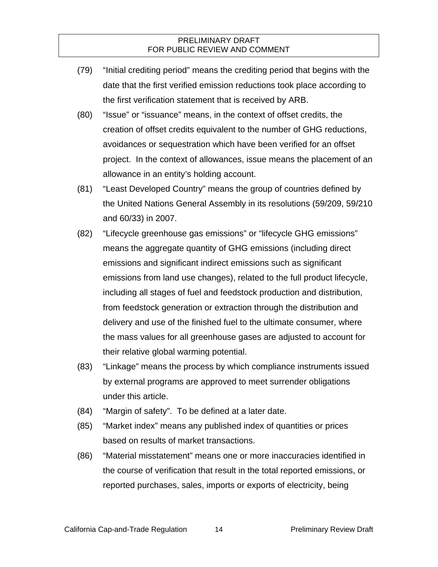- (79) "Initial crediting period" means the crediting period that begins with the date that the first verified emission reductions took place according to the first verification statement that is received by ARB.
- (80) "Issue" or "issuance" means, in the context of offset credits, the creation of offset credits equivalent to the number of GHG reductions, avoidances or sequestration which have been verified for an offset project. In the context of allowances, issue means the placement of an allowance in an entity's holding account.
- (81) "Least Developed Country" means the group of countries defined by the United Nations General Assembly in its resolutions (59/209, 59/210 and 60/33) in 2007.
- (82) "Lifecycle greenhouse gas emissions" or "lifecycle GHG emissions" means the aggregate quantity of GHG emissions (including direct emissions and significant indirect emissions such as significant emissions from land use changes), related to the full product lifecycle, including all stages of fuel and feedstock production and distribution, from feedstock generation or extraction through the distribution and delivery and use of the finished fuel to the ultimate consumer, where the mass values for all greenhouse gases are adjusted to account for their relative global warming potential.
- (83) "Linkage" means the process by which compliance instruments issued by external programs are approved to meet surrender obligations under this article.
- (84) "Margin of safety". To be defined at a later date.
- (85) "Market index" means any published index of quantities or prices based on results of market transactions.
- (86) "Material misstatement" means one or more inaccuracies identified in the course of verification that result in the total reported emissions, or reported purchases, sales, imports or exports of electricity, being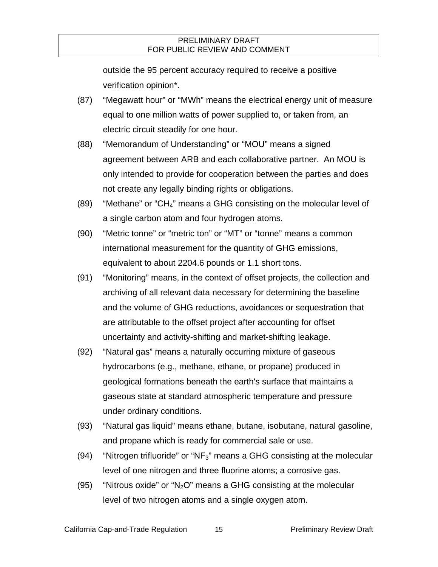outside the 95 percent accuracy required to receive a positive verification opinion\*.

- (87) "Megawatt hour" or "MWh" means the electrical energy unit of measure equal to one million watts of power supplied to, or taken from, an electric circuit steadily for one hour.
- (88) "Memorandum of Understanding" or "MOU" means a signed agreement between ARB and each collaborative partner. An MOU is only intended to provide for cooperation between the parties and does not create any legally binding rights or obligations.
- (89) "Methane" or "CH4" means a GHG consisting on the molecular level of a single carbon atom and four hydrogen atoms.
- (90) "Metric tonne" or "metric ton" or "MT" or "tonne" means a common international measurement for the quantity of GHG emissions, equivalent to about 2204.6 pounds or 1.1 short tons.
- (91) "Monitoring" means, in the context of offset projects, the collection and archiving of all relevant data necessary for determining the baseline and the volume of GHG reductions, avoidances or sequestration that are attributable to the offset project after accounting for offset uncertainty and activity-shifting and market-shifting leakage.
- (92) "Natural gas" means a naturally occurring mixture of gaseous hydrocarbons (e.g., methane, ethane, or propane) produced in geological formations beneath the earth's surface that maintains a gaseous state at standard atmospheric temperature and pressure under ordinary conditions.
- (93) "Natural gas liquid" means ethane, butane, isobutane, natural gasoline, and propane which is ready for commercial sale or use.
- (94) "Nitrogen trifluoride" or "NF<sub>3</sub>" means a GHG consisting at the molecular level of one nitrogen and three fluorine atoms; a corrosive gas.
- (95) "Nitrous oxide" or "N<sub>2</sub>O" means a GHG consisting at the molecular level of two nitrogen atoms and a single oxygen atom.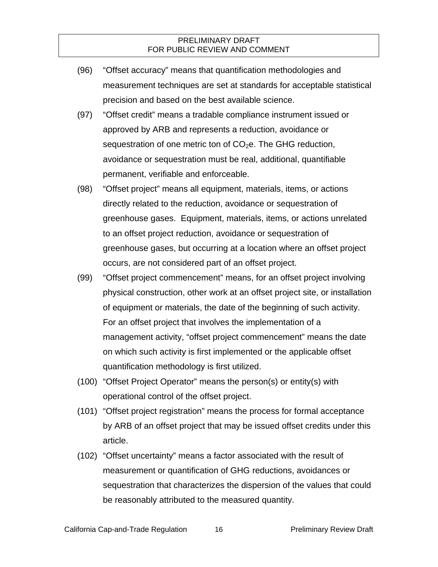- (96) "Offset accuracy" means that quantification methodologies and measurement techniques are set at standards for acceptable statistical precision and based on the best available science.
- (97) "Offset credit" means a tradable compliance instrument issued or approved by ARB and represents a reduction, avoidance or sequestration of one metric ton of  $CO<sub>2</sub>e$ . The GHG reduction, avoidance or sequestration must be real, additional, quantifiable permanent, verifiable and enforceable.
- (98) "Offset project" means all equipment, materials, items, or actions directly related to the reduction, avoidance or sequestration of greenhouse gases. Equipment, materials, items, or actions unrelated to an offset project reduction, avoidance or sequestration of greenhouse gases, but occurring at a location where an offset project occurs, are not considered part of an offset project.
- (99) "Offset project commencement" means, for an offset project involving physical construction, other work at an offset project site, or installation of equipment or materials, the date of the beginning of such activity. For an offset project that involves the implementation of a management activity, "offset project commencement" means the date on which such activity is first implemented or the applicable offset quantification methodology is first utilized.
- (100) "Offset Project Operator" means the person(s) or entity(s) with operational control of the offset project.
- (101) "Offset project registration" means the process for formal acceptance by ARB of an offset project that may be issued offset credits under this article.
- (102) "Offset uncertainty" means a factor associated with the result of measurement or quantification of GHG reductions, avoidances or sequestration that characterizes the dispersion of the values that could be reasonably attributed to the measured quantity.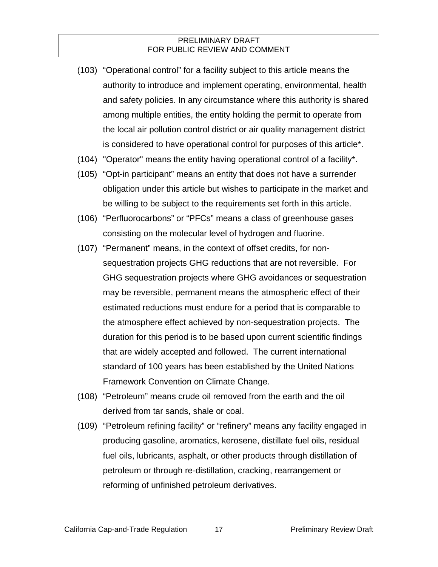- (103) "Operational control" for a facility subject to this article means the authority to introduce and implement operating, environmental, health and safety policies. In any circumstance where this authority is shared among multiple entities, the entity holding the permit to operate from the local air pollution control district or air quality management district is considered to have operational control for purposes of this article\*.
- (104) "Operator" means the entity having operational control of a facility\*.
- (105) "Opt-in participant" means an entity that does not have a surrender obligation under this article but wishes to participate in the market and be willing to be subject to the requirements set forth in this article.
- (106) "Perfluorocarbons" or "PFCs" means a class of greenhouse gases consisting on the molecular level of hydrogen and fluorine.
- (107) "Permanent" means, in the context of offset credits, for nonsequestration projects GHG reductions that are not reversible. For GHG sequestration projects where GHG avoidances or sequestration may be reversible, permanent means the atmospheric effect of their estimated reductions must endure for a period that is comparable to the atmosphere effect achieved by non-sequestration projects. The duration for this period is to be based upon current scientific findings that are widely accepted and followed. The current international standard of 100 years has been established by the United Nations Framework Convention on Climate Change.
- (108) "Petroleum" means crude oil removed from the earth and the oil derived from tar sands, shale or coal.
- (109) "Petroleum refining facility" or "refinery" means any facility engaged in producing gasoline, aromatics, kerosene, distillate fuel oils, residual fuel oils, lubricants, asphalt, or other products through distillation of petroleum or through re-distillation, cracking, rearrangement or reforming of unfinished petroleum derivatives.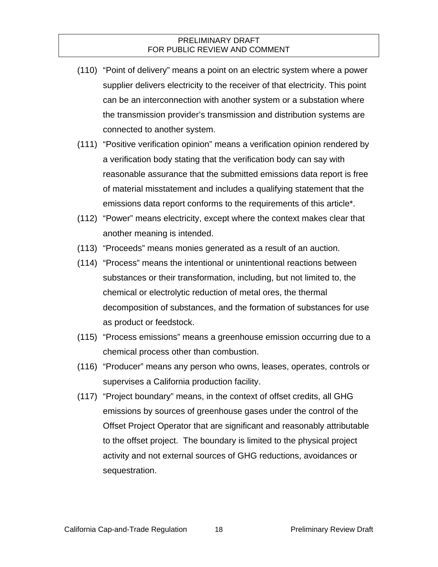- (110) "Point of delivery" means a point on an electric system where a power supplier delivers electricity to the receiver of that electricity. This point can be an interconnection with another system or a substation where the transmission provider's transmission and distribution systems are connected to another system.
- (111) "Positive verification opinion" means a verification opinion rendered by a verification body stating that the verification body can say with reasonable assurance that the submitted emissions data report is free of material misstatement and includes a qualifying statement that the emissions data report conforms to the requirements of this article\*.
- (112) "Power" means electricity, except where the context makes clear that another meaning is intended.
- (113) "Proceeds" means monies generated as a result of an auction.
- (114) "Process" means the intentional or unintentional reactions between substances or their transformation, including, but not limited to, the chemical or electrolytic reduction of metal ores, the thermal decomposition of substances, and the formation of substances for use as product or feedstock.
- (115) "Process emissions" means a greenhouse emission occurring due to a chemical process other than combustion.
- (116) "Producer" means any person who owns, leases, operates, controls or supervises a California production facility.
- (117) "Project boundary" means, in the context of offset credits, all GHG emissions by sources of greenhouse gases under the control of the Offset Project Operator that are significant and reasonably attributable to the offset project. The boundary is limited to the physical project activity and not external sources of GHG reductions, avoidances or sequestration.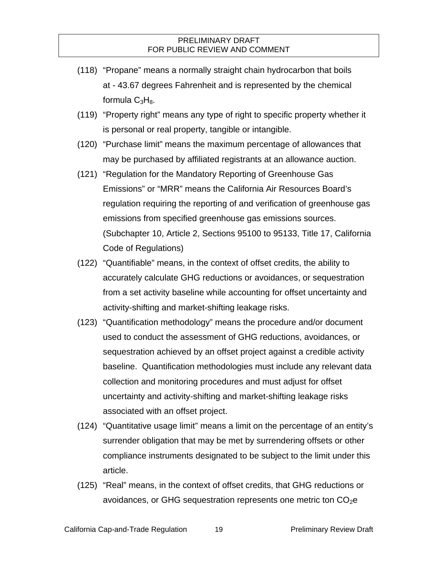- (118) "Propane" means a normally straight chain hydrocarbon that boils at - 43.67 degrees Fahrenheit and is represented by the chemical formula  $C_3H_8$ .
- (119) "Property right" means any type of right to specific property whether it is personal or real property, tangible or intangible.
- (120) "Purchase limit" means the maximum percentage of allowances that may be purchased by affiliated registrants at an allowance auction.
- (121) "Regulation for the Mandatory Reporting of Greenhouse Gas Emissions" or "MRR" means the California Air Resources Board's regulation requiring the reporting of and verification of greenhouse gas emissions from specified greenhouse gas emissions sources. (Subchapter 10, Article 2, Sections 95100 to 95133, Title 17, California Code of Regulations)
- (122) "Quantifiable" means, in the context of offset credits, the ability to accurately calculate GHG reductions or avoidances, or sequestration from a set activity baseline while accounting for offset uncertainty and activity-shifting and market-shifting leakage risks.
- (123) "Quantification methodology" means the procedure and/or document used to conduct the assessment of GHG reductions, avoidances, or sequestration achieved by an offset project against a credible activity baseline. Quantification methodologies must include any relevant data collection and monitoring procedures and must adjust for offset uncertainty and activity-shifting and market-shifting leakage risks associated with an offset project.
- (124) "Quantitative usage limit" means a limit on the percentage of an entity's surrender obligation that may be met by surrendering offsets or other compliance instruments designated to be subject to the limit under this article.
- (125) "Real" means, in the context of offset credits, that GHG reductions or avoidances, or GHG sequestration represents one metric ton  $CO<sub>2</sub>e$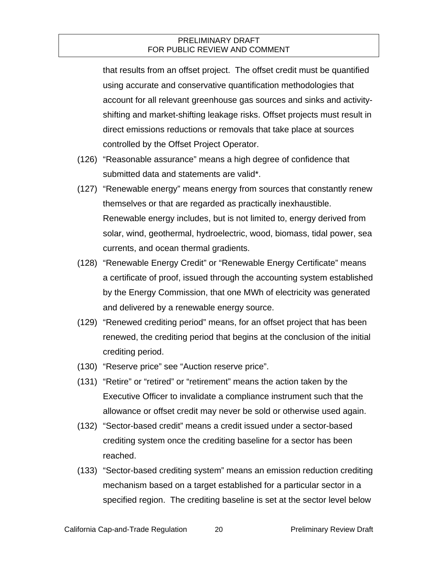that results from an offset project. The offset credit must be quantified using accurate and conservative quantification methodologies that account for all relevant greenhouse gas sources and sinks and activityshifting and market-shifting leakage risks. Offset projects must result in direct emissions reductions or removals that take place at sources controlled by the Offset Project Operator.

- (126) "Reasonable assurance" means a high degree of confidence that submitted data and statements are valid\*.
- (127) "Renewable energy" means energy from sources that constantly renew themselves or that are regarded as practically inexhaustible. Renewable energy includes, but is not limited to, energy derived from solar, wind, geothermal, hydroelectric, wood, biomass, tidal power, sea currents, and ocean thermal gradients.
- (128) "Renewable Energy Credit" or "Renewable Energy Certificate" means a certificate of proof, issued through the accounting system established by the Energy Commission, that one MWh of electricity was generated and delivered by a renewable energy source.
- (129) "Renewed crediting period" means, for an offset project that has been renewed, the crediting period that begins at the conclusion of the initial crediting period.
- (130) "Reserve price" see "Auction reserve price".
- (131) "Retire" or "retired" or "retirement" means the action taken by the Executive Officer to invalidate a compliance instrument such that the allowance or offset credit may never be sold or otherwise used again.
- (132) "Sector-based credit" means a credit issued under a sector-based crediting system once the crediting baseline for a sector has been reached.
- (133) "Sector-based crediting system" means an emission reduction crediting mechanism based on a target established for a particular sector in a specified region. The crediting baseline is set at the sector level below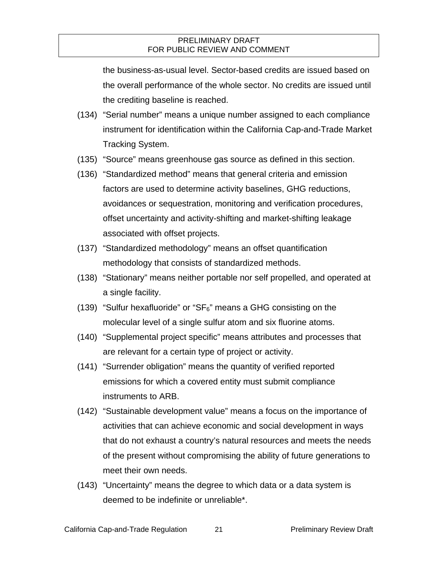the business-as-usual level. Sector-based credits are issued based on the overall performance of the whole sector. No credits are issued until the crediting baseline is reached.

- (134) "Serial number" means a unique number assigned to each compliance instrument for identification within the California Cap-and-Trade Market Tracking System.
- (135) "Source" means greenhouse gas source as defined in this section.
- (136) "Standardized method" means that general criteria and emission factors are used to determine activity baselines, GHG reductions, avoidances or sequestration, monitoring and verification procedures, offset uncertainty and activity-shifting and market-shifting leakage associated with offset projects.
- (137) "Standardized methodology" means an offset quantification methodology that consists of standardized methods.
- (138) "Stationary" means neither portable nor self propelled, and operated at a single facility.
- (139) "Sulfur hexafluoride" or " $SF<sub>6</sub>$ " means a GHG consisting on the molecular level of a single sulfur atom and six fluorine atoms.
- (140) "Supplemental project specific" means attributes and processes that are relevant for a certain type of project or activity.
- (141) "Surrender obligation" means the quantity of verified reported emissions for which a covered entity must submit compliance instruments to ARB.
- (142) "Sustainable development value" means a focus on the importance of activities that can achieve economic and social development in ways that do not exhaust a country's natural resources and meets the needs of the present without compromising the ability of future generations to meet their own needs.
- (143) "Uncertainty" means the degree to which data or a data system is deemed to be indefinite or unreliable\*.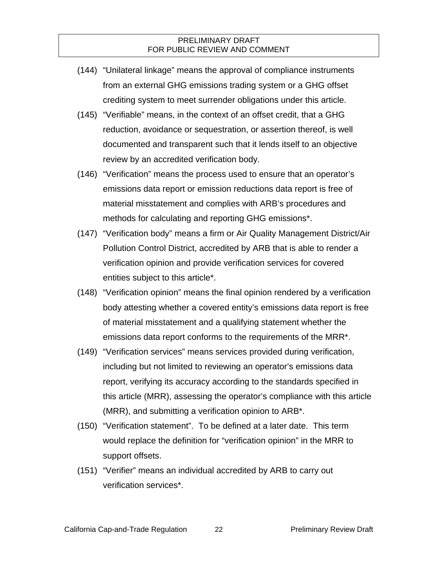- (144) "Unilateral linkage" means the approval of compliance instruments from an external GHG emissions trading system or a GHG offset crediting system to meet surrender obligations under this article.
- (145) "Verifiable" means, in the context of an offset credit, that a GHG reduction, avoidance or sequestration, or assertion thereof, is well documented and transparent such that it lends itself to an objective review by an accredited verification body.
- (146) "Verification" means the process used to ensure that an operator's emissions data report or emission reductions data report is free of material misstatement and complies with ARB's procedures and methods for calculating and reporting GHG emissions\*.
- (147) "Verification body" means a firm or Air Quality Management District/Air Pollution Control District, accredited by ARB that is able to render a verification opinion and provide verification services for covered entities subject to this article\*.
- (148) "Verification opinion" means the final opinion rendered by a verification body attesting whether a covered entity's emissions data report is free of material misstatement and a qualifying statement whether the emissions data report conforms to the requirements of the MRR\*.
- (149) "Verification services" means services provided during verification, including but not limited to reviewing an operator's emissions data report, verifying its accuracy according to the standards specified in this article (MRR), assessing the operator's compliance with this article (MRR), and submitting a verification opinion to ARB\*.
- (150) "Verification statement". To be defined at a later date. This term would replace the definition for "verification opinion" in the MRR to support offsets.
- (151) "Verifier" means an individual accredited by ARB to carry out verification services\*.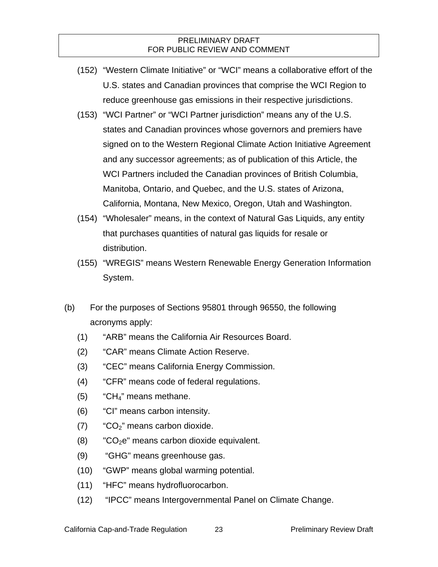- (152) "Western Climate Initiative" or "WCI" means a collaborative effort of the U.S. states and Canadian provinces that comprise the WCI Region to reduce greenhouse gas emissions in their respective jurisdictions.
- (153) "WCI Partner" or "WCI Partner jurisdiction" means any of the U.S. states and Canadian provinces whose governors and premiers have signed on to the Western Regional Climate Action Initiative Agreement and any successor agreements; as of publication of this Article, the WCI Partners included the Canadian provinces of British Columbia, Manitoba, Ontario, and Quebec, and the U.S. states of Arizona, California, Montana, New Mexico, Oregon, Utah and Washington.
- (154) "Wholesaler" means, in the context of Natural Gas Liquids, any entity that purchases quantities of natural gas liquids for resale or distribution.
- (155) "WREGIS" means Western Renewable Energy Generation Information System.
- (b) For the purposes of Sections 95801 through 96550, the following acronyms apply:
	- (1) "ARB" means the California Air Resources Board.
	- (2) "CAR" means Climate Action Reserve.
	- (3) "CEC" means California Energy Commission.
	- (4) "CFR" means code of federal regulations.
	- $(5)$  "CH<sub>4</sub>" means methane.
	- (6) "CI" means carbon intensity.
	- $(7)$  "CO<sub>2</sub>" means carbon dioxide.
	- $(8)$  "CO<sub>2</sub>e" means carbon dioxide equivalent.
	- (9) "GHG" means greenhouse gas.
	- (10) "GWP" means global warming potential.
	- (11) "HFC" means hydrofluorocarbon.
	- (12) "IPCC" means Intergovernmental Panel on Climate Change.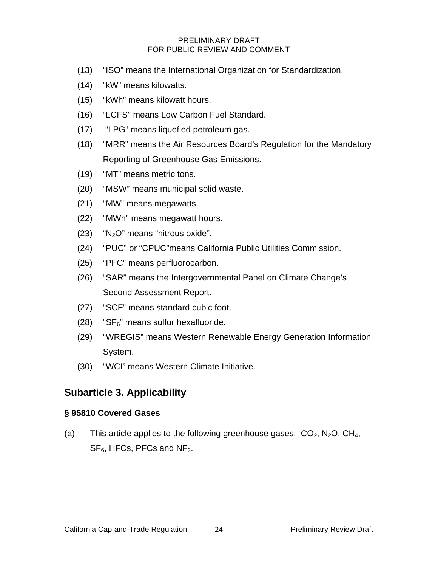- (13) "ISO" means the International Organization for Standardization.
- (14) "kW" means kilowatts.
- (15) "kWh" means kilowatt hours.
- (16) "LCFS" means Low Carbon Fuel Standard.
- (17) "LPG" means liquefied petroleum gas.
- (18) "MRR" means the Air Resources Board's Regulation for the Mandatory Reporting of Greenhouse Gas Emissions.
- (19) "MT" means metric tons.
- (20) "MSW" means municipal solid waste.
- (21) "MW" means megawatts.
- (22) "MWh" means megawatt hours.
- $(23)$  "N<sub>2</sub>O" means "nitrous oxide".
- (24) "PUC" or "CPUC"means California Public Utilities Commission.
- (25) "PFC" means perfluorocarbon.
- (26) "SAR" means the Intergovernmental Panel on Climate Change's Second Assessment Report.
- (27) "SCF" means standard cubic foot.
- $(28)$  "SF $<sub>6</sub>$ " means sulfur hexafluoride.</sub>
- (29) "WREGIS" means Western Renewable Energy Generation Information System.
- (30) "WCI" means Western Climate Initiative.

## **Subarticle 3. Applicability**

#### **§ 95810 Covered Gases**

(a) This article applies to the following greenhouse gases:  $CO_2$ ,  $N_2O$ ,  $CH_4$ ,  $SF<sub>6</sub>$ , HFCs, PFCs and NF<sub>3</sub>.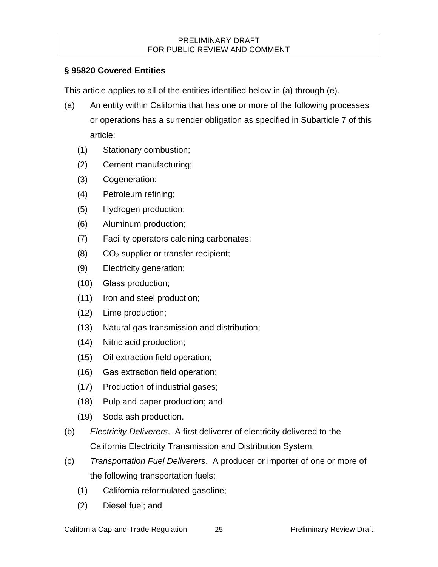## **§ 95820 Covered Entities**

This article applies to all of the entities identified below in (a) through (e).

- (a) An entity within California that has one or more of the following processes or operations has a surrender obligation as specified in Subarticle 7 of this article:
	- (1) Stationary combustion;
	- (2) Cement manufacturing;
	- (3) Cogeneration;
	- (4) Petroleum refining;
	- (5) Hydrogen production;
	- (6) Aluminum production;
	- (7) Facility operators calcining carbonates;
	- $(8)$  CO<sub>2</sub> supplier or transfer recipient;
	- (9) Electricity generation;
	- (10) Glass production;
	- (11) Iron and steel production;
	- (12) Lime production;
	- (13) Natural gas transmission and distribution;
	- (14) Nitric acid production;
	- (15) Oil extraction field operation;
	- (16) Gas extraction field operation;
	- (17) Production of industrial gases;
	- (18) Pulp and paper production; and
	- (19) Soda ash production.
- (b) *Electricity Deliverers*. A first deliverer of electricity delivered to the California Electricity Transmission and Distribution System.
- (c) *Transportation Fuel Deliverers*. A producer or importer of one or more of the following transportation fuels:
	- (1) California reformulated gasoline;
	- (2) Diesel fuel; and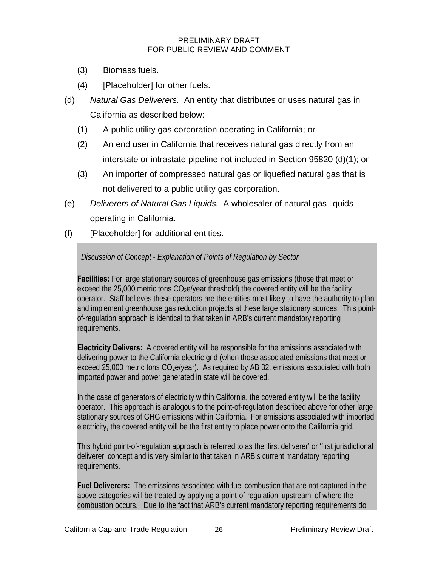- (3) Biomass fuels.
- (4) [Placeholder] for other fuels.
- (d) *Natural Gas Deliverers.* An entity that distributes or uses natural gas in California as described below:
	- (1) A public utility gas corporation operating in California; or
	- (2) An end user in California that receives natural gas directly from an interstate or intrastate pipeline not included in Section 95820 (d)(1); or
	- (3) An importer of compressed natural gas or liquefied natural gas that is not delivered to a public utility gas corporation.
- (e) *Deliverers of Natural Gas Liquids.* A wholesaler of natural gas liquids operating in California.
- (f) [Placeholder] for additional entities.

#### *Discussion of Concept - Explanation of Points of Regulation by Sector*

**Facilities:** For large stationary sources of greenhouse gas emissions (those that meet or exceed the 25,000 metric tons  $CO<sub>2</sub>e/year$  threshold) the covered entity will be the facility operator. Staff believes these operators are the entities most likely to have the authority to plan and implement greenhouse gas reduction projects at these large stationary sources. This pointof-regulation approach is identical to that taken in ARB's current mandatory reporting requirements.

**Electricity Delivers:** A covered entity will be responsible for the emissions associated with delivering power to the California electric grid (when those associated emissions that meet or exceed 25,000 metric tons  $CO<sub>2</sub>e/year$ ). As required by AB 32, emissions associated with both imported power and power generated in state will be covered.

In the case of generators of electricity within California, the covered entity will be the facility operator. This approach is analogous to the point-of-regulation described above for other large stationary sources of GHG emissions within California. For emissions associated with imported electricity, the covered entity will be the first entity to place power onto the California grid.

This hybrid point-of-regulation approach is referred to as the 'first deliverer' or 'first jurisdictional deliverer' concept and is very similar to that taken in ARB's current mandatory reporting requirements.

**Fuel Deliverers:** The emissions associated with fuel combustion that are not captured in the above categories will be treated by applying a point-of-regulation 'upstream' of where the combustion occurs. Due to the fact that ARB's current mandatory reporting requirements do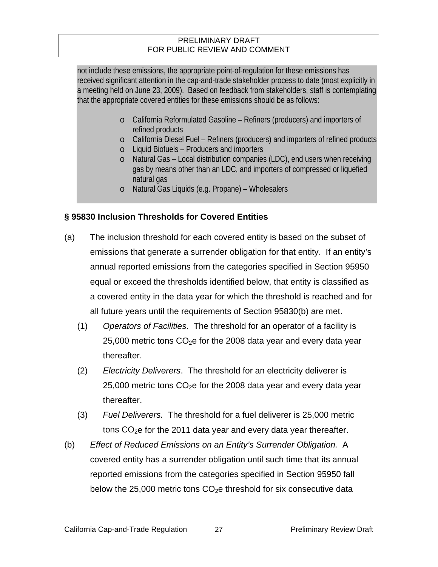not include these emissions, the appropriate point-of-regulation for these emissions has received significant attention in the cap-and-trade stakeholder process to date (most explicitly in a meeting held on June 23, 2009). Based on feedback from stakeholders, staff is contemplating that the appropriate covered entities for these emissions should be as follows:

- o California Reformulated Gasoline Refiners (producers) and importers of refined products
- o California Diesel Fuel Refiners (producers) and importers of refined products
- o Liquid Biofuels Producers and importers
- o Natural Gas Local distribution companies (LDC), end users when receiving gas by means other than an LDC, and importers of compressed or liquefied natural gas
- o Natural Gas Liquids (e.g. Propane) Wholesalers

### **§ 95830 Inclusion Thresholds for Covered Entities**

- (a) The inclusion threshold for each covered entity is based on the subset of emissions that generate a surrender obligation for that entity. If an entity's annual reported emissions from the categories specified in Section 95950 equal or exceed the thresholds identified below, that entity is classified as a covered entity in the data year for which the threshold is reached and for all future years until the requirements of Section 95830(b) are met.
	- (1) *Operators of Facilities*. The threshold for an operator of a facility is  $25,000$  metric tons  $CO<sub>2</sub>e$  for the 2008 data year and every data year thereafter.
	- (2) *Electricity Deliverers*. The threshold for an electricity deliverer is  $25,000$  metric tons  $CO<sub>2</sub>e$  for the 2008 data year and every data year thereafter.
	- (3) *Fuel Deliverers.* The threshold for a fuel deliverer is 25,000 metric tons  $CO<sub>2</sub>e$  for the 2011 data year and every data year thereafter.
- (b) *Effect of Reduced Emissions on an Entity's Surrender Obligation.* A covered entity has a surrender obligation until such time that its annual reported emissions from the categories specified in Section 95950 fall below the 25,000 metric tons  $CO<sub>2</sub>e$  threshold for six consecutive data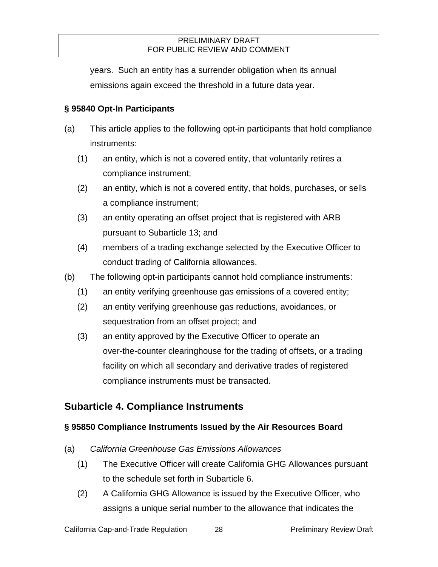years. Such an entity has a surrender obligation when its annual emissions again exceed the threshold in a future data year.

## **§ 95840 Opt-In Participants**

- (a) This article applies to the following opt-in participants that hold compliance instruments:
	- (1) an entity, which is not a covered entity, that voluntarily retires a compliance instrument;
	- (2) an entity, which is not a covered entity, that holds, purchases, or sells a compliance instrument;
	- (3) an entity operating an offset project that is registered with ARB pursuant to Subarticle 13; and
	- (4) members of a trading exchange selected by the Executive Officer to conduct trading of California allowances.
- (b) The following opt-in participants cannot hold compliance instruments:
	- (1) an entity verifying greenhouse gas emissions of a covered entity;
	- (2) an entity verifying greenhouse gas reductions, avoidances, or sequestration from an offset project; and
	- (3) an entity approved by the Executive Officer to operate an over-the-counter clearinghouse for the trading of offsets, or a trading facility on which all secondary and derivative trades of registered compliance instruments must be transacted.

## **Subarticle 4. Compliance Instruments**

## **§ 95850 Compliance Instruments Issued by the Air Resources Board**

- (a) *California Greenhouse Gas Emissions Allowances*
	- (1) The Executive Officer will create California GHG Allowances pursuant to the schedule set forth in Subarticle 6.
	- (2) A California GHG Allowance is issued by the Executive Officer, who assigns a unique serial number to the allowance that indicates the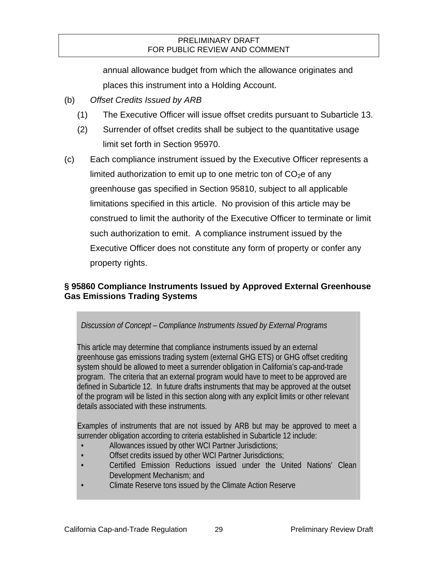annual allowance budget from which the allowance originates and places this instrument into a Holding Account.

- (b) *Offset Credits Issued by ARB*
	- (1) The Executive Officer will issue offset credits pursuant to Subarticle 13.
	- (2) Surrender of offset credits shall be subject to the quantitative usage limit set forth in Section 95970.
- (c) Each compliance instrument issued by the Executive Officer represents a limited authorization to emit up to one metric ton of  $CO<sub>2</sub>e$  of any greenhouse gas specified in Section 95810, subject to all applicable limitations specified in this article. No provision of this article may be construed to limit the authority of the Executive Officer to terminate or limit such authorization to emit. A compliance instrument issued by the Executive Officer does not constitute any form of property or confer any property rights.

## **§ 95860 Compliance Instruments Issued by Approved External Greenhouse Gas Emissions Trading Systems**

## *Discussion of Concept – Compliance Instruments Issued by External Programs*

This article may determine that compliance instruments issued by an external greenhouse gas emissions trading system (external GHG ETS) or GHG offset crediting system should be allowed to meet a surrender obligation in California's cap-and-trade program. The criteria that an external program would have to meet to be approved are defined in Subarticle 12. In future drafts instruments that may be approved at the outset of the program will be listed in this section along with any explicit limits or other relevant details associated with these instruments.

Examples of instruments that are not issued by ARB but may be approved to meet a surrender obligation according to criteria established in Subarticle 12 include:

- Allowances issued by other WCI Partner Jurisdictions;
- Offset credits issued by other WCI Partner Jurisdictions;
- Certified Emission Reductions issued under the United Nations' Clean Development Mechanism; and
- Climate Reserve tons issued by the Climate Action Reserve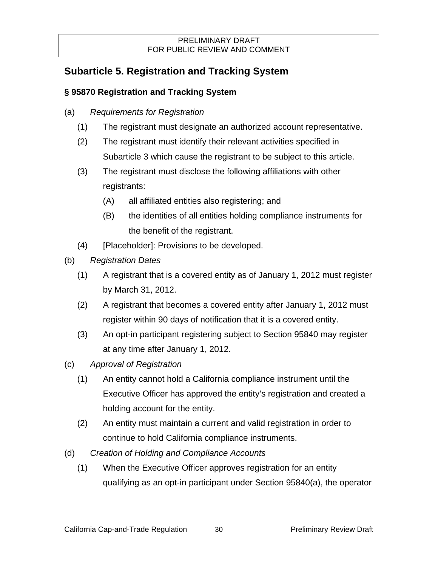# **Subarticle 5. Registration and Tracking System**

## **§ 95870 Registration and Tracking System**

- (a) *Requirements for Registration* 
	- (1) The registrant must designate an authorized account representative.
	- (2) The registrant must identify their relevant activities specified in Subarticle 3 which cause the registrant to be subject to this article.
	- (3) The registrant must disclose the following affiliations with other registrants:
		- (A) all affiliated entities also registering; and
		- (B) the identities of all entities holding compliance instruments for the benefit of the registrant.
	- (4) [Placeholder]: Provisions to be developed.
- (b) *Registration Dates*
	- (1) A registrant that is a covered entity as of January 1, 2012 must register by March 31, 2012.
	- (2) A registrant that becomes a covered entity after January 1, 2012 must register within 90 days of notification that it is a covered entity.
	- (3) An opt-in participant registering subject to Section 95840 may register at any time after January 1, 2012.
- (c) *Approval of Registration* 
	- (1) An entity cannot hold a California compliance instrument until the Executive Officer has approved the entity's registration and created a holding account for the entity.
	- (2) An entity must maintain a current and valid registration in order to continue to hold California compliance instruments.
- (d) *Creation of Holding and Compliance Accounts*
	- (1) When the Executive Officer approves registration for an entity qualifying as an opt-in participant under Section 95840(a), the operator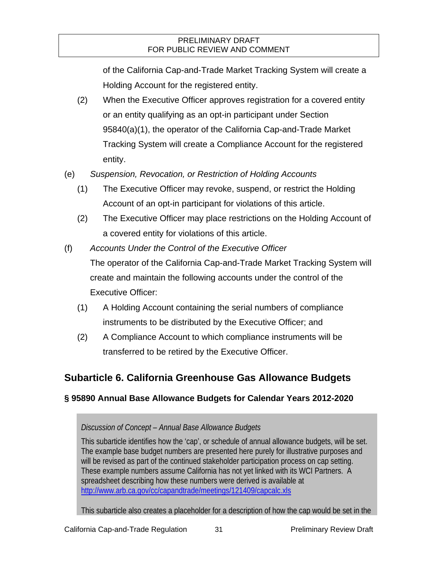of the California Cap-and-Trade Market Tracking System will create a Holding Account for the registered entity.

- (2) When the Executive Officer approves registration for a covered entity or an entity qualifying as an opt-in participant under Section 95840(a)(1), the operator of the California Cap-and-Trade Market Tracking System will create a Compliance Account for the registered entity.
- (e) *Suspension, Revocation, or Restriction of Holding Accounts* 
	- (1) The Executive Officer may revoke, suspend, or restrict the Holding Account of an opt-in participant for violations of this article.
	- (2) The Executive Officer may place restrictions on the Holding Account of a covered entity for violations of this article.
- (f) *Accounts Under the Control of the Executive Officer* The operator of the California Cap-and-Trade Market Tracking System will create and maintain the following accounts under the control of the Executive Officer:
	- (1) A Holding Account containing the serial numbers of compliance instruments to be distributed by the Executive Officer; and
	- (2) A Compliance Account to which compliance instruments will be transferred to be retired by the Executive Officer.

# **Subarticle 6. California Greenhouse Gas Allowance Budgets**

## **§ 95890 Annual Base Allowance Budgets for Calendar Years 2012-2020**

## *Discussion of Concept – Annual Base Allowance Budgets*

This subarticle identifies how the 'cap', or schedule of annual allowance budgets, will be set. The example base budget numbers are presented here purely for illustrative purposes and will be revised as part of the continued stakeholder participation process on cap setting. These example numbers assume California has not yet linked with its WCI Partners. A spreadsheet describing how these numbers were derived is available at http://www.arb.ca.gov/cc/capandtrade/meetings/121409/capcalc.xls

This subarticle also creates a placeholder for a description of how the cap would be set in the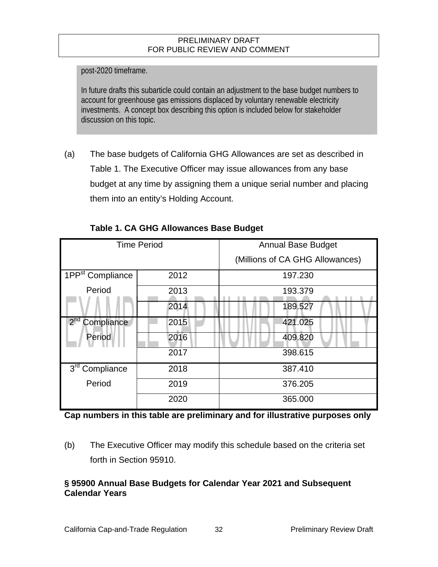post-2020 timeframe.

In future drafts this subarticle could contain an adjustment to the base budget numbers to account for greenhouse gas emissions displaced by voluntary renewable electricity investments. A concept box describing this option is included below for stakeholder discussion on this topic.

(a) The base budgets of California GHG Allowances are set as described in Table 1. The Executive Officer may issue allowances from any base budget at any time by assigning them a unique serial number and placing them into an entity's Holding Account.

| <b>Time Period</b>            |      | <b>Annual Base Budget</b>       |
|-------------------------------|------|---------------------------------|
|                               |      | (Millions of CA GHG Allowances) |
| 1PP <sup>st</sup> Compliance  | 2012 | 197.230                         |
| Period                        | 2013 | 193.379                         |
|                               | 2014 | 189.527                         |
| 2 <sup>nd</sup><br>Compliance | 2015 | 421.025                         |
| Period                        | 2016 | 409.820                         |
|                               | 2017 | 398.615                         |
| 3 <sup>rd</sup><br>Compliance | 2018 | 387.410                         |
| Period                        | 2019 | 376.205                         |
|                               | 2020 | 365.000                         |

## **Table 1. CA GHG Allowances Base Budget**

**Cap numbers in this table are preliminary and for illustrative purposes only** 

(b) The Executive Officer may modify this schedule based on the criteria set forth in Section 95910.

### **§ 95900 Annual Base Budgets for Calendar Year 2021 and Subsequent Calendar Years**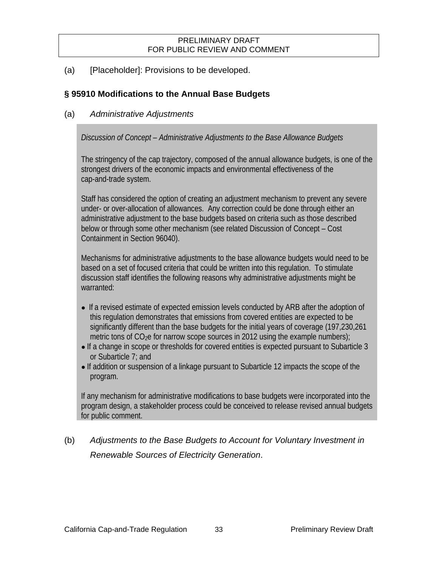(a) [Placeholder]: Provisions to be developed.

## **§ 95910 Modifications to the Annual Base Budgets**

## (a) *Administrative Adjustments*

*Discussion of Concept – Administrative Adjustments to the Base Allowance Budgets* 

The stringency of the cap trajectory, composed of the annual allowance budgets, is one of the strongest drivers of the economic impacts and environmental effectiveness of the cap-and-trade system.

Staff has considered the option of creating an adjustment mechanism to prevent any severe under- or over-allocation of allowances. Any correction could be done through either an administrative adjustment to the base budgets based on criteria such as those described below or through some other mechanism (see related Discussion of Concept – Cost Containment in Section 96040).

Mechanisms for administrative adjustments to the base allowance budgets would need to be based on a set of focused criteria that could be written into this regulation. To stimulate discussion staff identifies the following reasons why administrative adjustments might be warranted:

- **●** If a revised estimate of expected emission levels conducted by ARB after the adoption of this regulation demonstrates that emissions from covered entities are expected to be significantly different than the base budgets for the initial years of coverage (197,230,261 metric tons of  $CO<sub>2</sub>e$  for narrow scope sources in 2012 using the example numbers);
- **●** If a change in scope or thresholds for covered entities is expected pursuant to Subarticle 3 or Subarticle 7; and
- **●** If addition or suspension of a linkage pursuant to Subarticle 12 impacts the scope of the program.

If any mechanism for administrative modifications to base budgets were incorporated into the program design, a stakeholder process could be conceived to release revised annual budgets for public comment.

# (b) *Adjustments to the Base Budgets to Account for Voluntary Investment in Renewable Sources of Electricity Generation*.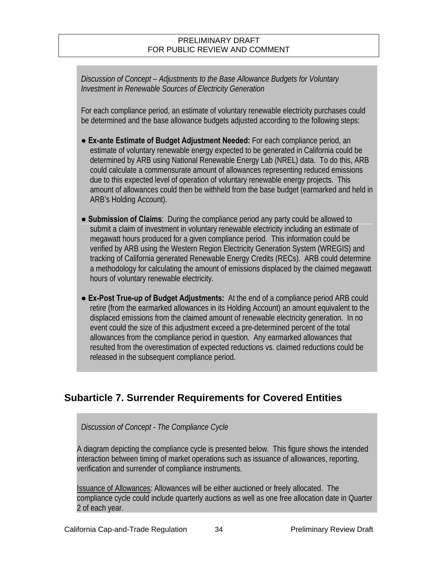*Discussion of Concept – Adjustments to the Base Allowance Budgets for Voluntary Investment in Renewable Sources of Electricity Generation* 

For each compliance period, an estimate of voluntary renewable electricity purchases could be determined and the base allowance budgets adjusted according to the following steps:

- **● Ex-ante Estimate of Budget Adjustment Needed:** For each compliance period, an estimate of voluntary renewable energy expected to be generated in California could be determined by ARB using National Renewable Energy Lab (NREL) data. To do this, ARB could calculate a commensurate amount of allowances representing reduced emissions due to this expected level of operation of voluntary renewable energy projects. This amount of allowances could then be withheld from the base budget (earmarked and held in ARB's Holding Account).
- **● Submission of Claims**: During the compliance period any party could be allowed to submit a claim of investment in voluntary renewable electricity including an estimate of megawatt hours produced for a given compliance period. This information could be verified by ARB using the Western Region Electricity Generation System (WREGIS) and tracking of California generated Renewable Energy Credits (RECs). ARB could determine a methodology for calculating the amount of emissions displaced by the claimed megawatt hours of voluntary renewable electricity.
- **● Ex-Post True-up of Budget Adjustments:** At the end of a compliance period ARB could retire (from the earmarked allowances in its Holding Account) an amount equivalent to the displaced emissions from the claimed amount of renewable electricity generation. In no event could the size of this adjustment exceed a pre-determined percent of the total allowances from the compliance period in question. Any earmarked allowances that resulted from the overestimation of expected reductions vs. claimed reductions could be released in the subsequent compliance period.

## **Subarticle 7. Surrender Requirements for Covered Entities**

#### *Discussion of Concept - The Compliance Cycle*

A diagram depicting the compliance cycle is presented below. This figure shows the intended interaction between timing of market operations such as issuance of allowances, reporting, verification and surrender of compliance instruments.

Issuance of Allowances: Allowances will be either auctioned or freely allocated. The compliance cycle could include quarterly auctions as well as one free allocation date in Quarter 2 of each year.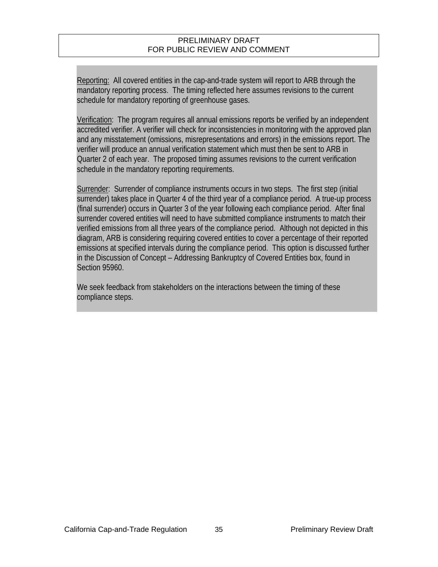Reporting: All covered entities in the cap-and-trade system will report to ARB through the mandatory reporting process. The timing reflected here assumes revisions to the current schedule for mandatory reporting of greenhouse gases.

Verification: The program requires all annual emissions reports be verified by an independent accredited verifier. A verifier will check for inconsistencies in monitoring with the approved plan and any misstatement (omissions, misrepresentations and errors) in the emissions report. The verifier will produce an annual verification statement which must then be sent to ARB in Quarter 2 of each year. The proposed timing assumes revisions to the current verification schedule in the mandatory reporting requirements.

Surrender: Surrender of compliance instruments occurs in two steps. The first step (initial surrender) takes place in Quarter 4 of the third year of a compliance period. A true-up process (final surrender) occurs in Quarter 3 of the year following each compliance period. After final surrender covered entities will need to have submitted compliance instruments to match their verified emissions from all three years of the compliance period. Although not depicted in this diagram, ARB is considering requiring covered entities to cover a percentage of their reported emissions at specified intervals during the compliance period. This option is discussed further in the Discussion of Concept – Addressing Bankruptcy of Covered Entities box, found in Section 95960.

We seek feedback from stakeholders on the interactions between the timing of these compliance steps.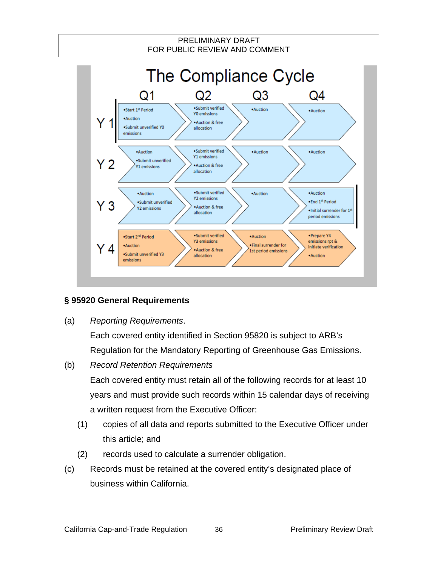

## **§ 95920 General Requirements**

(a) *Reporting Requirements*.

Each covered entity identified in Section 95820 is subject to ARB's Regulation for the Mandatory Reporting of Greenhouse Gas Emissions.

- (b) *Record Retention Requirements* Each covered entity must retain all of the following records for at least 10 years and must provide such records within 15 calendar days of receiving a written request from the Executive Officer:
	- (1) copies of all data and reports submitted to the Executive Officer under this article; and
	- (2) records used to calculate a surrender obligation.
- (c) Records must be retained at the covered entity's designated place of business within California.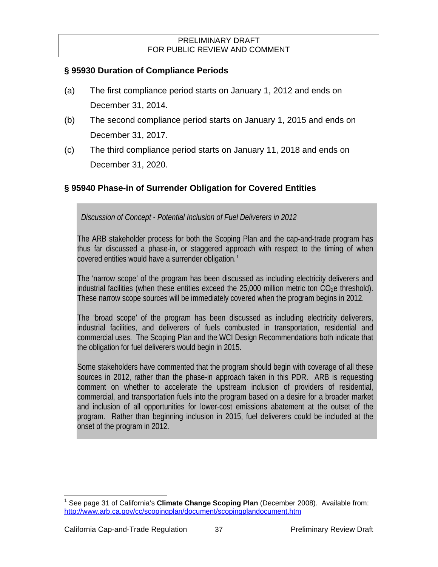## **§ 95930 Duration of Compliance Periods**

- (a) The first compliance period starts on January 1, 2012 and ends on December 31, 2014.
- (b) The second compliance period starts on January 1, 2015 and ends on December 31, 2017.
- (c) The third compliance period starts on January 11, 2018 and ends on December 31, 2020.

## **§ 95940 Phase-in of Surrender Obligation for Covered Entities**

*Discussion of Concept - Potential Inclusion of Fuel Deliverers in 2012* 

The ARB stakeholder process for both the Scoping Plan and the cap-and-trade program has thus far discussed a phase-in, or staggered approach with respect to the timing of when covered entities would have a surrender obligation. $1$ 

The 'narrow scope' of the program has been discussed as including electricity deliverers and industrial facilities (when these entities exceed the  $25,000$  million metric ton  $CO<sub>2</sub>e$  threshold). These narrow scope sources will be immediately covered when the program begins in 2012.

The 'broad scope' of the program has been discussed as including electricity deliverers, industrial facilities, and deliverers of fuels combusted in transportation, residential and commercial uses. The Scoping Plan and the WCI Design Recommendations both indicate that the obligation for fuel deliverers would begin in 2015.

Some stakeholders have commented that the program should begin with coverage of all these sources in 2012, rather than the phase-in approach taken in this PDR. ARB is requesting comment on whether to accelerate the upstream inclusion of providers of residential, commercial, and transportation fuels into the program based on a desire for a broader market and inclusion of all opportunities for lower-cost emissions abatement at the outset of the program. Rather than beginning inclusion in 2015, fuel deliverers could be included at the onset of the program in 2012.

 $\overline{\phantom{a}}$ 

<span id="page-58-0"></span><sup>1</sup> See page 31 of California's **Climate Change Scoping Plan** (December 2008). Available from: <http://www.arb.ca.gov/cc/scopingplan/document/scopingplandocument.htm>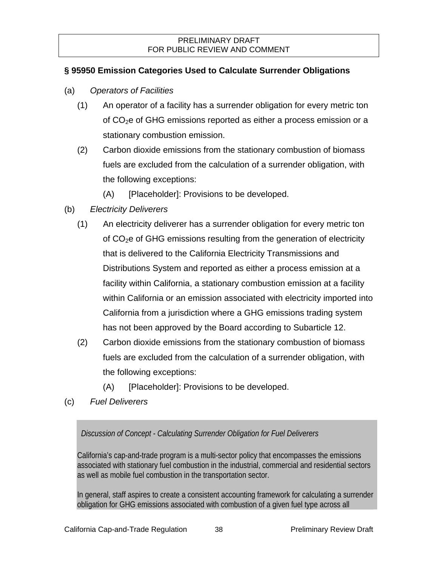## **§ 95950 Emission Categories Used to Calculate Surrender Obligations**

- (a) *Operators of Facilities*
	- (1) An operator of a facility has a surrender obligation for every metric ton of CO2e of GHG emissions reported as either a process emission or a stationary combustion emission.
	- (2) Carbon dioxide emissions from the stationary combustion of biomass fuels are excluded from the calculation of a surrender obligation, with the following exceptions:
		- (A) [Placeholder]: Provisions to be developed.
- (b) *Electricity Deliverers*
	- (1) An electricity deliverer has a surrender obligation for every metric ton of  $CO<sub>2</sub>e$  of GHG emissions resulting from the generation of electricity that is delivered to the California Electricity Transmissions and Distributions System and reported as either a process emission at a facility within California, a stationary combustion emission at a facility within California or an emission associated with electricity imported into California from a jurisdiction where a GHG emissions trading system has not been approved by the Board according to Subarticle 12.
	- (2) Carbon dioxide emissions from the stationary combustion of biomass fuels are excluded from the calculation of a surrender obligation, with the following exceptions:
		- (A) [Placeholder]: Provisions to be developed.
- (c) *Fuel Deliverers*

*Discussion of Concept - Calculating Surrender Obligation for Fuel Deliverers* 

California's cap-and-trade program is a multi-sector policy that encompasses the emissions associated with stationary fuel combustion in the industrial, commercial and residential sectors as well as mobile fuel combustion in the transportation sector.

In general, staff aspires to create a consistent accounting framework for calculating a surrender obligation for GHG emissions associated with combustion of a given fuel type across all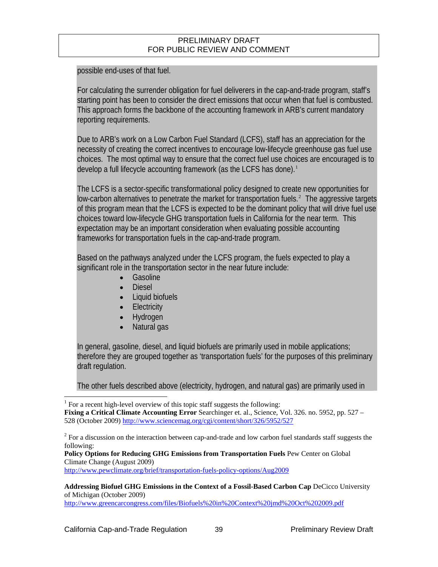possible end-uses of that fuel.

For calculating the surrender obligation for fuel deliverers in the cap-and-trade program, staff's starting point has been to consider the direct emissions that occur when that fuel is combusted. This approach forms the backbone of the accounting framework in ARB's current mandatory reporting requirements.

Due to ARB's work on a Low Carbon Fuel Standard (LCFS), staff has an appreciation for the necessity of creating the correct incentives to encourage low-lifecycle greenhouse gas fuel use choices. The most optimal way to ensure that the correct fuel use choices are encouraged is to develop a full lifecycle accounting framework (as the LCFS has done).<sup>[1](#page-60-0)</sup>

The LCFS is a sector-specific transformational policy designed to create new opportunities for low-carbon alternatives to penetrate the market for transportation fuels. $2$  The aggressive targets of this program mean that the LCFS is expected to be the dominant policy that will drive fuel use choices toward low-lifecycle GHG transportation fuels in California for the near term. This expectation may be an important consideration when evaluating possible accounting frameworks for transportation fuels in the cap-and-trade program.

Based on the pathways analyzed under the LCFS program, the fuels expected to play a significant role in the transportation sector in the near future include:

- Gasoline
- Diesel
- Liquid biofuels
- **Electricity**
- Hydrogen
- Natural gas

In general, gasoline, diesel, and liquid biofuels are primarily used in mobile applications; therefore they are grouped together as 'transportation fuels' for the purposes of this preliminary draft regulation.

The other fuels described above (electricity, hydrogen, and natural gas) are primarily used in

<span id="page-60-1"></span> $2^2$  For a discussion on the interaction between cap-and-trade and low carbon fuel standards staff suggests the following:

**Policy Options for Reducing GHG Emissions from Transportation Fuels** Pew Center on Global Climate Change (August 2009)

<http://www.pewclimate.org/brief/transportation-fuels-policy-options/Aug2009>

**Addressing Biofuel GHG Emissions in the Context of a Fossil-Based Carbon Cap** DeCicco University of Michigan (October 2009)

<http://www.greencarcongress.com/files/Biofuels%20in%20Context%20jmd%20Oct%202009.pdf>

 $\overline{\phantom{a}}$ 

 $1$  For a recent high-level overview of this topic staff suggests the following:

<span id="page-60-0"></span>**Fixing a Critical Climate Accounting Error** Searchinger et. al., Science, Vol. 326. no. 5952, pp. 527 – 528 (October 2009)<http://www.sciencemag.org/cgi/content/short/326/5952/527>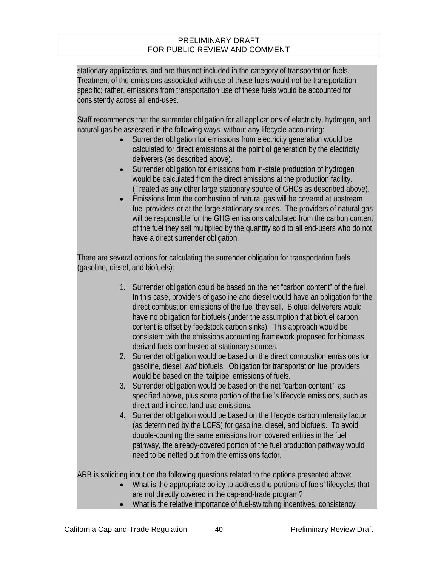stationary applications, and are thus not included in the category of transportation fuels. Treatment of the emissions associated with use of these fuels would not be transportationspecific; rather, emissions from transportation use of these fuels would be accounted for consistently across all end-uses.

Staff recommends that the surrender obligation for all applications of electricity, hydrogen, and natural gas be assessed in the following ways, without any lifecycle accounting:

- Surrender obligation for emissions from electricity generation would be calculated for direct emissions at the point of generation by the electricity deliverers (as described above).
- Surrender obligation for emissions from in-state production of hydrogen would be calculated from the direct emissions at the production facility. (Treated as any other large stationary source of GHGs as described above).
- Emissions from the combustion of natural gas will be covered at upstream fuel providers or at the large stationary sources. The providers of natural gas will be responsible for the GHG emissions calculated from the carbon content of the fuel they sell multiplied by the quantity sold to all end-users who do not have a direct surrender obligation.

There are several options for calculating the surrender obligation for transportation fuels (gasoline, diesel, and biofuels):

- 1. Surrender obligation could be based on the net "carbon content" of the fuel. In this case, providers of gasoline and diesel would have an obligation for the direct combustion emissions of the fuel they sell. Biofuel deliverers would have no obligation for biofuels (under the assumption that biofuel carbon content is offset by feedstock carbon sinks). This approach would be consistent with the emissions accounting framework proposed for biomass derived fuels combusted at stationary sources.
- 2. Surrender obligation would be based on the direct combustion emissions for gasoline, diesel, *and* biofuels. Obligation for transportation fuel providers would be based on the 'tailpipe' emissions of fuels.
- 3. Surrender obligation would be based on the net "carbon content", as specified above, plus some portion of the fuel's lifecycle emissions, such as direct and indirect land use emissions.
- 4. Surrender obligation would be based on the lifecycle carbon intensity factor (as determined by the LCFS) for gasoline, diesel, and biofuels. To avoid double-counting the same emissions from covered entities in the fuel pathway, the already-covered portion of the fuel production pathway would need to be netted out from the emissions factor.

ARB is soliciting input on the following questions related to the options presented above:

- What is the appropriate policy to address the portions of fuels' lifecycles that are not directly covered in the cap-and-trade program?
- What is the relative importance of fuel-switching incentives, consistency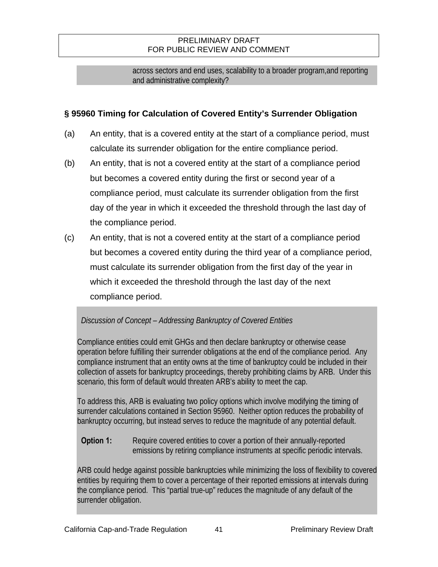across sectors and end uses, scalability to a broader program,and reporting and administrative complexity?

## **§ 95960 Timing for Calculation of Covered Entity's Surrender Obligation**

- (a) An entity, that is a covered entity at the start of a compliance period, must calculate its surrender obligation for the entire compliance period.
- (b) An entity, that is not a covered entity at the start of a compliance period but becomes a covered entity during the first or second year of a compliance period, must calculate its surrender obligation from the first day of the year in which it exceeded the threshold through the last day of the compliance period.
- (c) An entity, that is not a covered entity at the start of a compliance period but becomes a covered entity during the third year of a compliance period, must calculate its surrender obligation from the first day of the year in which it exceeded the threshold through the last day of the next compliance period.

## *Discussion of Concept – Addressing Bankruptcy of Covered Entities*

Compliance entities could emit GHGs and then declare bankruptcy or otherwise cease operation before fulfilling their surrender obligations at the end of the compliance period. Any compliance instrument that an entity owns at the time of bankruptcy could be included in their collection of assets for bankruptcy proceedings, thereby prohibiting claims by ARB. Under this scenario, this form of default would threaten ARB's ability to meet the cap.

To address this, ARB is evaluating two policy options which involve modifying the timing of surrender calculations contained in Section 95960. Neither option reduces the probability of bankruptcy occurring, but instead serves to reduce the magnitude of any potential default.

## **Option 1:** Require covered entities to cover a portion of their annually-reported emissions by retiring compliance instruments at specific periodic intervals.

ARB could hedge against possible bankruptcies while minimizing the loss of flexibility to covered entities by requiring them to cover a percentage of their reported emissions at intervals during the compliance period. This "partial true-up" reduces the magnitude of any default of the surrender obligation.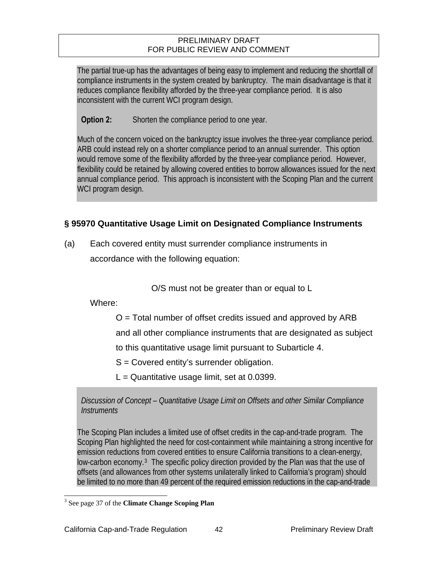The partial true-up has the advantages of being easy to implement and reducing the shortfall of compliance instruments in the system created by bankruptcy. The main disadvantage is that it reduces compliance flexibility afforded by the three-year compliance period. It is also inconsistent with the current WCI program design.

**Option 2:** Shorten the compliance period to one year.

Much of the concern voiced on the bankruptcy issue involves the three-year compliance period. ARB could instead rely on a shorter compliance period to an annual surrender. This option would remove some of the flexibility afforded by the three-year compliance period. However, flexibility could be retained by allowing covered entities to borrow allowances issued for the next annual compliance period. This approach is inconsistent with the Scoping Plan and the current WCI program design.

## **§ 95970 Quantitative Usage Limit on Designated Compliance Instruments**

(a) Each covered entity must surrender compliance instruments in accordance with the following equation:

O/S must not be greater than or equal to L

Where:

 $O =$  Total number of offset credits issued and approved by ARB

and all other compliance instruments that are designated as subject

to this quantitative usage limit pursuant to Subarticle 4.

S = Covered entity's surrender obligation.

 $L =$  Quantitative usage limit, set at 0.0399.

*Discussion of Concept – Quantitative Usage Limit on Offsets and other Similar Compliance Instruments* 

The Scoping Plan includes a limited use of offset credits in the cap-and-trade program. The Scoping Plan highlighted the need for cost-containment while maintaining a strong incentive for emission reductions from covered entities to ensure California transitions to a clean-energy, low-carbon economy.<sup>[3](#page-63-0)</sup> The specific policy direction provided by the Plan was that the use of offsets (and allowances from other systems unilaterally linked to California's program) should be limited to no more than 49 percent of the required emission reductions in the cap-and-trade

<span id="page-63-0"></span> 3 See page 37 of the **Climate Change Scoping Plan**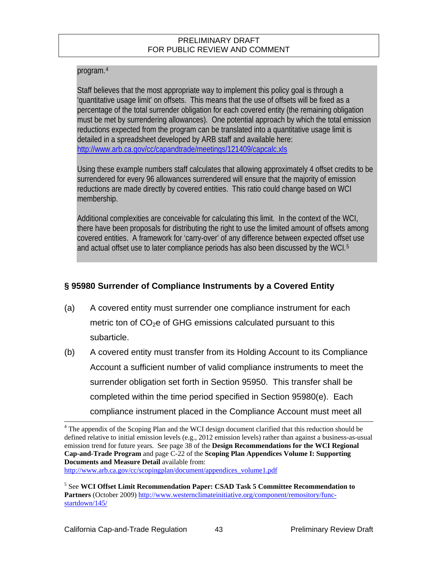## program.[4](#page-64-0)

Staff believes that the most appropriate way to implement this policy goal is through a 'quantitative usage limit' on offsets. This means that the use of offsets will be fixed as a percentage of the total surrender obligation for each covered entity (the remaining obligation must be met by surrendering allowances). One potential approach by which the total emission reductions expected from the program can be translated into a quantitative usage limit is detailed in a spreadsheet developed by ARB staff and available here: http://www.arb.ca.gov/cc/capandtrade/meetings/121409/capcalc.xls

Using these example numbers staff calculates that allowing approximately 4 offset credits to be surrendered for every 96 allowances surrendered will ensure that the majority of emission reductions are made directly by covered entities. This ratio could change based on WCI membership.

Additional complexities are conceivable for calculating this limit. In the context of the WCI, there have been proposals for distributing the right to use the limited amount of offsets among covered entities. A framework for 'carry-over' of any difference between expected offset use and actual offset use to later compliance periods has also been discussed by the WCI.[5](#page-64-1)

## **§ 95980 Surrender of Compliance Instruments by a Covered Entity**

- (a) A covered entity must surrender one compliance instrument for each metric ton of  $CO<sub>2</sub>e$  of GHG emissions calculated pursuant to this subarticle.
- (b) A covered entity must transfer from its Holding Account to its Compliance Account a sufficient number of valid compliance instruments to meet the surrender obligation set forth in Section 95950. This transfer shall be completed within the time period specified in Section 95980(e). Each compliance instrument placed in the Compliance Account must meet all  $\overline{\phantom{a}}$

<span id="page-64-0"></span><sup>4</sup> The appendix of the Scoping Plan and the WCI design document clarified that this reduction should be defined relative to initial emission levels (e.g., 2012 emission levels) rather than against a business-as-usual emission trend for future years. See page 38 of the **Design Recommendations for the WCI Regional Cap-and-Trade Program** and page C-22 of the **Scoping Plan Appendices Volume I: Supporting Documents and Measure Detail** available from:

[http://www.arb.ca.gov/cc/scopingplan/document/appendices\\_volume1.pdf](http://www.arb.ca.gov/cc/scopingplan/document/appendices_volume1.pdf)

<span id="page-64-1"></span><sup>5</sup> See **WCI Offset Limit Recommendation Paper: CSAD Task 5 Committee Recommendation to Partners** (October 2009) [http://www.westernclimateinitiative.org/component/remository/func](http://www.westernclimateinitiative.org/component/remository/func-startdown/145/)[startdown/145/](http://www.westernclimateinitiative.org/component/remository/func-startdown/145/)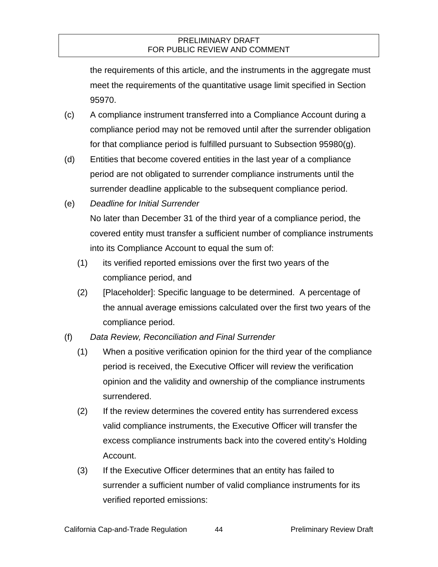the requirements of this article, and the instruments in the aggregate must meet the requirements of the quantitative usage limit specified in Section 95970.

- (c) A compliance instrument transferred into a Compliance Account during a compliance period may not be removed until after the surrender obligation for that compliance period is fulfilled pursuant to Subsection 95980(g).
- (d) Entities that become covered entities in the last year of a compliance period are not obligated to surrender compliance instruments until the surrender deadline applicable to the subsequent compliance period.
- (e) *Deadline for Initial Surrender*

No later than December 31 of the third year of a compliance period, the covered entity must transfer a sufficient number of compliance instruments into its Compliance Account to equal the sum of:

- (1) its verified reported emissions over the first two years of the compliance period, and
- (2) [Placeholder]: Specific language to be determined. A percentage of the annual average emissions calculated over the first two years of the compliance period.
- (f) *Data Review, Reconciliation and Final Surrender*
	- (1) When a positive verification opinion for the third year of the compliance period is received, the Executive Officer will review the verification opinion and the validity and ownership of the compliance instruments surrendered.
	- (2) If the review determines the covered entity has surrendered excess valid compliance instruments, the Executive Officer will transfer the excess compliance instruments back into the covered entity's Holding Account.
	- (3) If the Executive Officer determines that an entity has failed to surrender a sufficient number of valid compliance instruments for its verified reported emissions: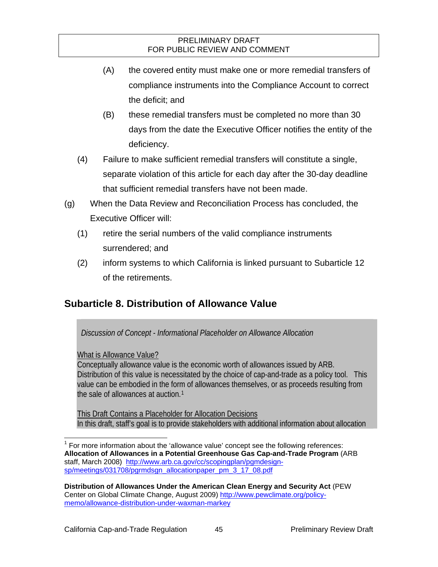- (A) the covered entity must make one or more remedial transfers of compliance instruments into the Compliance Account to correct the deficit; and
- (B) these remedial transfers must be completed no more than 30 days from the date the Executive Officer notifies the entity of the deficiency.
- (4) Failure to make sufficient remedial transfers will constitute a single, separate violation of this article for each day after the 30-day deadline that sufficient remedial transfers have not been made.
- (g) When the Data Review and Reconciliation Process has concluded, the Executive Officer will:
	- (1) retire the serial numbers of the valid compliance instruments surrendered; and
	- (2) inform systems to which California is linked pursuant to Subarticle 12 of the retirements.

# **Subarticle 8. Distribution of Allowance Value**

*Discussion of Concept - Informational Placeholder on Allowance Allocation* 

What is Allowance Value?

Conceptually allowance value is the economic worth of allowances issued by ARB. Distribution of this value is necessitated by the choice of cap-and-trade as a policy tool. This value can be embodied in the form of allowances themselves, or as proceeds resulting from the sale of allowances at auction.<sup>[1](#page-66-0)</sup>

This Draft Contains a Placeholder for Allocation Decisions In this draft, staff's goal is to provide stakeholders with additional information about allocation

<span id="page-66-0"></span>l  $1$  For more information about the 'allowance value' concept see the following references: **Allocation of Allowances in a Potential Greenhouse Gas Cap-and-Trade Program** (ARB staff, March 2008) [http://www.arb.ca.gov/cc/scopingplan/pgmdesign](http://www.arb.ca.gov/cc/scopingplan/pgmdesign-sp/meetings/031708/pgrmdsgn_allocationpaper_pm_3_17_08.pdf)[sp/meetings/031708/pgrmdsgn\\_allocationpaper\\_pm\\_3\\_17\\_08.pdf](http://www.arb.ca.gov/cc/scopingplan/pgmdesign-sp/meetings/031708/pgrmdsgn_allocationpaper_pm_3_17_08.pdf)

**Distribution of Allowances Under the American Clean Energy and Security Act** (PEW Center on Global Climate Change, August 2009) [http://www.pewclimate.org/policy](http://www.pewclimate.org/policy-memo/allowance-distribution-under-waxman-markey)[memo/allowance-distribution-under-waxman-markey](http://www.pewclimate.org/policy-memo/allowance-distribution-under-waxman-markey)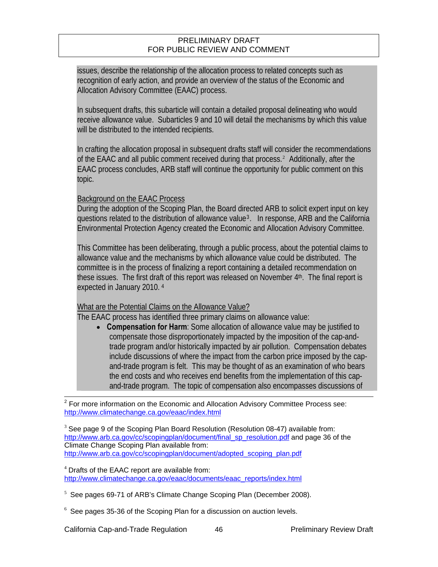issues, describe the relationship of the allocation process to related concepts such as recognition of early action, and provide an overview of the status of the Economic and Allocation Advisory Committee (EAAC) process.

In subsequent drafts, this subarticle will contain a detailed proposal delineating who would receive allowance value. Subarticles 9 and 10 will detail the mechanisms by which this value will be distributed to the intended recipients.

In crafting the allocation proposal in subsequent drafts staff will consider the recommendations of the EAAC and all public comment received during that process.<sup>[2](#page-67-0)</sup> Additionally, after the EAAC process concludes, ARB staff will continue the opportunity for public comment on this topic.

#### Background on the EAAC Process

During the adoption of the Scoping Plan, the Board directed ARB to solicit expert input on key questions related to the distribution of allowance value[3](#page-67-1). In response, ARB and the California Environmental Protection Agency created the Economic and Allocation Advisory Committee.

This Committee has been deliberating, through a public process, about the potential claims to allowance value and the mechanisms by which allowance value could be distributed. The committee is in the process of finalizing a report containing a detailed recommendation on these issues. The first draft of this report was released on November 4<sup>th</sup>. The final report is expected in January 2010. [4](#page-67-2)

#### What are the Potential Claims on the Allowance Value?

The EAAC process has identified three primary claims on allowance value:

 **Compensation for Harm**: Some allocation of allowance value may be justified to compensate those disproportionately impacted by the imposition of the cap-andtrade program and/or historically impacted by air pollution. Compensation debates include discussions of where the impact from the carbon price imposed by the capand-trade program is felt. This may be thought of as an examination of who bears the end costs and who receives end benefits from the implementation of this capand-trade program. The topic of compensation also encompasses discussions of

<span id="page-67-0"></span><sup>2</sup><br><sup>2</sup> For more information on the Economic and Allocation Advisory Committee Process see: <http://www.climatechange.ca.gov/eaac/index.html>

<span id="page-67-1"></span> $3$  See page 9 of the Scoping Plan Board Resolution (Resolution 08-47) available from: [http://www.arb.ca.gov/cc/scopingplan/document/final\\_sp\\_resolution.pdf](http://www.arb.ca.gov/cc/scopingplan/document/final_sp_resolution.pdf) and page 36 of the Climate Change Scoping Plan available from: [http://www.arb.ca.gov/cc/scopingplan/document/adopted\\_scoping\\_plan.pdf](http://www.arb.ca.gov/cc/scopingplan/document/adopted_scoping_plan.pdf)

<span id="page-67-2"></span><sup>4</sup> Drafts of the EAAC report are available from: [http://www.climatechange.ca.gov/eaac/documents/eaac\\_reports/index.html](http://www.climatechange.ca.gov/eaac/documents/eaac_reports/index.html)

- <sup>5</sup> See pages 69-71 of ARB's Climate Change Scoping Plan (December 2008).
- <sup>6</sup> See pages 35-36 of the Scoping Plan for a discussion on auction levels.

California Cap-and-Trade Regulation 46 **Preliminary Review Draft**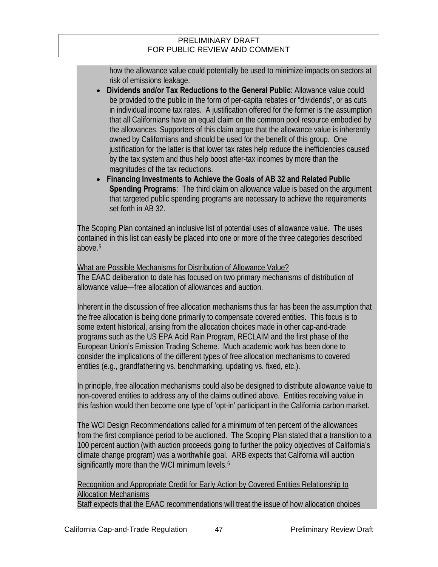how the allowance value could potentially be used to minimize impacts on sectors at risk of emissions leakage.

- **Dividends and/or Tax Reductions to the General Public**: Allowance value could be provided to the public in the form of per-capita rebates or "dividends", or as cuts in individual income tax rates. A justification offered for the former is the assumption that all Californians have an equal claim on the common pool resource embodied by the allowances. Supporters of this claim argue that the allowance value is inherently owned by Californians and should be used for the benefit of this group. One justification for the latter is that lower tax rates help reduce the inefficiencies caused by the tax system and thus help boost after-tax incomes by more than the magnitudes of the tax reductions.
- **Financing Investments to Achieve the Goals of AB 32 and Related Public Spending Programs**: The third claim on allowance value is based on the argument that targeted public spending programs are necessary to achieve the requirements set forth in AB 32.

The Scoping Plan contained an inclusive list of potential uses of allowance value. The uses contained in this list can easily be placed into one or more of the three categories described above.[5](#page-68-0)

What are Possible Mechanisms for Distribution of Allowance Value? The EAAC deliberation to date has focused on two primary mechanisms of distribution of allowance value—free allocation of allowances and auction.

Inherent in the discussion of free allocation mechanisms thus far has been the assumption that the free allocation is being done primarily to compensate covered entities. This focus is to some extent historical, arising from the allocation choices made in other cap-and-trade programs such as the US EPA Acid Rain Program, RECLAIM and the first phase of the European Union's Emission Trading Scheme. Much academic work has been done to consider the implications of the different types of free allocation mechanisms to covered entities (e.g., grandfathering vs. benchmarking, updating vs. fixed, etc.).

In principle, free allocation mechanisms could also be designed to distribute allowance value to non-covered entities to address any of the claims outlined above. Entities receiving value in this fashion would then become one type of 'opt-in' participant in the California carbon market.

The WCI Design Recommendations called for a minimum of ten percent of the allowances from the first compliance period to be auctioned. The Scoping Plan stated that a transition to a 100 percent auction (with auction proceeds going to further the policy objectives of California's climate change program) was a worthwhile goal. ARB expects that California will auction significantly more than the WCI minimum levels.<sup>[6](#page-68-1)</sup>

Recognition and Appropriate Credit for Early Action by Covered Entities Relationship to Allocation Mechanisms

<span id="page-68-1"></span><span id="page-68-0"></span>Staff expects that the EAAC recommendations will treat the issue of how allocation choices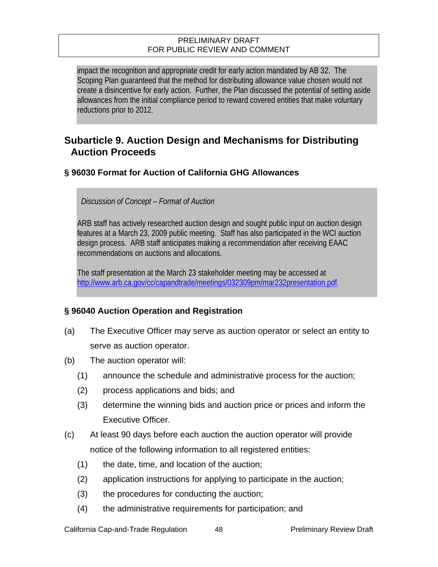impact the recognition and appropriate credit for early action mandated by AB 32. The Scoping Plan guaranteed that the method for distributing allowance value chosen would not create a disincentive for early action. Further, the Plan discussed the potential of setting aside allowances from the initial compliance period to reward covered entities that make voluntary reductions prior to 2012.

## **Subarticle 9. Auction Design and Mechanisms for Distributing Auction Proceeds**

## **§ 96030 Format for Auction of California GHG Allowances**

*Discussion of Concept – Format of Auction* 

ARB staff has actively researched auction design and sought public input on auction design features at a March 23, 2009 public meeting. Staff has also participated in the WCI auction design process. ARB staff anticipates making a recommendation after receiving EAAC recommendations on auctions and allocations.

The staff presentation at the March 23 stakeholder meeting may be accessed at http://www.arb.ca.gov/cc/capandtrade/meetings/032309pm/mar232presentation.pdf.

## **§ 96040 Auction Operation and Registration**

- (a) The Executive Officer may serve as auction operator or select an entity to serve as auction operator.
- (b) The auction operator will:
	- (1) announce the schedule and administrative process for the auction;
	- (2) process applications and bids; and
	- (3) determine the winning bids and auction price or prices and inform the Executive Officer.
- (c) At least 90 days before each auction the auction operator will provide notice of the following information to all registered entities:
	- (1) the date, time, and location of the auction;
	- (2) application instructions for applying to participate in the auction;
	- (3) the procedures for conducting the auction;
	- (4) the administrative requirements for participation; and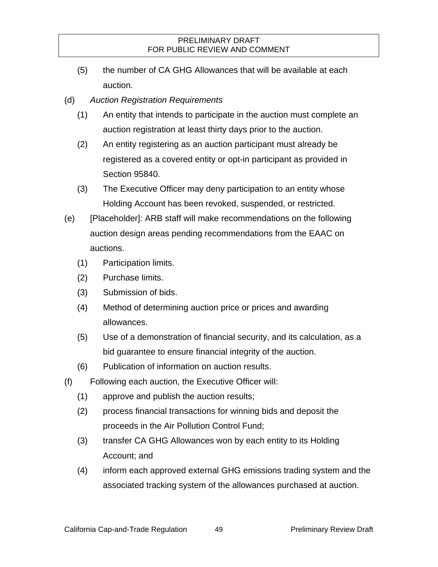- (5) the number of CA GHG Allowances that will be available at each auction.
- (d) *Auction Registration Requirements* 
	- (1) An entity that intends to participate in the auction must complete an auction registration at least thirty days prior to the auction.
	- (2) An entity registering as an auction participant must already be registered as a covered entity or opt-in participant as provided in Section 95840.
	- (3) The Executive Officer may deny participation to an entity whose Holding Account has been revoked, suspended, or restricted.
- (e) [Placeholder]: ARB staff will make recommendations on the following auction design areas pending recommendations from the EAAC on auctions.
	- (1) Participation limits.
	- (2) Purchase limits.
	- (3) Submission of bids.
	- (4) Method of determining auction price or prices and awarding allowances.
	- (5) Use of a demonstration of financial security, and its calculation, as a bid guarantee to ensure financial integrity of the auction.
	- (6) Publication of information on auction results.
- (f) Following each auction, the Executive Officer will:
	- (1) approve and publish the auction results;
	- (2) process financial transactions for winning bids and deposit the proceeds in the Air Pollution Control Fund;
	- (3) transfer CA GHG Allowances won by each entity to its Holding Account; and
	- (4) inform each approved external GHG emissions trading system and the associated tracking system of the allowances purchased at auction.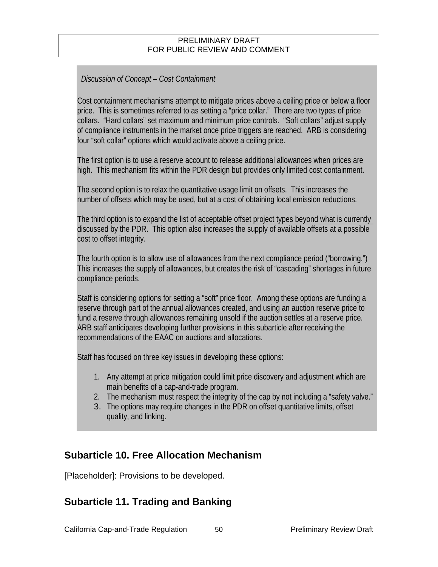### *Discussion of Concept – Cost Containment*

Cost containment mechanisms attempt to mitigate prices above a ceiling price or below a floor price. This is sometimes referred to as setting a "price collar." There are two types of price collars. "Hard collars" set maximum and minimum price controls. "Soft collars" adjust supply of compliance instruments in the market once price triggers are reached. ARB is considering four "soft collar" options which would activate above a ceiling price.

The first option is to use a reserve account to release additional allowances when prices are high. This mechanism fits within the PDR design but provides only limited cost containment.

The second option is to relax the quantitative usage limit on offsets. This increases the number of offsets which may be used, but at a cost of obtaining local emission reductions.

The third option is to expand the list of acceptable offset project types beyond what is currently discussed by the PDR. This option also increases the supply of available offsets at a possible cost to offset integrity.

The fourth option is to allow use of allowances from the next compliance period ("borrowing.") This increases the supply of allowances, but creates the risk of "cascading" shortages in future compliance periods.

Staff is considering options for setting a "soft" price floor. Among these options are funding a reserve through part of the annual allowances created, and using an auction reserve price to fund a reserve through allowances remaining unsold if the auction settles at a reserve price. ARB staff anticipates developing further provisions in this subarticle after receiving the recommendations of the EAAC on auctions and allocations.

Staff has focused on three key issues in developing these options:

- 1. Any attempt at price mitigation could limit price discovery and adjustment which are main benefits of a cap-and-trade program.
- 2. The mechanism must respect the integrity of the cap by not including a "safety valve."
- 3. The options may require changes in the PDR on offset quantitative limits, offset quality, and linking.

## **Subarticle 10. Free Allocation Mechanism**

[Placeholder]: Provisions to be developed.

## **Subarticle 11. Trading and Banking**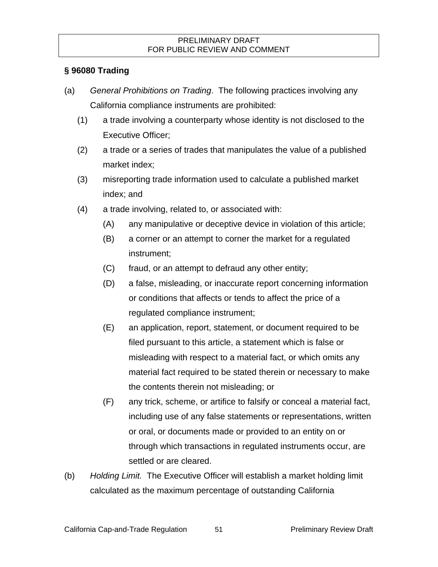## **§ 96080 Trading**

- (a) *General Prohibitions on Trading*. The following practices involving any California compliance instruments are prohibited:
	- (1) a trade involving a counterparty whose identity is not disclosed to the Executive Officer;
	- (2) a trade or a series of trades that manipulates the value of a published market index;
	- (3) misreporting trade information used to calculate a published market index; and
	- (4) a trade involving, related to, or associated with:
		- (A) any manipulative or deceptive device in violation of this article;
		- (B) a corner or an attempt to corner the market for a regulated instrument;
		- (C) fraud, or an attempt to defraud any other entity;
		- (D) a false, misleading, or inaccurate report concerning information or conditions that affects or tends to affect the price of a regulated compliance instrument;
		- (E) an application, report, statement, or document required to be filed pursuant to this article, a statement which is false or misleading with respect to a material fact, or which omits any material fact required to be stated therein or necessary to make the contents therein not misleading; or
		- (F) any trick, scheme, or artifice to falsify or conceal a material fact, including use of any false statements or representations, written or oral, or documents made or provided to an entity on or through which transactions in regulated instruments occur, are settled or are cleared.
- (b) *Holding Limit.* The Executive Officer will establish a market holding limit calculated as the maximum percentage of outstanding California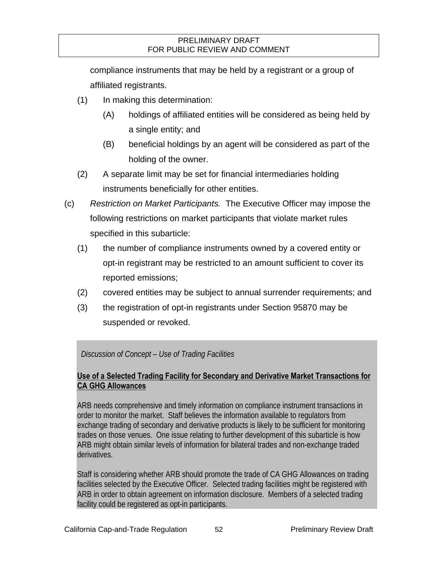compliance instruments that may be held by a registrant or a group of affiliated registrants.

- (1) In making this determination:
	- (A) holdings of affiliated entities will be considered as being held by a single entity; and
	- (B) beneficial holdings by an agent will be considered as part of the holding of the owner.
- (2) A separate limit may be set for financial intermediaries holding instruments beneficially for other entities.
- (c) *Restriction on Market Participants.* The Executive Officer may impose the following restrictions on market participants that violate market rules specified in this subarticle:
	- (1) the number of compliance instruments owned by a covered entity or opt-in registrant may be restricted to an amount sufficient to cover its reported emissions;
	- (2) covered entities may be subject to annual surrender requirements; and
	- (3) the registration of opt-in registrants under Section 95870 may be suspended or revoked.

### *Discussion of Concept – Use of Trading Facilities*

### **Use of a Selected Trading Facility for Secondary and Derivative Market Transactions for CA GHG Allowances**

ARB needs comprehensive and timely information on compliance instrument transactions in order to monitor the market. Staff believes the information available to regulators from exchange trading of secondary and derivative products is likely to be sufficient for monitoring trades on those venues. One issue relating to further development of this subarticle is how ARB might obtain similar levels of information for bilateral trades and non-exchange traded derivatives.

Staff is considering whether ARB should promote the trade of CA GHG Allowances on trading facilities selected by the Executive Officer. Selected trading facilities might be registered with ARB in order to obtain agreement on information disclosure. Members of a selected trading facility could be registered as opt-in participants.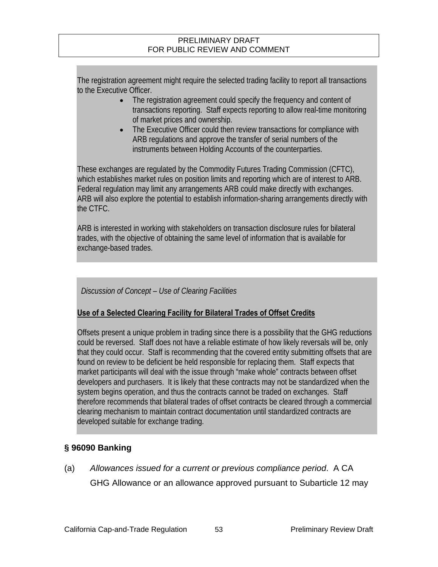The registration agreement might require the selected trading facility to report all transactions to the Executive Officer.

- The registration agreement could specify the frequency and content of transactions reporting. Staff expects reporting to allow real-time monitoring of market prices and ownership.
- The Executive Officer could then review transactions for compliance with ARB regulations and approve the transfer of serial numbers of the instruments between Holding Accounts of the counterparties.

These exchanges are regulated by the Commodity Futures Trading Commission (CFTC), which establishes market rules on position limits and reporting which are of interest to ARB. Federal regulation may limit any arrangements ARB could make directly with exchanges. ARB will also explore the potential to establish information-sharing arrangements directly with the CTFC.

ARB is interested in working with stakeholders on transaction disclosure rules for bilateral trades, with the objective of obtaining the same level of information that is available for exchange-based trades.

*Discussion of Concept – Use of Clearing Facilities* 

### **Use of a Selected Clearing Facility for Bilateral Trades of Offset Credits**

Offsets present a unique problem in trading since there is a possibility that the GHG reductions could be reversed. Staff does not have a reliable estimate of how likely reversals will be, only that they could occur. Staff is recommending that the covered entity submitting offsets that are found on review to be deficient be held responsible for replacing them. Staff expects that market participants will deal with the issue through "make whole" contracts between offset developers and purchasers. It is likely that these contracts may not be standardized when the system begins operation, and thus the contracts cannot be traded on exchanges. Staff therefore recommends that bilateral trades of offset contracts be cleared through a commercial clearing mechanism to maintain contract documentation until standardized contracts are developed suitable for exchange trading.

## **§ 96090 Banking**

(a) *Allowances issued for a current or previous compliance period*. A CA

GHG Allowance or an allowance approved pursuant to Subarticle 12 may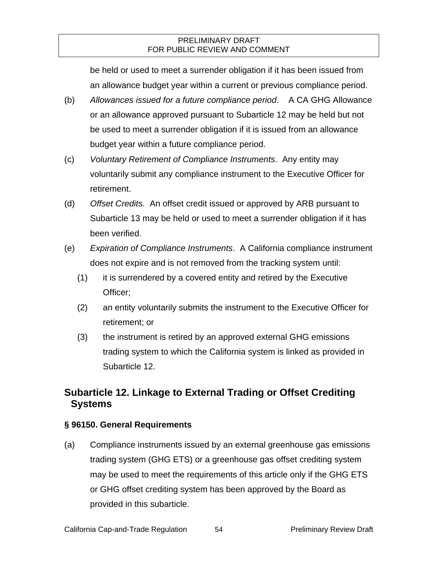be held or used to meet a surrender obligation if it has been issued from an allowance budget year within a current or previous compliance period.

- (b) *Allowances issued for a future compliance period*. A CA GHG Allowance or an allowance approved pursuant to Subarticle 12 may be held but not be used to meet a surrender obligation if it is issued from an allowance budget year within a future compliance period.
- (c) *Voluntary Retirement of Compliance Instruments*. Any entity may voluntarily submit any compliance instrument to the Executive Officer for retirement.
- (d) *Offset Credits.* An offset credit issued or approved by ARB pursuant to Subarticle 13 may be held or used to meet a surrender obligation if it has been verified.
- (e) *Expiration of Compliance Instruments*. A California compliance instrument does not expire and is not removed from the tracking system until:
	- (1) it is surrendered by a covered entity and retired by the Executive Officer;
	- (2) an entity voluntarily submits the instrument to the Executive Officer for retirement; or
	- (3) the instrument is retired by an approved external GHG emissions trading system to which the California system is linked as provided in Subarticle 12.

# **Subarticle 12. Linkage to External Trading or Offset Crediting Systems**

### **§ 96150. General Requirements**

(a) Compliance instruments issued by an external greenhouse gas emissions trading system (GHG ETS) or a greenhouse gas offset crediting system may be used to meet the requirements of this article only if the GHG ETS or GHG offset crediting system has been approved by the Board as provided in this subarticle.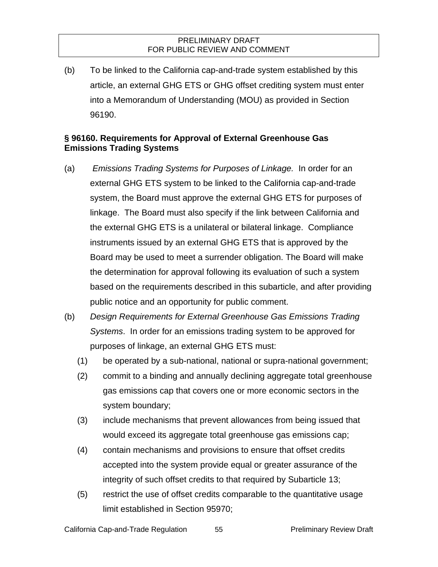(b) To be linked to the California cap-and-trade system established by this article, an external GHG ETS or GHG offset crediting system must enter into a Memorandum of Understanding (MOU) as provided in Section 96190.

### **§ 96160. Requirements for Approval of External Greenhouse Gas Emissions Trading Systems**

- (a) *Emissions Trading Systems for Purposes of Linkage.* In order for an external GHG ETS system to be linked to the California cap-and-trade system, the Board must approve the external GHG ETS for purposes of linkage. The Board must also specify if the link between California and the external GHG ETS is a unilateral or bilateral linkage. Compliance instruments issued by an external GHG ETS that is approved by the Board may be used to meet a surrender obligation. The Board will make the determination for approval following its evaluation of such a system based on the requirements described in this subarticle, and after providing public notice and an opportunity for public comment.
- (b) *Design Requirements for External Greenhouse Gas Emissions Trading Systems*. In order for an emissions trading system to be approved for purposes of linkage, an external GHG ETS must:
	- (1) be operated by a sub-national, national or supra-national government;
	- (2) commit to a binding and annually declining aggregate total greenhouse gas emissions cap that covers one or more economic sectors in the system boundary;
	- (3) include mechanisms that prevent allowances from being issued that would exceed its aggregate total greenhouse gas emissions cap;
	- (4) contain mechanisms and provisions to ensure that offset credits accepted into the system provide equal or greater assurance of the integrity of such offset credits to that required by Subarticle 13;
	- (5) restrict the use of offset credits comparable to the quantitative usage limit established in Section 95970;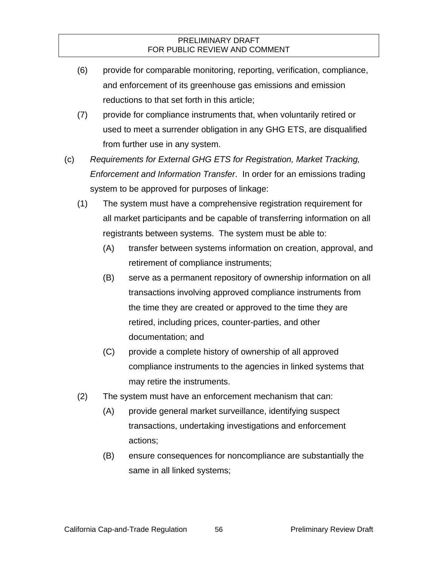- (6) provide for comparable monitoring, reporting, verification, compliance, and enforcement of its greenhouse gas emissions and emission reductions to that set forth in this article;
- (7) provide for compliance instruments that, when voluntarily retired or used to meet a surrender obligation in any GHG ETS, are disqualified from further use in any system.
- (c) *Requirements for External GHG ETS for Registration, Market Tracking, Enforcement and Information Transfer*. In order for an emissions trading system to be approved for purposes of linkage:
	- (1) The system must have a comprehensive registration requirement for all market participants and be capable of transferring information on all registrants between systems. The system must be able to:
		- (A) transfer between systems information on creation, approval, and retirement of compliance instruments;
		- (B) serve as a permanent repository of ownership information on all transactions involving approved compliance instruments from the time they are created or approved to the time they are retired, including prices, counter-parties, and other documentation; and
		- (C) provide a complete history of ownership of all approved compliance instruments to the agencies in linked systems that may retire the instruments.
	- (2) The system must have an enforcement mechanism that can:
		- (A) provide general market surveillance, identifying suspect transactions, undertaking investigations and enforcement actions;
		- (B) ensure consequences for noncompliance are substantially the same in all linked systems;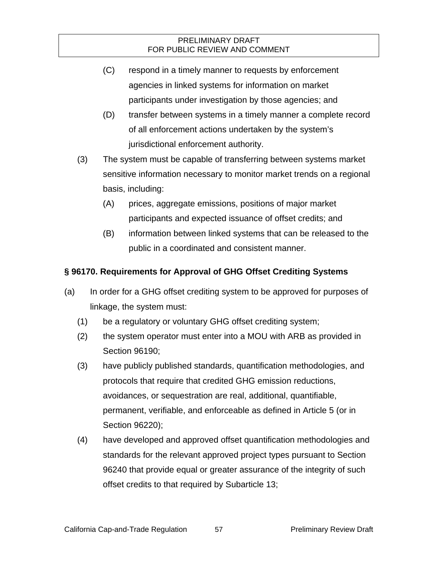- (C) respond in a timely manner to requests by enforcement agencies in linked systems for information on market participants under investigation by those agencies; and
- (D) transfer between systems in a timely manner a complete record of all enforcement actions undertaken by the system's jurisdictional enforcement authority.
- (3) The system must be capable of transferring between systems market sensitive information necessary to monitor market trends on a regional basis, including:
	- (A) prices, aggregate emissions, positions of major market participants and expected issuance of offset credits; and
	- (B) information between linked systems that can be released to the public in a coordinated and consistent manner.

## **§ 96170. Requirements for Approval of GHG Offset Crediting Systems**

- (a) In order for a GHG offset crediting system to be approved for purposes of linkage, the system must:
	- (1) be a regulatory or voluntary GHG offset crediting system;
	- (2) the system operator must enter into a MOU with ARB as provided in Section 96190;
	- (3) have publicly published standards, quantification methodologies, and protocols that require that credited GHG emission reductions, avoidances, or sequestration are real, additional, quantifiable, permanent, verifiable, and enforceable as defined in Article 5 (or in Section 96220);
	- (4) have developed and approved offset quantification methodologies and standards for the relevant approved project types pursuant to Section 96240 that provide equal or greater assurance of the integrity of such offset credits to that required by Subarticle 13;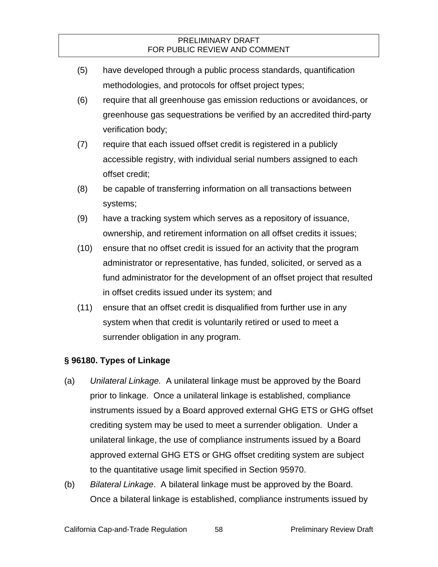- (5) have developed through a public process standards, quantification methodologies, and protocols for offset project types;
- (6) require that all greenhouse gas emission reductions or avoidances, or greenhouse gas sequestrations be verified by an accredited third-party verification body;
- (7) require that each issued offset credit is registered in a publicly accessible registry, with individual serial numbers assigned to each offset credit;
- (8) be capable of transferring information on all transactions between systems;
- (9) have a tracking system which serves as a repository of issuance, ownership, and retirement information on all offset credits it issues;
- (10) ensure that no offset credit is issued for an activity that the program administrator or representative, has funded, solicited, or served as a fund administrator for the development of an offset project that resulted in offset credits issued under its system; and
- (11) ensure that an offset credit is disqualified from further use in any system when that credit is voluntarily retired or used to meet a surrender obligation in any program.

### **§ 96180. Types of Linkage**

- (a) *Unilateral Linkage.* A unilateral linkage must be approved by the Board prior to linkage. Once a unilateral linkage is established, compliance instruments issued by a Board approved external GHG ETS or GHG offset crediting system may be used to meet a surrender obligation. Under a unilateral linkage, the use of compliance instruments issued by a Board approved external GHG ETS or GHG offset crediting system are subject to the quantitative usage limit specified in Section 95970.
- (b) *Bilateral Linkage*. A bilateral linkage must be approved by the Board. Once a bilateral linkage is established, compliance instruments issued by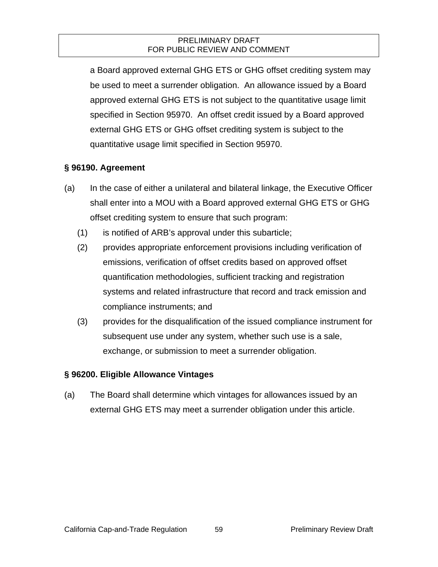a Board approved external GHG ETS or GHG offset crediting system may be used to meet a surrender obligation. An allowance issued by a Board approved external GHG ETS is not subject to the quantitative usage limit specified in Section 95970. An offset credit issued by a Board approved external GHG ETS or GHG offset crediting system is subject to the quantitative usage limit specified in Section 95970.

### **§ 96190. Agreement**

- (a) In the case of either a unilateral and bilateral linkage, the Executive Officer shall enter into a MOU with a Board approved external GHG ETS or GHG offset crediting system to ensure that such program:
	- (1) is notified of ARB's approval under this subarticle;
	- (2) provides appropriate enforcement provisions including verification of emissions, verification of offset credits based on approved offset quantification methodologies, sufficient tracking and registration systems and related infrastructure that record and track emission and compliance instruments; and
	- (3) provides for the disqualification of the issued compliance instrument for subsequent use under any system, whether such use is a sale, exchange, or submission to meet a surrender obligation.

### **§ 96200. Eligible Allowance Vintages**

(a) The Board shall determine which vintages for allowances issued by an external GHG ETS may meet a surrender obligation under this article.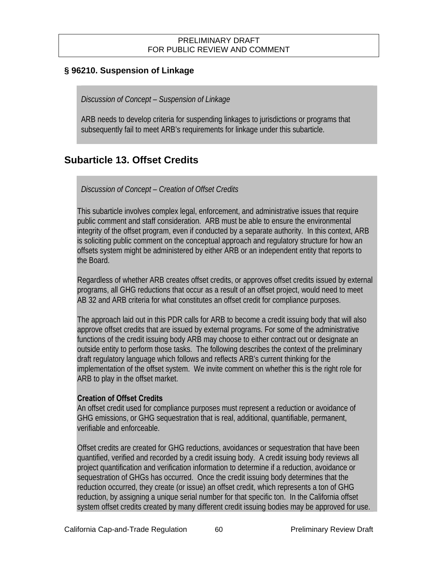### **§ 96210. Suspension of Linkage**

*Discussion of Concept – Suspension of Linkage* 

ARB needs to develop criteria for suspending linkages to jurisdictions or programs that subsequently fail to meet ARB's requirements for linkage under this subarticle.

# **Subarticle 13. Offset Credits**

### *Discussion of Concept – Creation of Offset Credits*

This subarticle involves complex legal, enforcement, and administrative issues that require public comment and staff consideration. ARB must be able to ensure the environmental integrity of the offset program, even if conducted by a separate authority. In this context, ARB is soliciting public comment on the conceptual approach and regulatory structure for how an offsets system might be administered by either ARB or an independent entity that reports to the Board.

Regardless of whether ARB creates offset credits, or approves offset credits issued by external programs, all GHG reductions that occur as a result of an offset project, would need to meet AB 32 and ARB criteria for what constitutes an offset credit for compliance purposes.

The approach laid out in this PDR calls for ARB to become a credit issuing body that will also approve offset credits that are issued by external programs. For some of the administrative functions of the credit issuing body ARB may choose to either contract out or designate an outside entity to perform those tasks. The following describes the context of the preliminary draft regulatory language which follows and reflects ARB's current thinking for the implementation of the offset system. We invite comment on whether this is the right role for ARB to play in the offset market.

### **Creation of Offset Credits**

An offset credit used for compliance purposes must represent a reduction or avoidance of GHG emissions, or GHG sequestration that is real, additional, quantifiable, permanent, verifiable and enforceable.

Offset credits are created for GHG reductions, avoidances or sequestration that have been quantified, verified and recorded by a credit issuing body. A credit issuing body reviews all project quantification and verification information to determine if a reduction, avoidance or sequestration of GHGs has occurred. Once the credit issuing body determines that the reduction occurred, they create (or issue) an offset credit, which represents a ton of GHG reduction, by assigning a unique serial number for that specific ton. In the California offset system offset credits created by many different credit issuing bodies may be approved for use.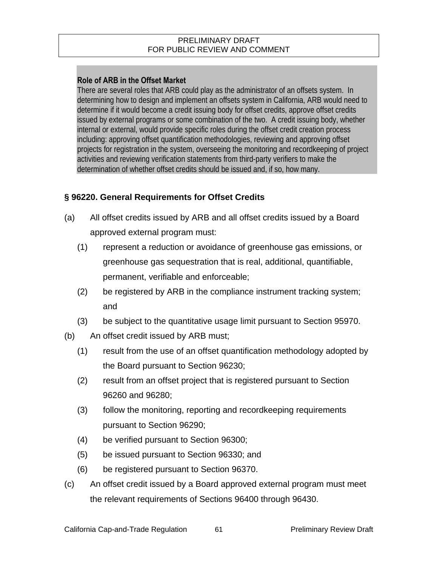### **Role of ARB in the Offset Market**

There are several roles that ARB could play as the administrator of an offsets system. In determining how to design and implement an offsets system in California, ARB would need to determine if it would become a credit issuing body for offset credits, approve offset credits issued by external programs or some combination of the two. A credit issuing body, whether internal or external, would provide specific roles during the offset credit creation process including: approving offset quantification methodologies, reviewing and approving offset projects for registration in the system, overseeing the monitoring and recordkeeping of project activities and reviewing verification statements from third-party verifiers to make the determination of whether offset credits should be issued and, if so, how many.

### **§ 96220. General Requirements for Offset Credits**

- (a) All offset credits issued by ARB and all offset credits issued by a Board approved external program must:
	- (1) represent a reduction or avoidance of greenhouse gas emissions, or greenhouse gas sequestration that is real, additional, quantifiable, permanent, verifiable and enforceable;
	- (2) be registered by ARB in the compliance instrument tracking system; and
	- (3) be subject to the quantitative usage limit pursuant to Section 95970.
- (b) An offset credit issued by ARB must;
	- (1) result from the use of an offset quantification methodology adopted by the Board pursuant to Section 96230;
	- (2) result from an offset project that is registered pursuant to Section 96260 and 96280;
	- (3) follow the monitoring, reporting and recordkeeping requirements pursuant to Section 96290;
	- (4) be verified pursuant to Section 96300;
	- (5) be issued pursuant to Section 96330; and
	- (6) be registered pursuant to Section 96370.
- (c) An offset credit issued by a Board approved external program must meet the relevant requirements of Sections 96400 through 96430.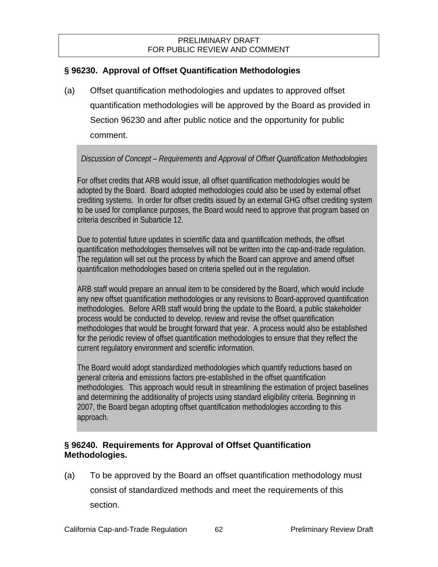### **§ 96230. Approval of Offset Quantification Methodologies**

(a) Offset quantification methodologies and updates to approved offset quantification methodologies will be approved by the Board as provided in Section 96230 and after public notice and the opportunity for public comment.

### *Discussion of Concept – Requirements and Approval of Offset Quantification Methodologies*

For offset credits that ARB would issue, all offset quantification methodologies would be adopted by the Board. Board adopted methodologies could also be used by external offset crediting systems. In order for offset credits issued by an external GHG offset crediting system to be used for compliance purposes, the Board would need to approve that program based on criteria described in Subarticle 12.

Due to potential future updates in scientific data and quantification methods, the offset quantification methodologies themselves will not be written into the cap-and-trade regulation. The regulation will set out the process by which the Board can approve and amend offset quantification methodologies based on criteria spelled out in the regulation.

ARB staff would prepare an annual item to be considered by the Board, which would include any new offset quantification methodologies or any revisions to Board-approved quantification methodologies. Before ARB staff would bring the update to the Board, a public stakeholder process would be conducted to develop, review and revise the offset quantification methodologies that would be brought forward that year. A process would also be established for the periodic review of offset quantification methodologies to ensure that they reflect the current regulatory environment and scientific information.

The Board would adopt standardized methodologies which quantify reductions based on general criteria and emissions factors pre-established in the offset quantification methodologies. This approach would result in streamlining the estimation of project baselines and determining the additionality of projects using standard eligibility criteria. Beginning in 2007, the Board began adopting offset quantification methodologies according to this approach.

### **§ 96240. Requirements for Approval of Offset Quantification Methodologies.**

(a) To be approved by the Board an offset quantification methodology must consist of standardized methods and meet the requirements of this section.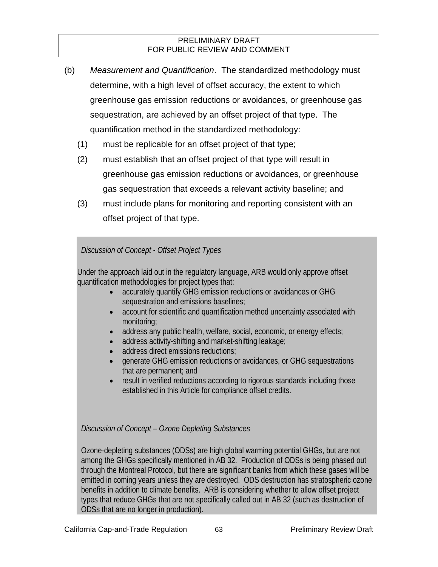- (b) *Measurement and Quantification*. The standardized methodology must determine, with a high level of offset accuracy, the extent to which greenhouse gas emission reductions or avoidances, or greenhouse gas sequestration, are achieved by an offset project of that type. The quantification method in the standardized methodology:
	- (1) must be replicable for an offset project of that type;
	- (2) must establish that an offset project of that type will result in greenhouse gas emission reductions or avoidances, or greenhouse gas sequestration that exceeds a relevant activity baseline; and
	- (3) must include plans for monitoring and reporting consistent with an offset project of that type.

*Discussion of Concept - Offset Project Types* 

Under the approach laid out in the regulatory language, ARB would only approve offset quantification methodologies for project types that:

- accurately quantify GHG emission reductions or avoidances or GHG sequestration and emissions baselines;
- account for scientific and quantification method uncertainty associated with monitoring;
- address any public health, welfare, social, economic, or energy effects;
- address activity-shifting and market-shifting leakage;
- address direct emissions reductions;
- generate GHG emission reductions or avoidances, or GHG sequestrations that are permanent; and
- result in verified reductions according to rigorous standards including those established in this Article for compliance offset credits.

### *Discussion of Concept – Ozone Depleting Substances*

Ozone-depleting substances (ODSs) are high global warming potential GHGs, but are not among the GHGs specifically mentioned in AB 32. Production of ODSs is being phased out through the Montreal Protocol, but there are significant banks from which these gases will be emitted in coming years unless they are destroyed. ODS destruction has stratospheric ozone benefits in addition to climate benefits. ARB is considering whether to allow offset project types that reduce GHGs that are not specifically called out in AB 32 (such as destruction of ODSs that are no longer in production).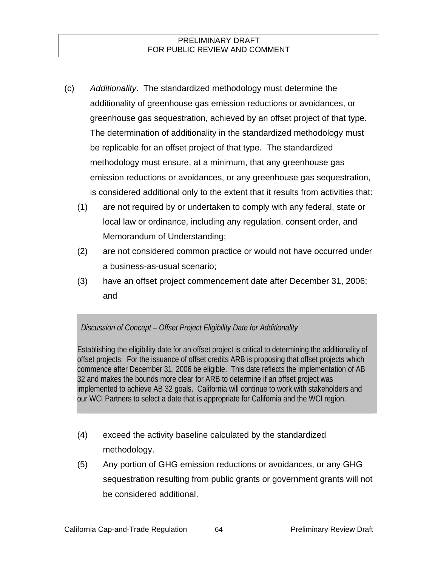- (c) *Additionality*. The standardized methodology must determine the additionality of greenhouse gas emission reductions or avoidances, or greenhouse gas sequestration, achieved by an offset project of that type. The determination of additionality in the standardized methodology must be replicable for an offset project of that type. The standardized methodology must ensure, at a minimum, that any greenhouse gas emission reductions or avoidances, or any greenhouse gas sequestration, is considered additional only to the extent that it results from activities that:
	- (1) are not required by or undertaken to comply with any federal, state or local law or ordinance, including any regulation, consent order, and Memorandum of Understanding;
	- (2) are not considered common practice or would not have occurred under a business-as-usual scenario;
	- (3) have an offset project commencement date after December 31, 2006; and

### *Discussion of Concept – Offset Project Eligibility Date for Additionality*

Establishing the eligibility date for an offset project is critical to determining the additionality of offset projects. For the issuance of offset credits ARB is proposing that offset projects which commence after December 31, 2006 be eligible. This date reflects the implementation of AB 32 and makes the bounds more clear for ARB to determine if an offset project was implemented to achieve AB 32 goals. California will continue to work with stakeholders and our WCI Partners to select a date that is appropriate for California and the WCI region.

- (4) exceed the activity baseline calculated by the standardized methodology.
- (5) Any portion of GHG emission reductions or avoidances, or any GHG sequestration resulting from public grants or government grants will not be considered additional.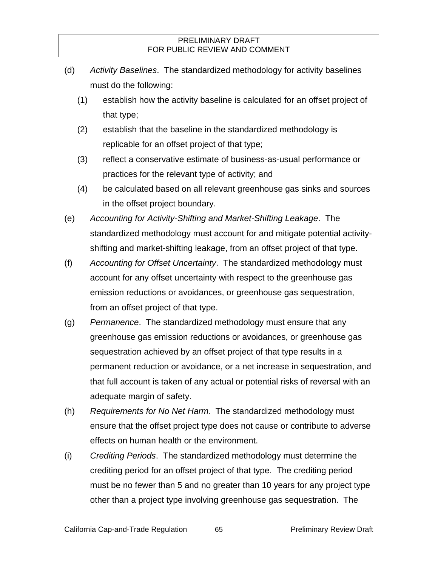- (d) *Activity Baselines*. The standardized methodology for activity baselines must do the following:
	- (1) establish how the activity baseline is calculated for an offset project of that type;
	- (2) establish that the baseline in the standardized methodology is replicable for an offset project of that type;
	- (3) reflect a conservative estimate of business-as-usual performance or practices for the relevant type of activity; and
	- (4) be calculated based on all relevant greenhouse gas sinks and sources in the offset project boundary.
- (e) *Accounting for Activity-Shifting and Market-Shifting Leakage*. The standardized methodology must account for and mitigate potential activityshifting and market-shifting leakage, from an offset project of that type.
- (f) *Accounting for Offset Uncertainty*. The standardized methodology must account for any offset uncertainty with respect to the greenhouse gas emission reductions or avoidances, or greenhouse gas sequestration, from an offset project of that type.
- (g) *Permanence*. The standardized methodology must ensure that any greenhouse gas emission reductions or avoidances, or greenhouse gas sequestration achieved by an offset project of that type results in a permanent reduction or avoidance, or a net increase in sequestration, and that full account is taken of any actual or potential risks of reversal with an adequate margin of safety.
- (h) *Requirements for No Net Harm.* The standardized methodology must ensure that the offset project type does not cause or contribute to adverse effects on human health or the environment.
- (i) *Crediting Periods*. The standardized methodology must determine the crediting period for an offset project of that type. The crediting period must be no fewer than 5 and no greater than 10 years for any project type other than a project type involving greenhouse gas sequestration. The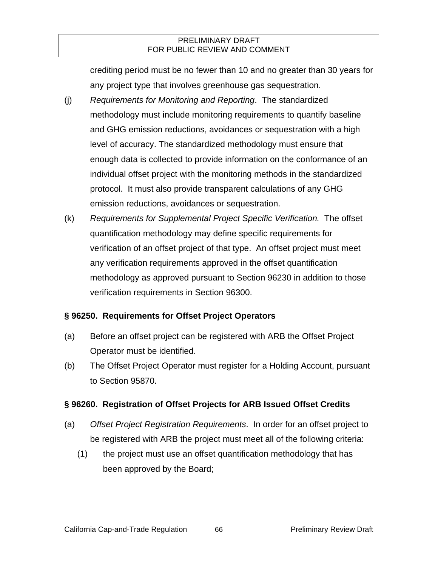crediting period must be no fewer than 10 and no greater than 30 years for any project type that involves greenhouse gas sequestration.

- (j) *Requirements for Monitoring and Reporting*. The standardized methodology must include monitoring requirements to quantify baseline and GHG emission reductions, avoidances or sequestration with a high level of accuracy. The standardized methodology must ensure that enough data is collected to provide information on the conformance of an individual offset project with the monitoring methods in the standardized protocol. It must also provide transparent calculations of any GHG emission reductions, avoidances or sequestration.
- (k) *Requirements for Supplemental Project Specific Verification.* The offset quantification methodology may define specific requirements for verification of an offset project of that type. An offset project must meet any verification requirements approved in the offset quantification methodology as approved pursuant to Section 96230 in addition to those verification requirements in Section 96300.

### **§ 96250. Requirements for Offset Project Operators**

- (a) Before an offset project can be registered with ARB the Offset Project Operator must be identified.
- (b) The Offset Project Operator must register for a Holding Account, pursuant to Section 95870.

### **§ 96260. Registration of Offset Projects for ARB Issued Offset Credits**

- (a) *Offset Project Registration Requirements*. In order for an offset project to be registered with ARB the project must meet all of the following criteria:
	- (1) the project must use an offset quantification methodology that has been approved by the Board;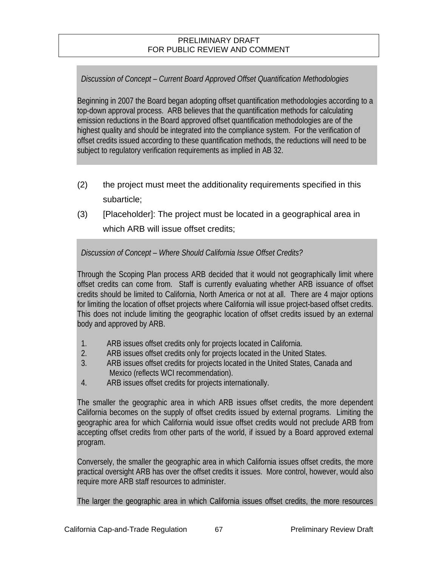## *Discussion of Concept – Current Board Approved Offset Quantification Methodologies*

Beginning in 2007 the Board began adopting offset quantification methodologies according to a top-down approval process. ARB believes that the quantification methods for calculating emission reductions in the Board approved offset quantification methodologies are of the highest quality and should be integrated into the compliance system. For the verification of offset credits issued according to these quantification methods, the reductions will need to be subject to regulatory verification requirements as implied in AB 32.

- (2) the project must meet the additionality requirements specified in this subarticle;
- (3) [Placeholder]: The project must be located in a geographical area in which ARB will issue offset credits;

*Discussion of Concept – Where Should California Issue Offset Credits?* 

Through the Scoping Plan process ARB decided that it would not geographically limit where offset credits can come from. Staff is currently evaluating whether ARB issuance of offset credits should be limited to California, North America or not at all. There are 4 major options for limiting the location of offset projects where California will issue project-based offset credits. This does not include limiting the geographic location of offset credits issued by an external body and approved by ARB.

- 1. ARB issues offset credits only for projects located in California.
- 2. ARB issues offset credits only for projects located in the United States.
- 3. ARB issues offset credits for projects located in the United States, Canada and Mexico (reflects WCI recommendation).
- 4. ARB issues offset credits for projects internationally.

The smaller the geographic area in which ARB issues offset credits, the more dependent California becomes on the supply of offset credits issued by external programs. Limiting the geographic area for which California would issue offset credits would not preclude ARB from accepting offset credits from other parts of the world, if issued by a Board approved external program.

Conversely, the smaller the geographic area in which California issues offset credits, the more practical oversight ARB has over the offset credits it issues. More control, however, would also require more ARB staff resources to administer.

The larger the geographic area in which California issues offset credits, the more resources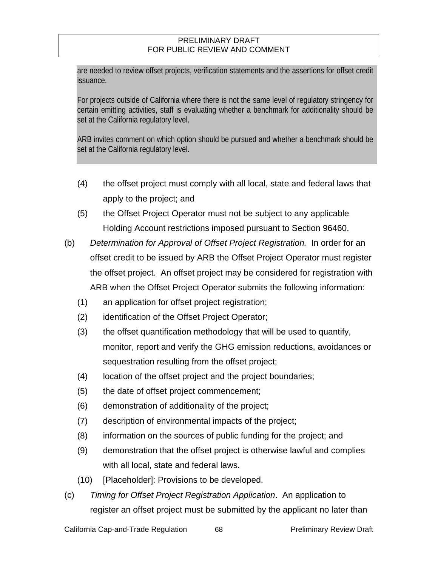are needed to review offset projects, verification statements and the assertions for offset credit issuance.

For projects outside of California where there is not the same level of regulatory stringency for certain emitting activities, staff is evaluating whether a benchmark for additionality should be set at the California regulatory level.

ARB invites comment on which option should be pursued and whether a benchmark should be set at the California regulatory level.

- (4) the offset project must comply with all local, state and federal laws that apply to the project; and
- (5) the Offset Project Operator must not be subject to any applicable Holding Account restrictions imposed pursuant to Section 96460.
- (b) *Determination for Approval of Offset Project Registration.* In order for an offset credit to be issued by ARB the Offset Project Operator must register the offset project. An offset project may be considered for registration with ARB when the Offset Project Operator submits the following information:
	- (1) an application for offset project registration;
	- (2) identification of the Offset Project Operator;
	- (3) the offset quantification methodology that will be used to quantify, monitor, report and verify the GHG emission reductions, avoidances or sequestration resulting from the offset project;
	- (4) location of the offset project and the project boundaries;
	- (5) the date of offset project commencement;
	- (6) demonstration of additionality of the project;
	- (7) description of environmental impacts of the project;
	- (8) information on the sources of public funding for the project; and
	- (9) demonstration that the offset project is otherwise lawful and complies with all local, state and federal laws.
	- (10) [Placeholder]: Provisions to be developed.
- (c) *Timing for Offset Project Registration Application*. An application to register an offset project must be submitted by the applicant no later than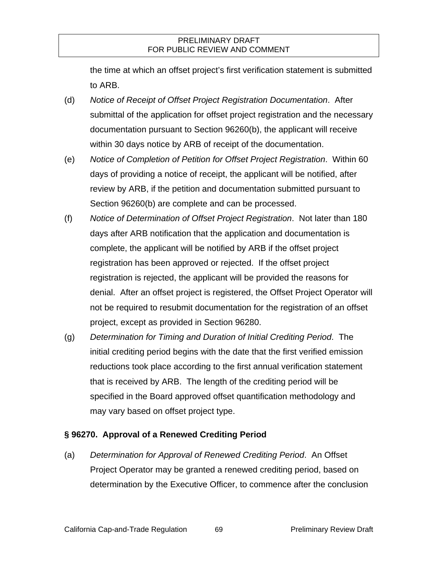the time at which an offset project's first verification statement is submitted to ARB.

- (d) *Notice of Receipt of Offset Project Registration Documentation*. After submittal of the application for offset project registration and the necessary documentation pursuant to Section 96260(b), the applicant will receive within 30 days notice by ARB of receipt of the documentation.
- (e) *Notice of Completion of Petition for Offset Project Registration*. Within 60 days of providing a notice of receipt, the applicant will be notified, after review by ARB, if the petition and documentation submitted pursuant to Section 96260(b) are complete and can be processed.
- (f) *Notice of Determination of Offset Project Registration*. Not later than 180 days after ARB notification that the application and documentation is complete, the applicant will be notified by ARB if the offset project registration has been approved or rejected. If the offset project registration is rejected, the applicant will be provided the reasons for denial. After an offset project is registered, the Offset Project Operator will not be required to resubmit documentation for the registration of an offset project, except as provided in Section 96280.
- (g) *Determination for Timing and Duration of Initial Crediting Period*. The initial crediting period begins with the date that the first verified emission reductions took place according to the first annual verification statement that is received by ARB. The length of the crediting period will be specified in the Board approved offset quantification methodology and may vary based on offset project type.

### **§ 96270. Approval of a Renewed Crediting Period**

(a) *Determination for Approval of Renewed Crediting Period*. An Offset Project Operator may be granted a renewed crediting period, based on determination by the Executive Officer, to commence after the conclusion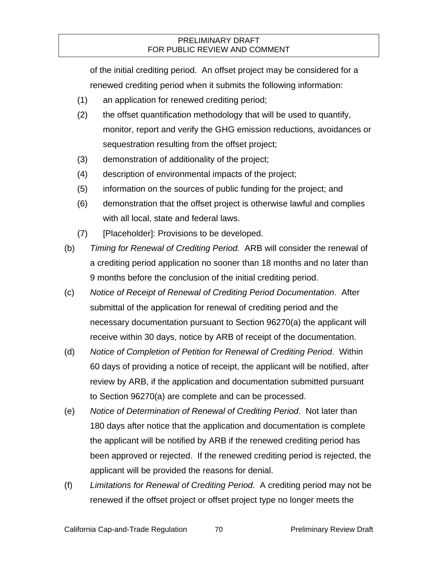of the initial crediting period. An offset project may be considered for a renewed crediting period when it submits the following information:

- (1) an application for renewed crediting period;
- (2) the offset quantification methodology that will be used to quantify, monitor, report and verify the GHG emission reductions, avoidances or sequestration resulting from the offset project;
- (3) demonstration of additionality of the project;
- (4) description of environmental impacts of the project;
- (5) information on the sources of public funding for the project; and
- (6) demonstration that the offset project is otherwise lawful and complies with all local, state and federal laws.
- (7) [Placeholder]: Provisions to be developed.
- (b) *Timing for Renewal of Crediting Period.* ARB will consider the renewal of a crediting period application no sooner than 18 months and no later than 9 months before the conclusion of the initial crediting period.
- (c) *Notice of Receipt of Renewal of Crediting Period Documentation*. After submittal of the application for renewal of crediting period and the necessary documentation pursuant to Section 96270(a) the applicant will receive within 30 days, notice by ARB of receipt of the documentation.
- (d) *Notice of Completion of Petition for Renewal of Crediting Period*. Within 60 days of providing a notice of receipt, the applicant will be notified, after review by ARB, if the application and documentation submitted pursuant to Section 96270(a) are complete and can be processed.
- (e) *Notice of Determination of Renewal of Crediting Period*. Not later than 180 days after notice that the application and documentation is complete the applicant will be notified by ARB if the renewed crediting period has been approved or rejected. If the renewed crediting period is rejected, the applicant will be provided the reasons for denial.
- (f) *Limitations for Renewal of Crediting Period*. A crediting period may not be renewed if the offset project or offset project type no longer meets the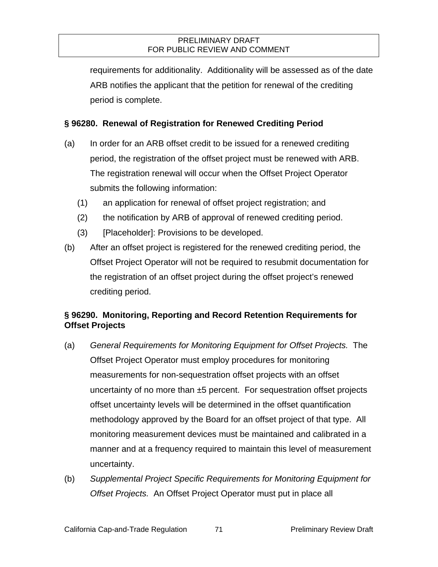requirements for additionality. Additionality will be assessed as of the date ARB notifies the applicant that the petition for renewal of the crediting period is complete.

### **§ 96280. Renewal of Registration for Renewed Crediting Period**

- (a) In order for an ARB offset credit to be issued for a renewed crediting period, the registration of the offset project must be renewed with ARB. The registration renewal will occur when the Offset Project Operator submits the following information:
	- (1) an application for renewal of offset project registration; and
	- (2) the notification by ARB of approval of renewed crediting period.
	- (3) [Placeholder]: Provisions to be developed.
- (b) After an offset project is registered for the renewed crediting period, the Offset Project Operator will not be required to resubmit documentation for the registration of an offset project during the offset project's renewed crediting period.

### **§ 96290. Monitoring, Reporting and Record Retention Requirements for Offset Projects**

- (a) *General Requirements for Monitoring Equipment for Offset Projects.* The Offset Project Operator must employ procedures for monitoring measurements for non-sequestration offset projects with an offset uncertainty of no more than  $\pm 5$  percent. For sequestration offset projects offset uncertainty levels will be determined in the offset quantification methodology approved by the Board for an offset project of that type. All monitoring measurement devices must be maintained and calibrated in a manner and at a frequency required to maintain this level of measurement uncertainty.
- (b) *Supplemental Project Specific Requirements for Monitoring Equipment for Offset Projects.* An Offset Project Operator must put in place all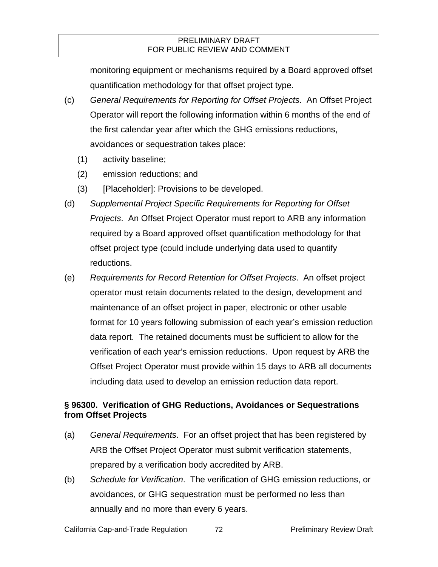monitoring equipment or mechanisms required by a Board approved offset quantification methodology for that offset project type.

- (c) *General Requirements for Reporting for Offset Projects*. An Offset Project Operator will report the following information within 6 months of the end of the first calendar year after which the GHG emissions reductions, avoidances or sequestration takes place:
	- (1) activity baseline;
	- (2) emission reductions; and
	- (3) [Placeholder]: Provisions to be developed.
- (d) *Supplemental Project Specific Requirements for Reporting for Offset Projects*. An Offset Project Operator must report to ARB any information required by a Board approved offset quantification methodology for that offset project type (could include underlying data used to quantify reductions.
- (e) *Requirements for Record Retention for Offset Projects*. An offset project operator must retain documents related to the design, development and maintenance of an offset project in paper, electronic or other usable format for 10 years following submission of each year's emission reduction data report. The retained documents must be sufficient to allow for the verification of each year's emission reductions. Upon request by ARB the Offset Project Operator must provide within 15 days to ARB all documents including data used to develop an emission reduction data report.

### **§ 96300. Verification of GHG Reductions, Avoidances or Sequestrations from Offset Projects**

- (a) *General Requirements*. For an offset project that has been registered by ARB the Offset Project Operator must submit verification statements, prepared by a verification body accredited by ARB.
- (b) *Schedule for Verification*. The verification of GHG emission reductions, or avoidances, or GHG sequestration must be performed no less than annually and no more than every 6 years.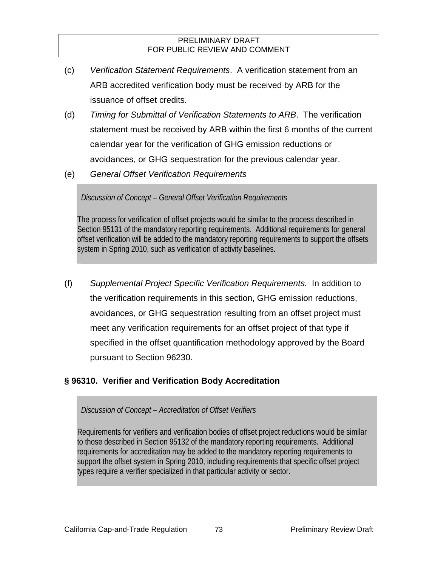- (c) *Verification Statement Requirements*. A verification statement from an ARB accredited verification body must be received by ARB for the issuance of offset credits.
- (d) *Timing for Submittal of Verification Statements to ARB*. The verification statement must be received by ARB within the first 6 months of the current calendar year for the verification of GHG emission reductions or avoidances, or GHG sequestration for the previous calendar year.
- (e) *General Offset Verification Requirements*

*Discussion of Concept – General Offset Verification Requirements* 

The process for verification of offset projects would be similar to the process described in Section 95131 of the mandatory reporting requirements. Additional requirements for general offset verification will be added to the mandatory reporting requirements to support the offsets system in Spring 2010, such as verification of activity baselines.

(f) *Supplemental Project Specific Verification Requirements.* In addition to the verification requirements in this section, GHG emission reductions, avoidances, or GHG sequestration resulting from an offset project must meet any verification requirements for an offset project of that type if specified in the offset quantification methodology approved by the Board pursuant to Section 96230.

## **§ 96310. Verifier and Verification Body Accreditation**

*Discussion of Concept – Accreditation of Offset Verifiers* 

Requirements for verifiers and verification bodies of offset project reductions would be similar to those described in Section 95132 of the mandatory reporting requirements. Additional requirements for accreditation may be added to the mandatory reporting requirements to support the offset system in Spring 2010, including requirements that specific offset project types require a verifier specialized in that particular activity or sector.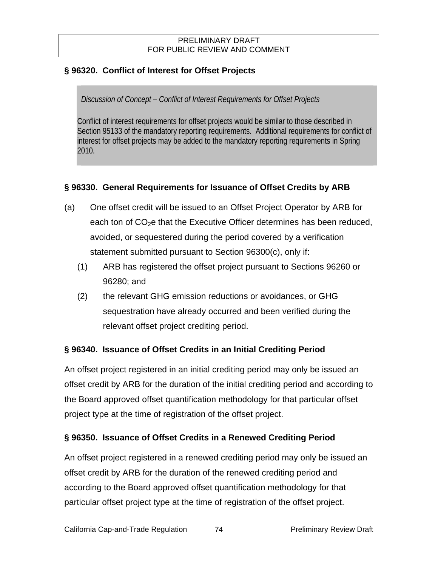## **§ 96320. Conflict of Interest for Offset Projects**

### *Discussion of Concept – Conflict of Interest Requirements for Offset Projects*

Conflict of interest requirements for offset projects would be similar to those described in Section 95133 of the mandatory reporting requirements. Additional requirements for conflict of interest for offset projects may be added to the mandatory reporting requirements in Spring 2010.

## **§ 96330. General Requirements for Issuance of Offset Credits by ARB**

- (a) One offset credit will be issued to an Offset Project Operator by ARB for each ton of  $CO<sub>2</sub>e$  that the Executive Officer determines has been reduced, avoided, or sequestered during the period covered by a verification statement submitted pursuant to Section 96300(c), only if:
	- (1) ARB has registered the offset project pursuant to Sections 96260 or 96280; and
	- (2) the relevant GHG emission reductions or avoidances, or GHG sequestration have already occurred and been verified during the relevant offset project crediting period.

### **§ 96340. Issuance of Offset Credits in an Initial Crediting Period**

An offset project registered in an initial crediting period may only be issued an offset credit by ARB for the duration of the initial crediting period and according to the Board approved offset quantification methodology for that particular offset project type at the time of registration of the offset project.

### **§ 96350. Issuance of Offset Credits in a Renewed Crediting Period**

An offset project registered in a renewed crediting period may only be issued an offset credit by ARB for the duration of the renewed crediting period and according to the Board approved offset quantification methodology for that particular offset project type at the time of registration of the offset project.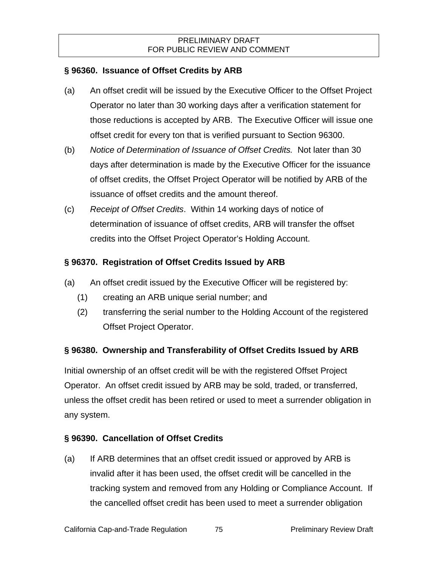### **§ 96360. Issuance of Offset Credits by ARB**

- (a) An offset credit will be issued by the Executive Officer to the Offset Project Operator no later than 30 working days after a verification statement for those reductions is accepted by ARB. The Executive Officer will issue one offset credit for every ton that is verified pursuant to Section 96300.
- (b) *Notice of Determination of Issuance of Offset Credits.* Not later than 30 days after determination is made by the Executive Officer for the issuance of offset credits, the Offset Project Operator will be notified by ARB of the issuance of offset credits and the amount thereof.
- (c) *Receipt of Offset Credits*. Within 14 working days of notice of determination of issuance of offset credits, ARB will transfer the offset credits into the Offset Project Operator's Holding Account.

## **§ 96370. Registration of Offset Credits Issued by ARB**

- (a) An offset credit issued by the Executive Officer will be registered by:
	- (1) creating an ARB unique serial number; and
	- (2) transferring the serial number to the Holding Account of the registered Offset Project Operator.

## **§ 96380. Ownership and Transferability of Offset Credits Issued by ARB**

Initial ownership of an offset credit will be with the registered Offset Project Operator. An offset credit issued by ARB may be sold, traded, or transferred, unless the offset credit has been retired or used to meet a surrender obligation in any system.

## **§ 96390. Cancellation of Offset Credits**

(a) If ARB determines that an offset credit issued or approved by ARB is invalid after it has been used, the offset credit will be cancelled in the tracking system and removed from any Holding or Compliance Account. If the cancelled offset credit has been used to meet a surrender obligation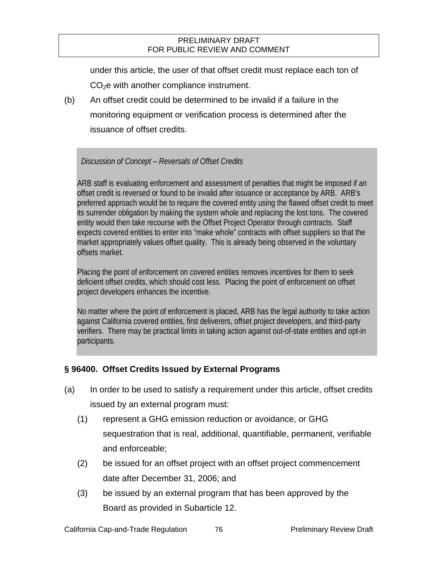under this article, the user of that offset credit must replace each ton of  $CO<sub>2</sub>e$  with another compliance instrument.

(b) An offset credit could be determined to be invalid if a failure in the monitoring equipment or verification process is determined after the issuance of offset credits.

### *Discussion of Concept – Reversals of Offset Credits*

ARB staff is evaluating enforcement and assessment of penalties that might be imposed if an offset credit is reversed or found to be invalid after issuance or acceptance by ARB. ARB's preferred approach would be to require the covered entity using the flawed offset credit to meet its surrender obligation by making the system whole and replacing the lost tons. The covered entity would then take recourse with the Offset Project Operator through contracts. Staff expects covered entities to enter into "make whole" contracts with offset suppliers so that the market appropriately values offset quality. This is already being observed in the voluntary offsets market.

Placing the point of enforcement on covered entities removes incentives for them to seek deficient offset credits, which should cost less. Placing the point of enforcement on offset project developers enhances the incentive.

No matter where the point of enforcement is placed, ARB has the legal authority to take action against California covered entities, first deliverers, offset project developers, and third-party verifiers. There may be practical limits in taking action against out-of-state entities and opt-in participants.

### **§ 96400. Offset Credits Issued by External Programs**

- (a) In order to be used to satisfy a requirement under this article, offset credits issued by an external program must:
	- (1) represent a GHG emission reduction or avoidance, or GHG sequestration that is real, additional, quantifiable, permanent, verifiable and enforceable;
	- (2) be issued for an offset project with an offset project commencement date after December 31, 2006; and
	- (3) be issued by an external program that has been approved by the Board as provided in Subarticle 12.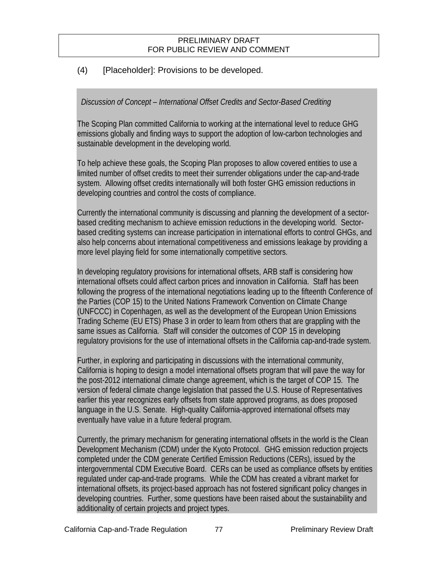## (4) [Placeholder]: Provisions to be developed.

### *Discussion of Concept – International Offset Credits and Sector-Based Crediting*

The Scoping Plan committed California to working at the international level to reduce GHG emissions globally and finding ways to support the adoption of low-carbon technologies and sustainable development in the developing world.

To help achieve these goals, the Scoping Plan proposes to allow covered entities to use a limited number of offset credits to meet their surrender obligations under the cap-and-trade system. Allowing offset credits internationally will both foster GHG emission reductions in developing countries and control the costs of compliance.

Currently the international community is discussing and planning the development of a sectorbased crediting mechanism to achieve emission reductions in the developing world. Sectorbased crediting systems can increase participation in international efforts to control GHGs, and also help concerns about international competitiveness and emissions leakage by providing a more level playing field for some internationally competitive sectors.

In developing regulatory provisions for international offsets, ARB staff is considering how international offsets could affect carbon prices and innovation in California. Staff has been following the progress of the international negotiations leading up to the fifteenth Conference of the Parties (COP 15) to the United Nations Framework Convention on Climate Change (UNFCCC) in Copenhagen, as well as the development of the European Union Emissions Trading Scheme (EU ETS) Phase 3 in order to learn from others that are grappling with the same issues as California. Staff will consider the outcomes of COP 15 in developing regulatory provisions for the use of international offsets in the California cap-and-trade system.

Further, in exploring and participating in discussions with the international community, California is hoping to design a model international offsets program that will pave the way for the post-2012 international climate change agreement, which is the target of COP 15. The version of federal climate change legislation that passed the U.S. House of Representatives earlier this year recognizes early offsets from state approved programs, as does proposed language in the U.S. Senate. High-quality California-approved international offsets may eventually have value in a future federal program.

Currently, the primary mechanism for generating international offsets in the world is the Clean Development Mechanism (CDM) under the Kyoto Protocol. GHG emission reduction projects completed under the CDM generate Certified Emission Reductions (CERs), issued by the intergovernmental CDM Executive Board. CERs can be used as compliance offsets by entities regulated under cap-and-trade programs. While the CDM has created a vibrant market for international offsets, its project-based approach has not fostered significant policy changes in developing countries. Further, some questions have been raised about the sustainability and additionality of certain projects and project types.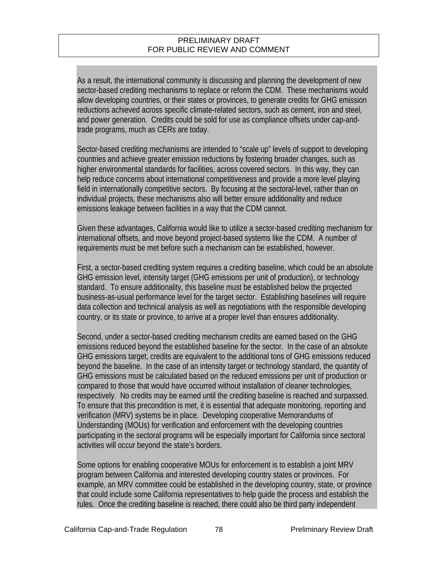As a result, the international community is discussing and planning the development of new sector-based crediting mechanisms to replace or reform the CDM. These mechanisms would allow developing countries, or their states or provinces, to generate credits for GHG emission reductions achieved across specific climate-related sectors, such as cement, iron and steel, and power generation. Credits could be sold for use as compliance offsets under cap-andtrade programs, much as CERs are today.

Sector-based crediting mechanisms are intended to "scale up" levels of support to developing countries and achieve greater emission reductions by fostering broader changes, such as higher environmental standards for facilities, across covered sectors. In this way, they can help reduce concerns about international competitiveness and provide a more level playing field in internationally competitive sectors. By focusing at the sectoral-level, rather than on individual projects, these mechanisms also will better ensure additionality and reduce emissions leakage between facilities in a way that the CDM cannot.

Given these advantages, California would like to utilize a sector-based crediting mechanism for international offsets, and move beyond project-based systems like the CDM. A number of requirements must be met before such a mechanism can be established, however.

First, a sector-based crediting system requires a crediting baseline, which could be an absolute GHG emission level, intensity target (GHG emissions per unit of production), or technology standard. To ensure additionality, this baseline must be established below the projected business-as-usual performance level for the target sector. Establishing baselines will require data collection and technical analysis as well as negotiations with the responsible developing country, or its state or province, to arrive at a proper level than ensures additionality.

Second, under a sector-based crediting mechanism credits are earned based on the GHG emissions reduced beyond the established baseline for the sector. In the case of an absolute GHG emissions target, credits are equivalent to the additional tons of GHG emissions reduced beyond the baseline. In the case of an intensity target or technology standard, the quantity of GHG emissions must be calculated based on the reduced emissions per unit of production or compared to those that would have occurred without installation of cleaner technologies, respectively. No credits may be earned until the crediting baseline is reached and surpassed. To ensure that this precondition is met, it is essential that adequate monitoring, reporting and verification (MRV) systems be in place. Developing cooperative Memorandums of Understanding (MOUs) for verification and enforcement with the developing countries participating in the sectoral programs will be especially important for California since sectoral activities will occur beyond the state's borders.

Some options for enabling cooperative MOUs for enforcement is to establish a joint MRV program between California and interested developing country states or provinces. For example, an MRV committee could be established in the developing country, state, or province that could include some California representatives to help guide the process and establish the rules. Once the crediting baseline is reached, there could also be third party independent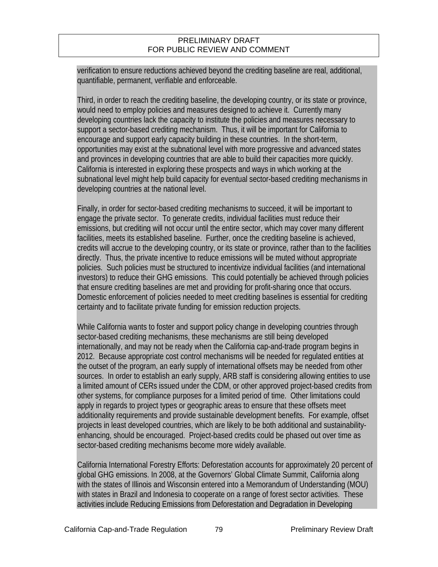verification to ensure reductions achieved beyond the crediting baseline are real, additional, quantifiable, permanent, verifiable and enforceable.

Third, in order to reach the crediting baseline, the developing country, or its state or province, would need to employ policies and measures designed to achieve it. Currently many developing countries lack the capacity to institute the policies and measures necessary to support a sector-based crediting mechanism. Thus, it will be important for California to encourage and support early capacity building in these countries. In the short-term, opportunities may exist at the subnational level with more progressive and advanced states and provinces in developing countries that are able to build their capacities more quickly. California is interested in exploring these prospects and ways in which working at the subnational level might help build capacity for eventual sector-based crediting mechanisms in developing countries at the national level.

Finally, in order for sector-based crediting mechanisms to succeed, it will be important to engage the private sector. To generate credits, individual facilities must reduce their emissions, but crediting will not occur until the entire sector, which may cover many different facilities, meets its established baseline. Further, once the crediting baseline is achieved, credits will accrue to the developing country, or its state or province, rather than to the facilities directly. Thus, the private incentive to reduce emissions will be muted without appropriate policies. Such policies must be structured to incentivize individual facilities (and international investors) to reduce their GHG emissions. This could potentially be achieved through policies that ensure crediting baselines are met and providing for profit-sharing once that occurs. Domestic enforcement of policies needed to meet crediting baselines is essential for crediting certainty and to facilitate private funding for emission reduction projects.

While California wants to foster and support policy change in developing countries through sector-based crediting mechanisms, these mechanisms are still being developed internationally, and may not be ready when the California cap-and-trade program begins in 2012. Because appropriate cost control mechanisms will be needed for regulated entities at the outset of the program, an early supply of international offsets may be needed from other sources. In order to establish an early supply, ARB staff is considering allowing entities to use a limited amount of CERs issued under the CDM, or other approved project-based credits from other systems, for compliance purposes for a limited period of time. Other limitations could apply in regards to project types or geographic areas to ensure that these offsets meet additionality requirements and provide sustainable development benefits. For example, offset projects in least developed countries, which are likely to be both additional and sustainabilityenhancing, should be encouraged. Project-based credits could be phased out over time as sector-based crediting mechanisms become more widely available.

California International Forestry Efforts: Deforestation accounts for approximately 20 percent of global GHG emissions. In 2008, at the Governors' Global Climate Summit, California along with the states of Illinois and Wisconsin entered into a Memorandum of Understanding (MOU) with states in Brazil and Indonesia to cooperate on a range of forest sector activities. These activities include Reducing Emissions from Deforestation and Degradation in Developing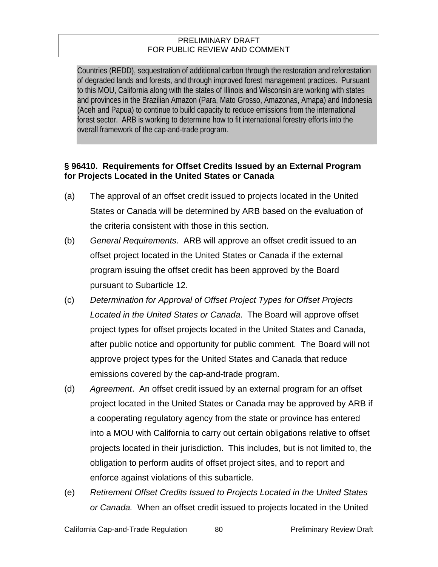Countries (REDD), sequestration of additional carbon through the restoration and reforestation of degraded lands and forests, and through improved forest management practices. Pursuant to this MOU, California along with the states of Illinois and Wisconsin are working with states and provinces in the Brazilian Amazon (Para, Mato Grosso, Amazonas, Amapa) and Indonesia (Aceh and Papua) to continue to build capacity to reduce emissions from the international forest sector. ARB is working to determine how to fit international forestry efforts into the overall framework of the cap-and-trade program.

### **§ 96410. Requirements for Offset Credits Issued by an External Program for Projects Located in the United States or Canada**

- (a) The approval of an offset credit issued to projects located in the United States or Canada will be determined by ARB based on the evaluation of the criteria consistent with those in this section.
- (b) *General Requirements*. ARB will approve an offset credit issued to an offset project located in the United States or Canada if the external program issuing the offset credit has been approved by the Board pursuant to Subarticle 12.
- (c) *Determination for Approval of Offset Project Types for Offset Projects Located in the United States or Canada*. The Board will approve offset project types for offset projects located in the United States and Canada, after public notice and opportunity for public comment. The Board will not approve project types for the United States and Canada that reduce emissions covered by the cap-and-trade program.
- (d) *Agreement*. An offset credit issued by an external program for an offset project located in the United States or Canada may be approved by ARB if a cooperating regulatory agency from the state or province has entered into a MOU with California to carry out certain obligations relative to offset projects located in their jurisdiction. This includes, but is not limited to, the obligation to perform audits of offset project sites, and to report and enforce against violations of this subarticle.
- (e) *Retirement Offset Credits Issued to Projects Located in the United States or Canada.* When an offset credit issued to projects located in the United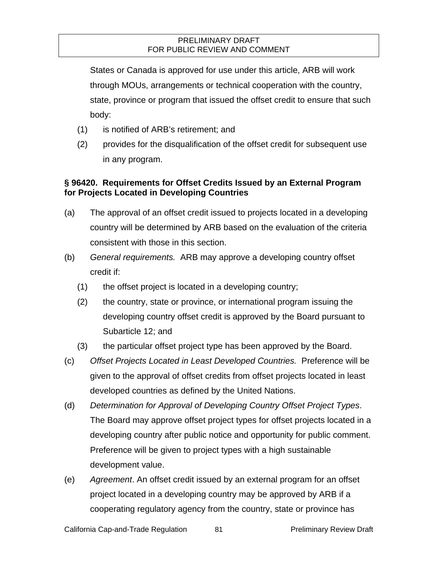States or Canada is approved for use under this article, ARB will work through MOUs, arrangements or technical cooperation with the country, state, province or program that issued the offset credit to ensure that such body:

- (1) is notified of ARB's retirement; and
- (2) provides for the disqualification of the offset credit for subsequent use in any program.

### **§ 96420. Requirements for Offset Credits Issued by an External Program for Projects Located in Developing Countries**

- (a) The approval of an offset credit issued to projects located in a developing country will be determined by ARB based on the evaluation of the criteria consistent with those in this section.
- (b) *General requirements.* ARB may approve a developing country offset credit if:
	- (1) the offset project is located in a developing country;
	- (2) the country, state or province, or international program issuing the developing country offset credit is approved by the Board pursuant to Subarticle 12; and
	- (3) the particular offset project type has been approved by the Board.
- (c) *Offset Projects Located in Least Developed Countries.* Preference will be given to the approval of offset credits from offset projects located in least developed countries as defined by the United Nations.
- (d) *Determination for Approval of Developing Country Offset Project Types*. The Board may approve offset project types for offset projects located in a developing country after public notice and opportunity for public comment. Preference will be given to project types with a high sustainable development value.
- (e) *Agreement*. An offset credit issued by an external program for an offset project located in a developing country may be approved by ARB if a cooperating regulatory agency from the country, state or province has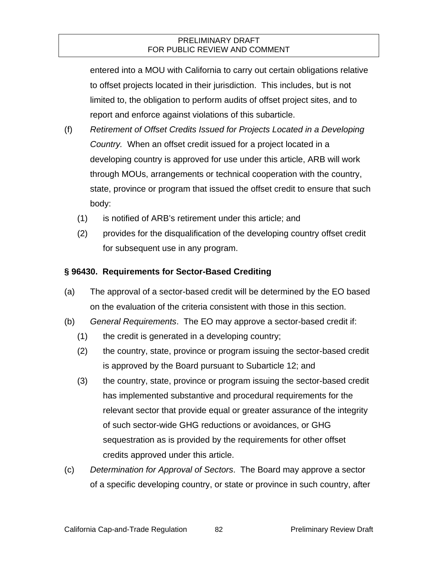entered into a MOU with California to carry out certain obligations relative to offset projects located in their jurisdiction. This includes, but is not limited to, the obligation to perform audits of offset project sites, and to report and enforce against violations of this subarticle.

- (f) *Retirement of Offset Credits Issued for Projects Located in a Developing Country.* When an offset credit issued for a project located in a developing country is approved for use under this article, ARB will work through MOUs, arrangements or technical cooperation with the country, state, province or program that issued the offset credit to ensure that such body:
	- (1) is notified of ARB's retirement under this article; and
	- (2) provides for the disqualification of the developing country offset credit for subsequent use in any program.

### **§ 96430. Requirements for Sector-Based Crediting**

- (a) The approval of a sector-based credit will be determined by the EO based on the evaluation of the criteria consistent with those in this section.
- (b) *General Requirements*. The EO may approve a sector-based credit if:
	- (1) the credit is generated in a developing country;
	- (2) the country, state, province or program issuing the sector-based credit is approved by the Board pursuant to Subarticle 12; and
	- (3) the country, state, province or program issuing the sector-based credit has implemented substantive and procedural requirements for the relevant sector that provide equal or greater assurance of the integrity of such sector-wide GHG reductions or avoidances, or GHG sequestration as is provided by the requirements for other offset credits approved under this article.
- (c) *Determination for Approval of Sectors*. The Board may approve a sector of a specific developing country, or state or province in such country, after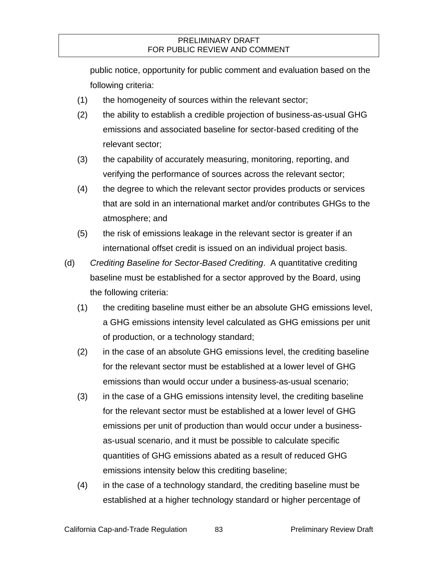public notice, opportunity for public comment and evaluation based on the following criteria:

- (1) the homogeneity of sources within the relevant sector;
- (2) the ability to establish a credible projection of business-as-usual GHG emissions and associated baseline for sector-based crediting of the relevant sector;
- (3) the capability of accurately measuring, monitoring, reporting, and verifying the performance of sources across the relevant sector;
- (4) the degree to which the relevant sector provides products or services that are sold in an international market and/or contributes GHGs to the atmosphere; and
- (5) the risk of emissions leakage in the relevant sector is greater if an international offset credit is issued on an individual project basis.
- (d) *Crediting Baseline for Sector-Based Crediting*. A quantitative crediting baseline must be established for a sector approved by the Board, using the following criteria:
	- (1) the crediting baseline must either be an absolute GHG emissions level, a GHG emissions intensity level calculated as GHG emissions per unit of production, or a technology standard;
	- (2) in the case of an absolute GHG emissions level, the crediting baseline for the relevant sector must be established at a lower level of GHG emissions than would occur under a business-as-usual scenario;
	- (3) in the case of a GHG emissions intensity level, the crediting baseline for the relevant sector must be established at a lower level of GHG emissions per unit of production than would occur under a businessas-usual scenario, and it must be possible to calculate specific quantities of GHG emissions abated as a result of reduced GHG emissions intensity below this crediting baseline;
	- (4) in the case of a technology standard, the crediting baseline must be established at a higher technology standard or higher percentage of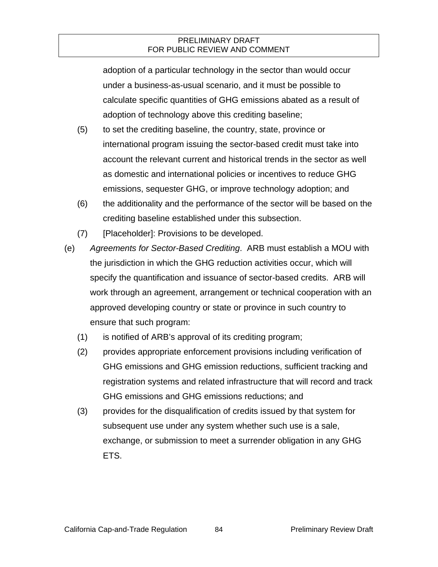adoption of a particular technology in the sector than would occur under a business-as-usual scenario, and it must be possible to calculate specific quantities of GHG emissions abated as a result of adoption of technology above this crediting baseline;

- (5) to set the crediting baseline, the country, state, province or international program issuing the sector-based credit must take into account the relevant current and historical trends in the sector as well as domestic and international policies or incentives to reduce GHG emissions, sequester GHG, or improve technology adoption; and
- (6) the additionality and the performance of the sector will be based on the crediting baseline established under this subsection.
- (7) [Placeholder]: Provisions to be developed.
- (e) *Agreements for Sector-Based Crediting*. ARB must establish a MOU with the jurisdiction in which the GHG reduction activities occur, which will specify the quantification and issuance of sector-based credits. ARB will work through an agreement, arrangement or technical cooperation with an approved developing country or state or province in such country to ensure that such program:
	- (1) is notified of ARB's approval of its crediting program;
	- (2) provides appropriate enforcement provisions including verification of GHG emissions and GHG emission reductions, sufficient tracking and registration systems and related infrastructure that will record and track GHG emissions and GHG emissions reductions; and
	- (3) provides for the disqualification of credits issued by that system for subsequent use under any system whether such use is a sale, exchange, or submission to meet a surrender obligation in any GHG ETS.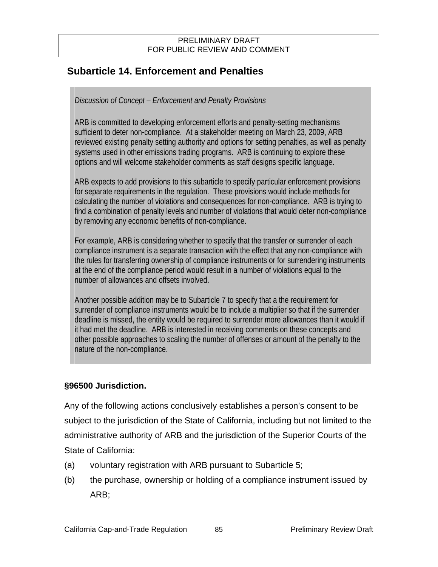# **Subarticle 14. Enforcement and Penalties**

### *Discussion of Concept – Enforcement and Penalty Provisions*

ARB is committed to developing enforcement efforts and penalty-setting mechanisms sufficient to deter non-compliance. At a stakeholder meeting on March 23, 2009, ARB reviewed existing penalty setting authority and options for setting penalties, as well as penalty systems used in other emissions trading programs. ARB is continuing to explore these options and will welcome stakeholder comments as staff designs specific language.

ARB expects to add provisions to this subarticle to specify particular enforcement provisions for separate requirements in the regulation. These provisions would include methods for calculating the number of violations and consequences for non-compliance. ARB is trying to find a combination of penalty levels and number of violations that would deter non-compliance by removing any economic benefits of non-compliance.

For example, ARB is considering whether to specify that the transfer or surrender of each compliance instrument is a separate transaction with the effect that any non-compliance with the rules for transferring ownership of compliance instruments or for surrendering instruments at the end of the compliance period would result in a number of violations equal to the number of allowances and offsets involved.

Another possible addition may be to Subarticle 7 to specify that a the requirement for surrender of compliance instruments would be to include a multiplier so that if the surrender deadline is missed, the entity would be required to surrender more allowances than it would if it had met the deadline. ARB is interested in receiving comments on these concepts and other possible approaches to scaling the number of offenses or amount of the penalty to the nature of the non-compliance.

### **§96500 Jurisdiction.**

Any of the following actions conclusively establishes a person's consent to be subject to the jurisdiction of the State of California, including but not limited to the administrative authority of ARB and the jurisdiction of the Superior Courts of the State of California:

- (a) voluntary registration with ARB pursuant to Subarticle 5;
- (b) the purchase, ownership or holding of a compliance instrument issued by ARB;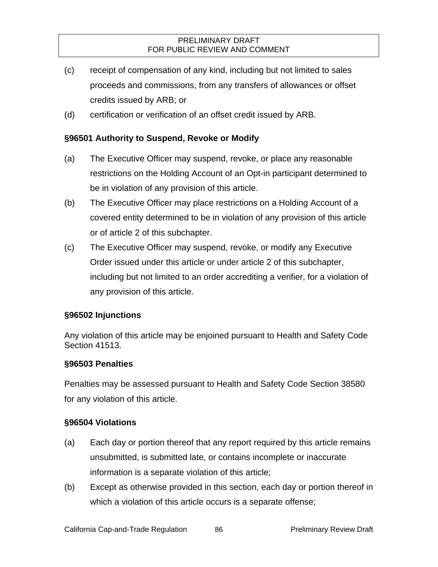- (c) receipt of compensation of any kind, including but not limited to sales proceeds and commissions, from any transfers of allowances or offset credits issued by ARB; or
- (d) certification or verification of an offset credit issued by ARB.

### **§96501 Authority to Suspend, Revoke or Modify**

- (a) The Executive Officer may suspend, revoke, or place any reasonable restrictions on the Holding Account of an Opt-in participant determined to be in violation of any provision of this article.
- (b) The Executive Officer may place restrictions on a Holding Account of a covered entity determined to be in violation of any provision of this article or of article 2 of this subchapter.
- (c) The Executive Officer may suspend, revoke, or modify any Executive Order issued under this article or under article 2 of this subchapter, including but not limited to an order accrediting a verifier, for a violation of any provision of this article.

### **§96502 Injunctions**

Any violation of this article may be enjoined pursuant to Health and Safety Code Section 41513.

### **§96503 Penalties**

Penalties may be assessed pursuant to Health and Safety Code Section 38580 for any violation of this article.

### **§96504 Violations**

- (a) Each day or portion thereof that any report required by this article remains unsubmitted, is submitted late, or contains incomplete or inaccurate information is a separate violation of this article;
- (b) Except as otherwise provided in this section, each day or portion thereof in which a violation of this article occurs is a separate offense;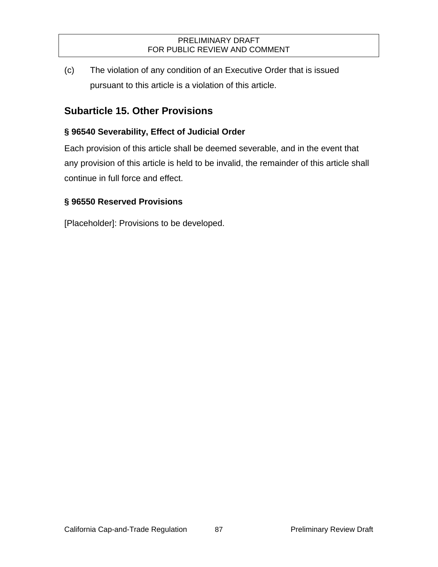(c) The violation of any condition of an Executive Order that is issued pursuant to this article is a violation of this article.

# **Subarticle 15. Other Provisions**

# **§ 96540 Severability, Effect of Judicial Order**

Each provision of this article shall be deemed severable, and in the event that any provision of this article is held to be invalid, the remainder of this article shall continue in full force and effect.

# **§ 96550 Reserved Provisions**

[Placeholder]: Provisions to be developed.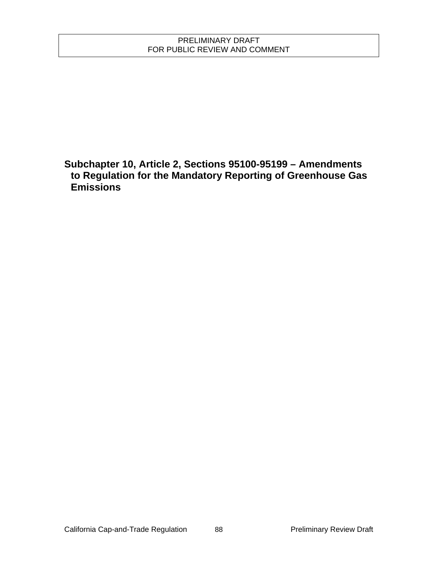**Subchapter 10, Article 2, Sections 95100-95199 – Amendments to Regulation for the Mandatory Reporting of Greenhouse Gas Emissions**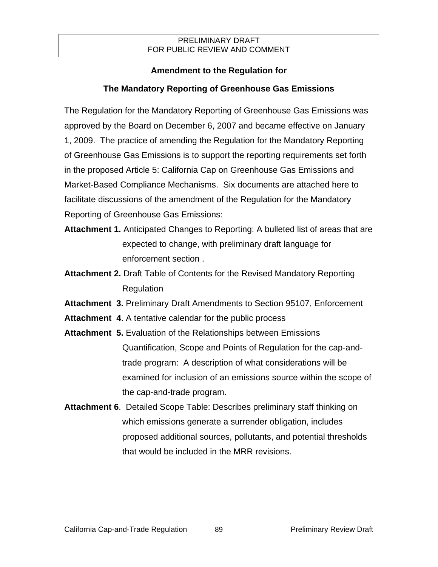# **Amendment to the Regulation for**

# **The Mandatory Reporting of Greenhouse Gas Emissions**

The Regulation for the Mandatory Reporting of Greenhouse Gas Emissions was approved by the Board on December 6, 2007 and became effective on January 1, 2009. The practice of amending the Regulation for the Mandatory Reporting of Greenhouse Gas Emissions is to support the reporting requirements set forth in the proposed Article 5: California Cap on Greenhouse Gas Emissions and Market-Based Compliance Mechanisms. Six documents are attached here to facilitate discussions of the amendment of the Regulation for the Mandatory Reporting of Greenhouse Gas Emissions:

- **Attachment 1.** Anticipated Changes to Reporting: A bulleted list of areas that are expected to change, with preliminary draft language for enforcement section .
- **Attachment 2.** Draft Table of Contents for the Revised Mandatory Reporting Regulation

**Attachment 3.** Preliminary Draft Amendments to Section 95107, Enforcement

- **Attachment 4**. A tentative calendar for the public process
- **Attachment 5.** Evaluation of the Relationships between Emissions Quantification, Scope and Points of Regulation for the cap-andtrade program: A description of what considerations will be examined for inclusion of an emissions source within the scope of the cap-and-trade program.
- **Attachment 6**. Detailed Scope Table: Describes preliminary staff thinking on which emissions generate a surrender obligation, includes proposed additional sources, pollutants, and potential thresholds that would be included in the MRR revisions.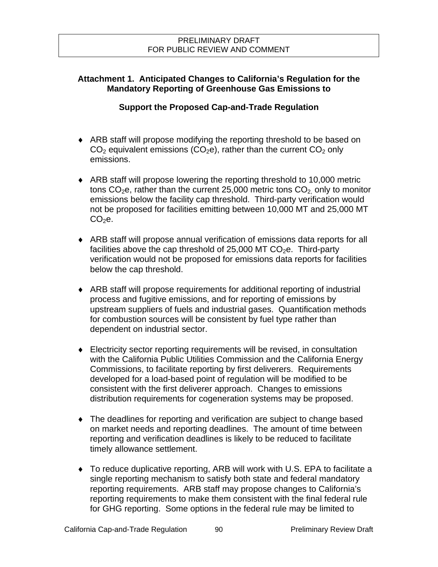# **Attachment 1. Anticipated Changes to California's Regulation for the Mandatory Reporting of Greenhouse Gas Emissions to**

### **Support the Proposed Cap-and-Trade Regulation**

- ARB staff will propose modifying the reporting threshold to be based on  $CO<sub>2</sub>$  equivalent emissions ( $CO<sub>2</sub>e$ ), rather than the current  $CO<sub>2</sub>$  only emissions.
- ARB staff will propose lowering the reporting threshold to 10,000 metric tons  $CO<sub>2</sub>e$ , rather than the current 25,000 metric tons  $CO<sub>2</sub>$  only to monitor emissions below the facility cap threshold. Third-party verification would not be proposed for facilities emitting between 10,000 MT and 25,000 MT  $CO<sub>2</sub>e.$
- ARB staff will propose annual verification of emissions data reports for all facilities above the cap threshold of 25,000 MT  $CO<sub>2</sub>e$ . Third-party verification would not be proposed for emissions data reports for facilities below the cap threshold.
- ARB staff will propose requirements for additional reporting of industrial process and fugitive emissions, and for reporting of emissions by upstream suppliers of fuels and industrial gases. Quantification methods for combustion sources will be consistent by fuel type rather than dependent on industrial sector.
- Electricity sector reporting requirements will be revised, in consultation with the California Public Utilities Commission and the California Energy Commissions, to facilitate reporting by first deliverers. Requirements developed for a load-based point of regulation will be modified to be consistent with the first deliverer approach. Changes to emissions distribution requirements for cogeneration systems may be proposed.
- The deadlines for reporting and verification are subject to change based on market needs and reporting deadlines. The amount of time between reporting and verification deadlines is likely to be reduced to facilitate timely allowance settlement.
- To reduce duplicative reporting, ARB will work with U.S. EPA to facilitate a single reporting mechanism to satisfy both state and federal mandatory reporting requirements. ARB staff may propose changes to California's reporting requirements to make them consistent with the final federal rule for GHG reporting. Some options in the federal rule may be limited to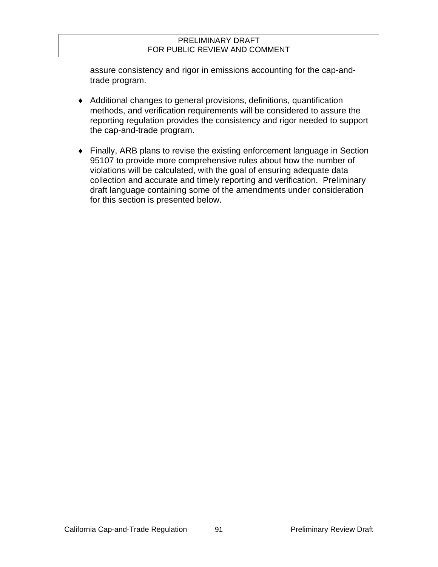assure consistency and rigor in emissions accounting for the cap-andtrade program.

- Additional changes to general provisions, definitions, quantification methods, and verification requirements will be considered to assure the reporting regulation provides the consistency and rigor needed to support the cap-and-trade program.
- Finally, ARB plans to revise the existing enforcement language in Section 95107 to provide more comprehensive rules about how the number of violations will be calculated, with the goal of ensuring adequate data collection and accurate and timely reporting and verification. Preliminary draft language containing some of the amendments under consideration for this section is presented below.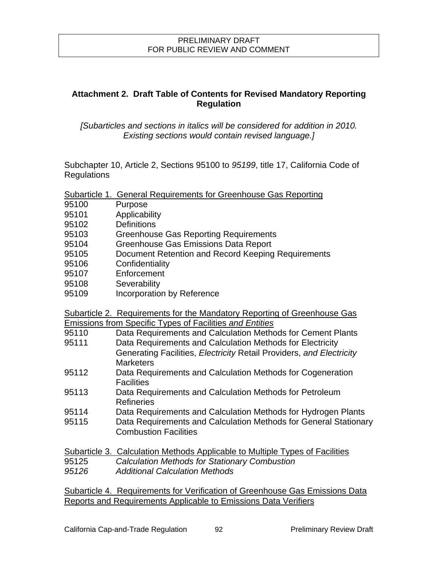### **Attachment 2. Draft Table of Contents for Revised Mandatory Reporting Regulation**

*[Subarticles and sections in italics will be considered for addition in 2010. Existing sections would contain revised language.]*

Subchapter 10, Article 2, Sections 95100 to *95199*, title 17, California Code of **Regulations** 

| Subarticle 1. General Requirements for Greenhouse Gas Reporting |
|-----------------------------------------------------------------|
|-----------------------------------------------------------------|

- 95100 Purpose
- 95101 Applicability
- 95102 Definitions
- 95103 Greenhouse Gas Reporting Requirements
- 95104 Greenhouse Gas Emissions Data Report
- 95105 Document Retention and Record Keeping Requirements
- 95106 Confidentiality
- 95107 Enforcement
- 95108 Severability
- 95109 Incorporation by Reference

Subarticle 2. Requirements for the Mandatory Reporting of Greenhouse Gas Emissions from Specific Types of Facilities *and Entities*

- 95110 Data Requirements and Calculation Methods for Cement Plants
- 95111 Data Requirements and Calculation Methods for Electricity Generating Facilities, *Electricity* Retail Providers, *and Electricity*  **Marketers**
- 95112 Data Requirements and Calculation Methods for Cogeneration **Facilities**
- 95113 Data Requirements and Calculation Methods for Petroleum Refineries
- 95114 Data Requirements and Calculation Methods for Hydrogen Plants
- 95115 Data Requirements and Calculation Methods for General Stationary Combustion Facilities

|       | Subarticle 3. Calculation Methods Applicable to Multiple Types of Facilities |
|-------|------------------------------------------------------------------------------|
| 95125 | <b>Calculation Methods for Stationary Combustion</b>                         |
| 95126 | <b>Additional Calculation Methods</b>                                        |

Subarticle 4. Requirements for Verification of Greenhouse Gas Emissions Data Reports and Requirements Applicable to Emissions Data Verifiers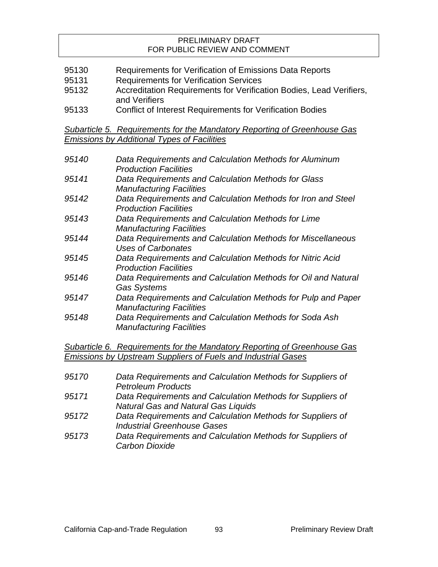- 95130 Requirements for Verification of Emissions Data Reports
- 95131 Requirements for Verification Services
- 95132 Accreditation Requirements for Verification Bodies, Lead Verifiers, and Verifiers
- 95133 Conflict of Interest Requirements for Verification Bodies

*Subarticle 5. Requirements for the Mandatory Reporting of Greenhouse Gas Emissions by Additional Types of Facilities*

| 95140 | Data Requirements and Calculation Methods for Aluminum<br><b>Production Facilities</b>          |
|-------|-------------------------------------------------------------------------------------------------|
| 95141 | Data Requirements and Calculation Methods for Glass<br><b>Manufacturing Facilities</b>          |
| 95142 | Data Requirements and Calculation Methods for Iron and Steel<br><b>Production Facilities</b>    |
| 95143 | Data Requirements and Calculation Methods for Lime<br><b>Manufacturing Facilities</b>           |
| 95144 | Data Requirements and Calculation Methods for Miscellaneous<br>Uses of Carbonates               |
| 95145 | Data Requirements and Calculation Methods for Nitric Acid<br><b>Production Facilities</b>       |
| 95146 | Data Requirements and Calculation Methods for Oil and Natural<br><b>Gas Systems</b>             |
| 95147 | Data Requirements and Calculation Methods for Pulp and Paper<br><b>Manufacturing Facilities</b> |
| 95148 | Data Requirements and Calculation Methods for Soda Ash<br><b>Manufacturing Facilities</b>       |

*Subarticle 6. Requirements for the Mandatory Reporting of Greenhouse Gas Emissions by Upstream Suppliers of Fuels and Industrial Gases*

- *95170 Data Requirements and Calculation Methods for Suppliers of Petroleum Products*
- *95171 Data Requirements and Calculation Methods for Suppliers of Natural Gas and Natural Gas Liquids*
- *95172 Data Requirements and Calculation Methods for Suppliers of Industrial Greenhouse Gases*
- *95173 Data Requirements and Calculation Methods for Suppliers of Carbon Dioxide*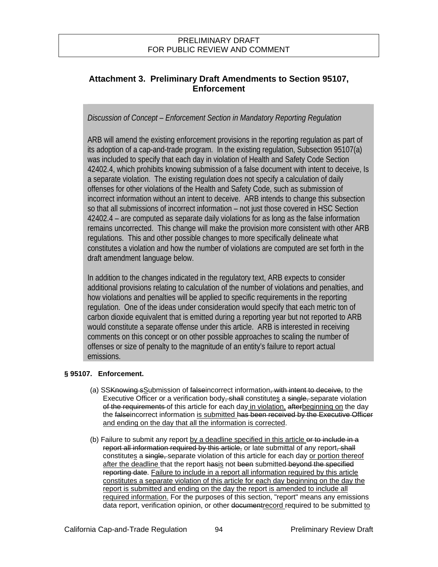# **Attachment 3. Preliminary Draft Amendments to Section 95107, Enforcement**

*Discussion of Concept – Enforcement Section in Mandatory Reporting Regulation* 

ARB will amend the existing enforcement provisions in the reporting regulation as part of its adoption of a cap-and-trade program. In the existing regulation, Subsection 95107(a) was included to specify that each day in violation of Health and Safety Code Section 42402.4, which prohibits knowing submission of a false document with intent to deceive, Is a separate violation. The existing regulation does not specify a calculation of daily offenses for other violations of the Health and Safety Code, such as submission of incorrect information without an intent to deceive. ARB intends to change this subsection so that all submissions of incorrect information – not just those covered in HSC Section 42402.4 – are computed as separate daily violations for as long as the false information remains uncorrected. This change will make the provision more consistent with other ARB regulations. This and other possible changes to more specifically delineate what constitutes a violation and how the number of violations are computed are set forth in the draft amendment language below.

In addition to the changes indicated in the regulatory text, ARB expects to consider additional provisions relating to calculation of the number of violations and penalties, and how violations and penalties will be applied to specific requirements in the reporting regulation. One of the ideas under consideration would specify that each metric ton of carbon dioxide equivalent that is emitted during a reporting year but not reported to ARB would constitute a separate offense under this article. ARB is interested in receiving comments on this concept or on other possible approaches to scaling the number of offenses or size of penalty to the magnitude of an entity's failure to report actual emissions.

### **§ 95107. Enforcement.**

- (a) SSKnowing sSubmission of falseincorrect information<del>, with intent to deceive,</del> to the Executive Officer or a verification body<del>, shall</del> constitutes a single, separate violation of the requirements of this article for each day in violation, after beginning on the day the falseincorrect information is submitted has been received by the Executive Officer and ending on the day that all the information is corrected.
- (b) Failure to submit any report by a deadline specified in this article or to include in  $a$ report all information required by this article, or late submittal of any report, shall constitutes a single, separate violation of this article for each day or portion thereof after the deadline that the report hasis not been submitted beyond the specified reporting date. Failure to include in a report all information required by this article constitutes a separate violation of this article for each day beginning on the day the report is submitted and ending on the day the report is amended to include all required information. For the purposes of this section, "report" means any emissions data report, verification opinion, or other document record required to be submitted to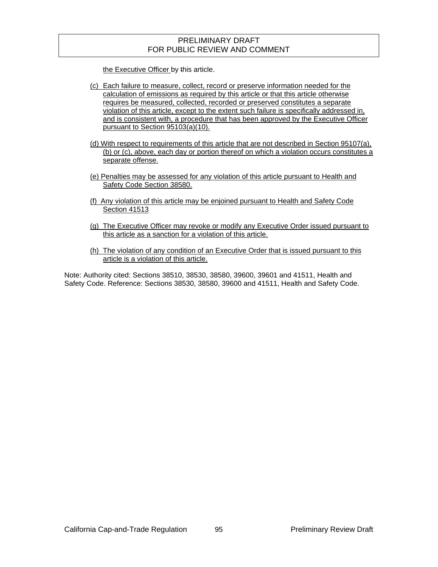the Executive Officer by this article.

- (c) Each failure to measure, collect, record or preserve information needed for the calculation of emissions as required by this article or that this article otherwise requires be measured, collected, recorded or preserved constitutes a separate violation of this article, except to the extent such failure is specifically addressed in, and is consistent with, a procedure that has been approved by the Executive Officer pursuant to Section 95103(a)(10).
- (d) With respect to requirements of this article that are not described in Section 95107(a), (b) or (c), above, each day or portion thereof on which a violation occurs constitutes a separate offense.
- (e) Penalties may be assessed for any violation of this article pursuant to Health and Safety Code Section 38580.
- (f) Any violation of this article may be enjoined pursuant to Health and Safety Code Section 41513
- (g) The Executive Officer may revoke or modify any Executive Order issued pursuant to this article as a sanction for a violation of this article.
- (h) The violation of any condition of an Executive Order that is issued pursuant to this article is a violation of this article.

Note: Authority cited: Sections 38510, 38530, 38580, 39600, 39601 and 41511, Health and Safety Code. Reference: Sections 38530, 38580, 39600 and 41511, Health and Safety Code.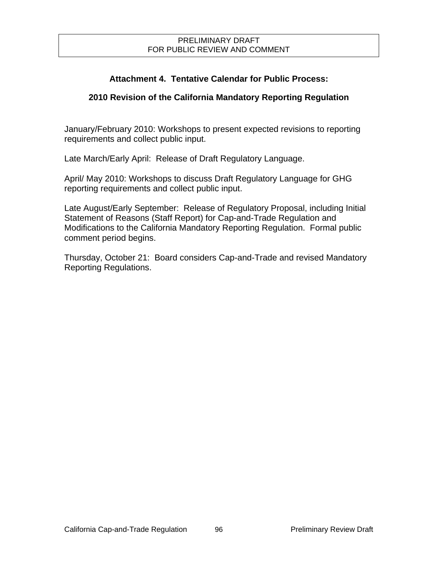# **Attachment 4. Tentative Calendar for Public Process:**

# **2010 Revision of the California Mandatory Reporting Regulation**

January/February 2010: Workshops to present expected revisions to reporting requirements and collect public input.

Late March/Early April: Release of Draft Regulatory Language.

April/ May 2010: Workshops to discuss Draft Regulatory Language for GHG reporting requirements and collect public input.

Late August/Early September: Release of Regulatory Proposal, including Initial Statement of Reasons (Staff Report) for Cap-and-Trade Regulation and Modifications to the California Mandatory Reporting Regulation. Formal public comment period begins.

Thursday, October 21: Board considers Cap-and-Trade and revised Mandatory Reporting Regulations.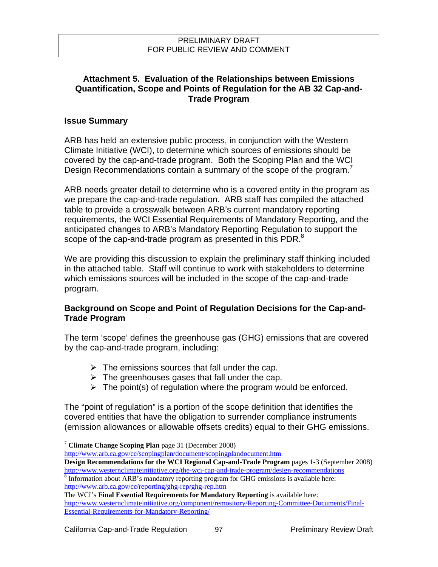### **Attachment 5. Evaluation of the Relationships between Emissions Quantification, Scope and Points of Regulation for the AB 32 Cap-and-Trade Program**

### **Issue Summary**

ARB has held an extensive public process, in conjunction with the Western Climate Initiative (WCI), to determine which sources of emissions should be covered by the cap-and-trade program. Both the Scoping Plan and the WCI Design Recommendations contain a summary of the scope of the program.<sup>7</sup>

ARB needs greater detail to determine who is a covered entity in the program as we prepare the cap-and-trade regulation. ARB staff has compiled the attached table to provide a crosswalk between ARB's current mandatory reporting requirements, the WCI Essential Requirements of Mandatory Reporting, and the anticipated changes to ARB's Mandatory Reporting Regulation to support the scope of the cap-and-trade program as presented in this PDR.<sup>8</sup>

We are providing this discussion to explain the preliminary staff thinking included in the attached table. Staff will continue to work with stakeholders to determine which emissions sources will be included in the scope of the cap-and-trade program.

### **Background on Scope and Point of Regulation Decisions for the Cap-and-Trade Program**

The term 'scope' defines the greenhouse gas (GHG) emissions that are covered by the cap-and-trade program, including:

- $\triangleright$  The emissions sources that fall under the cap.
- $\triangleright$  The greenhouses gases that fall under the cap.
- $\triangleright$  The point(s) of regulation where the program would be enforced.

The "point of regulation" is a portion of the scope definition that identifies the covered entities that have the obligation to surrender compliance instruments (emission allowances or allowable offsets credits) equal to their GHG emissions.

<http://www.arb.ca.gov/cc/scopingplan/document/scopingplandocument.htm>

**Design Recommendations for the WCI Regional Cap-and-Trade Program** pages 1-3 (September 2008) <http://www.westernclimateinitiative.org/the-wci-cap-and-trade-program/design-recommendations> <sup>8</sup>

l

<sup>7</sup> **Climate Change Scoping Plan** page 31 (December 2008)

<sup>&</sup>lt;sup>8</sup> Information about ARB's mandatory reporting program for GHG emissions is available here: <http://www.arb.ca.gov/cc/reporting/ghg-rep/ghg-rep.htm>

The WCI's **Final Essential Requirements for Mandatory Reporting** is available here: [http://www.westernclimateinitiative.org/component/remository/Reporting-Committee-Documents/Final-](http://www.westernclimateinitiative.org/component/remository/Reporting-Committee-Documents/Final-Essential-Requirements-for-Mandatory-Reporting/)[Essential-Requirements-for-Mandatory-Reporting/](http://www.westernclimateinitiative.org/component/remository/Reporting-Committee-Documents/Final-Essential-Requirements-for-Mandatory-Reporting/)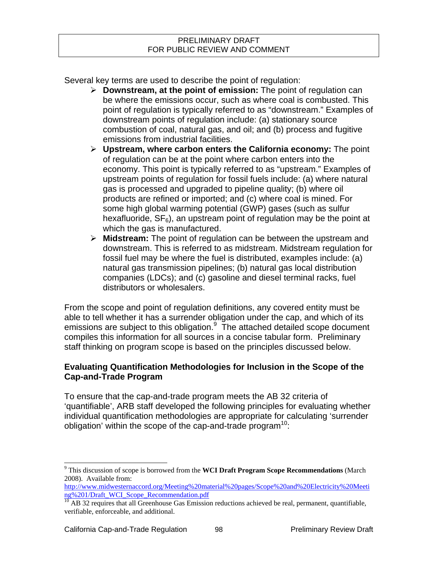Several key terms are used to describe the point of regulation:

- **Downstream, at the point of emission:** The point of regulation can be where the emissions occur, such as where coal is combusted. This point of regulation is typically referred to as "downstream." Examples of downstream points of regulation include: (a) stationary source combustion of coal, natural gas, and oil; and (b) process and fugitive emissions from industrial facilities.
- **Upstream, where carbon enters the California economy:** The point of regulation can be at the point where carbon enters into the economy. This point is typically referred to as "upstream." Examples of upstream points of regulation for fossil fuels include: (a) where natural gas is processed and upgraded to pipeline quality; (b) where oil products are refined or imported; and (c) where coal is mined. For some high global warming potential (GWP) gases (such as sulfur hexafluoride,  $SF_6$ ), an upstream point of regulation may be the point at which the gas is manufactured.
- **Midstream:** The point of regulation can be between the upstream and downstream. This is referred to as midstream. Midstream regulation for fossil fuel may be where the fuel is distributed, examples include: (a) natural gas transmission pipelines; (b) natural gas local distribution companies (LDCs); and (c) gasoline and diesel terminal racks, fuel distributors or wholesalers.

From the scope and point of regulation definitions, any covered entity must be able to tell whether it has a surrender obligation under the cap, and which of its emissions are subject to this obligation. $9\text{ T}$ he attached detailed scope document compiles this information for all sources in a concise tabular form. Preliminary staff thinking on program scope is based on the principles discussed below.

# **Evaluating Quantification Methodologies for Inclusion in the Scope of the Cap-and-Trade Program**

To ensure that the cap-and-trade program meets the AB 32 criteria of 'quantifiable', ARB staff developed the following principles for evaluating whether individual quantification methodologies are appropriate for calculating 'surrender obligation' within the scope of the cap-and-trade program<sup>10</sup>:

 9 This discussion of scope is borrowed from the **WCI Draft Program Scope Recommendations** (March 2008). Available from:

[http://www.midwesternaccord.org/Meeting%20material%20pages/Scope%20and%20Electricity%20Meeti](http://www.midwesternaccord.org/Meeting%20material%20pages/Scope%20and%20Electricity%20Meeting%201/Draft_WCI_Scope_Recommendation.pdf) [ng%201/Draft\\_WCI\\_Scope\\_Recommendation.pdf](http://www.midwesternaccord.org/Meeting%20material%20pages/Scope%20and%20Electricity%20Meeting%201/Draft_WCI_Scope_Recommendation.pdf)

<sup>&</sup>lt;sup>10</sup> AB 32 requires that all Greenhouse Gas Emission reductions achieved be real, permanent, quantifiable, verifiable, enforceable, and additional.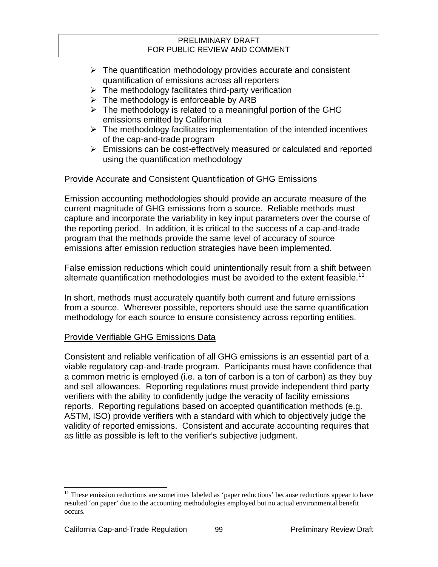- $\triangleright$  The quantification methodology provides accurate and consistent quantification of emissions across all reporters
- $\triangleright$  The methodology facilitates third-party verification
- $\triangleright$  The methodology is enforceable by ARB
- $\triangleright$  The methodology is related to a meaningful portion of the GHG emissions emitted by California
- $\triangleright$  The methodology facilitates implementation of the intended incentives of the cap-and-trade program
- $\triangleright$  Emissions can be cost-effectively measured or calculated and reported using the quantification methodology

# Provide Accurate and Consistent Quantification of GHG Emissions

Emission accounting methodologies should provide an accurate measure of the current magnitude of GHG emissions from a source. Reliable methods must capture and incorporate the variability in key input parameters over the course of the reporting period. In addition, it is critical to the success of a cap-and-trade program that the methods provide the same level of accuracy of source emissions after emission reduction strategies have been implemented.

False emission reductions which could unintentionally result from a shift between alternate quantification methodologies must be avoided to the extent feasible.<sup>11</sup>

In short, methods must accurately quantify both current and future emissions from a source. Wherever possible, reporters should use the same quantification methodology for each source to ensure consistency across reporting entities.

# Provide Verifiable GHG Emissions Data

Consistent and reliable verification of all GHG emissions is an essential part of a viable regulatory cap-and-trade program. Participants must have confidence that a common metric is employed (i.e. a ton of carbon is a ton of carbon) as they buy and sell allowances. Reporting regulations must provide independent third party verifiers with the ability to confidently judge the veracity of facility emissions reports. Reporting regulations based on accepted quantification methods (e.g. ASTM, ISO) provide verifiers with a standard with which to objectively judge the validity of reported emissions. Consistent and accurate accounting requires that as little as possible is left to the verifier's subjective judgment.

l

 $11$  These emission reductions are sometimes labeled as 'paper reductions' because reductions appear to have resulted 'on paper' due to the accounting methodologies employed but no actual environmental benefit occurs.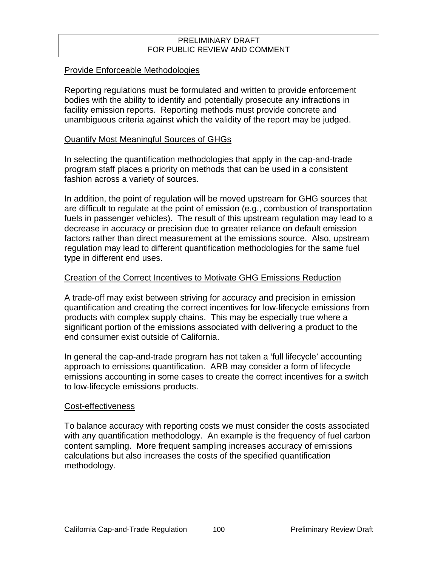#### Provide Enforceable Methodologies

Reporting regulations must be formulated and written to provide enforcement bodies with the ability to identify and potentially prosecute any infractions in facility emission reports. Reporting methods must provide concrete and unambiguous criteria against which the validity of the report may be judged.

#### Quantify Most Meaningful Sources of GHGs

In selecting the quantification methodologies that apply in the cap-and-trade program staff places a priority on methods that can be used in a consistent fashion across a variety of sources.

In addition, the point of regulation will be moved upstream for GHG sources that are difficult to regulate at the point of emission (e.g., combustion of transportation fuels in passenger vehicles). The result of this upstream regulation may lead to a decrease in accuracy or precision due to greater reliance on default emission factors rather than direct measurement at the emissions source. Also, upstream regulation may lead to different quantification methodologies for the same fuel type in different end uses.

#### Creation of the Correct Incentives to Motivate GHG Emissions Reduction

A trade-off may exist between striving for accuracy and precision in emission quantification and creating the correct incentives for low-lifecycle emissions from products with complex supply chains. This may be especially true where a significant portion of the emissions associated with delivering a product to the end consumer exist outside of California.

In general the cap-and-trade program has not taken a 'full lifecycle' accounting approach to emissions quantification. ARB may consider a form of lifecycle emissions accounting in some cases to create the correct incentives for a switch to low-lifecycle emissions products.

#### Cost-effectiveness

To balance accuracy with reporting costs we must consider the costs associated with any quantification methodology. An example is the frequency of fuel carbon content sampling. More frequent sampling increases accuracy of emissions calculations but also increases the costs of the specified quantification methodology.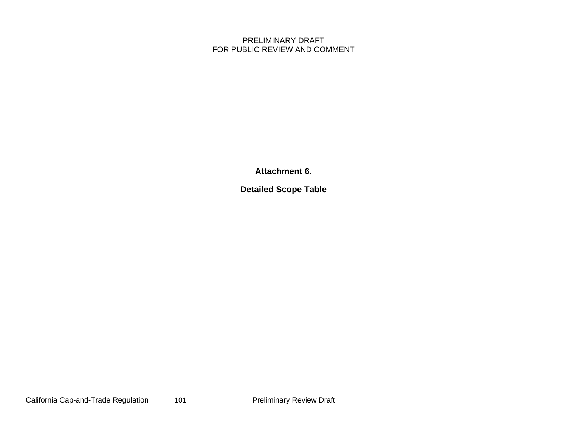**Attachment 6.** 

**Detailed Scope Table**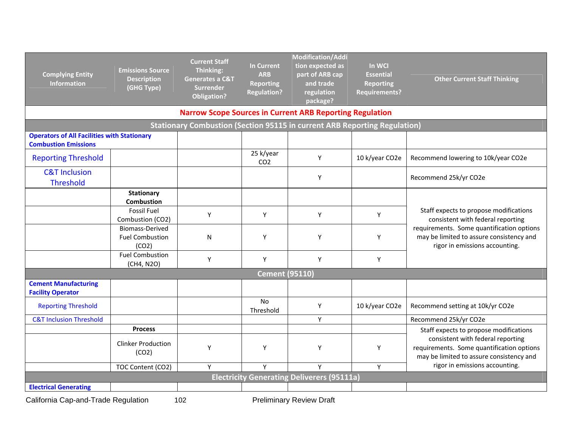| <b>Complying Entity</b><br><b>Information</b>                                     | <b>Emissions Source</b><br><b>Description</b><br>(GHG Type) | <b>Current Staff</b><br>Thinking:<br><b>Generates a C&amp;T</b><br><b>Surrender</b><br><b>Obligation?</b> | <b>In Current</b><br><b>ARB</b><br><b>Reporting</b><br><b>Regulation?</b> | Modification/Addi<br>tion expected as<br>part of ARB cap<br>and trade<br>regulation<br>package? | In WCI<br><b>Essential</b><br><b>Reporting</b><br><b>Requirements?</b> | <b>Other Current Staff Thinking</b>                                                                                        |
|-----------------------------------------------------------------------------------|-------------------------------------------------------------|-----------------------------------------------------------------------------------------------------------|---------------------------------------------------------------------------|-------------------------------------------------------------------------------------------------|------------------------------------------------------------------------|----------------------------------------------------------------------------------------------------------------------------|
|                                                                                   |                                                             |                                                                                                           |                                                                           | <b>Narrow Scope Sources in Current ARB Reporting Regulation</b>                                 |                                                                        |                                                                                                                            |
|                                                                                   |                                                             |                                                                                                           |                                                                           | <b>Stationary Combustion (Section 95115 in current ARB Reporting Regulation)</b>                |                                                                        |                                                                                                                            |
| <b>Operators of All Facilities with Stationary</b><br><b>Combustion Emissions</b> |                                                             |                                                                                                           |                                                                           |                                                                                                 |                                                                        |                                                                                                                            |
| <b>Reporting Threshold</b>                                                        |                                                             |                                                                                                           | 25 k/year<br>CO <sub>2</sub>                                              | Y                                                                                               | 10 k/year CO2e                                                         | Recommend lowering to 10k/year CO2e                                                                                        |
| <b>C&amp;T Inclusion</b><br><b>Threshold</b>                                      |                                                             |                                                                                                           |                                                                           | Υ                                                                                               |                                                                        | Recommend 25k/yr CO2e                                                                                                      |
|                                                                                   | <b>Stationary</b><br><b>Combustion</b>                      |                                                                                                           |                                                                           |                                                                                                 |                                                                        |                                                                                                                            |
|                                                                                   | <b>Fossil Fuel</b><br>Combustion (CO2)                      | Υ                                                                                                         | Y                                                                         | Y                                                                                               | Y                                                                      | Staff expects to propose modifications<br>consistent with federal reporting                                                |
|                                                                                   | <b>Biomass-Derived</b><br><b>Fuel Combustion</b><br>(CO2)   | N                                                                                                         | Y                                                                         | Y                                                                                               | Y                                                                      | requirements. Some quantification options<br>may be limited to assure consistency and<br>rigor in emissions accounting.    |
|                                                                                   | <b>Fuel Combustion</b><br>(CH4, N2O)                        | Υ                                                                                                         | Υ                                                                         | Υ                                                                                               | Y                                                                      |                                                                                                                            |
|                                                                                   |                                                             |                                                                                                           | <b>Cement (95110)</b>                                                     |                                                                                                 |                                                                        |                                                                                                                            |
| <b>Cement Manufacturing</b><br><b>Facility Operator</b>                           |                                                             |                                                                                                           |                                                                           |                                                                                                 |                                                                        |                                                                                                                            |
| <b>Reporting Threshold</b>                                                        |                                                             |                                                                                                           | <b>No</b><br>Threshold                                                    | Υ                                                                                               | 10 k/year CO2e                                                         | Recommend setting at 10k/yr CO2e                                                                                           |
| <b>C&amp;T Inclusion Threshold</b>                                                |                                                             |                                                                                                           |                                                                           | Y                                                                                               |                                                                        | Recommend 25k/yr CO2e                                                                                                      |
|                                                                                   | <b>Process</b>                                              |                                                                                                           |                                                                           |                                                                                                 |                                                                        | Staff expects to propose modifications                                                                                     |
|                                                                                   | <b>Clinker Production</b><br>(CO2)                          | Y                                                                                                         | Y                                                                         | Y                                                                                               | Y                                                                      | consistent with federal reporting<br>requirements. Some quantification options<br>may be limited to assure consistency and |
|                                                                                   | TOC Content (CO2)                                           | Y                                                                                                         | Y                                                                         | Y                                                                                               | Y                                                                      | rigor in emissions accounting.                                                                                             |
|                                                                                   |                                                             |                                                                                                           |                                                                           | <b>Electricity Generating Deliverers (95111a)</b>                                               |                                                                        |                                                                                                                            |
| <b>Electrical Generating</b>                                                      |                                                             |                                                                                                           |                                                                           |                                                                                                 |                                                                        |                                                                                                                            |

California Cap-and-Trade Regulation 102 Preliminary Review Draft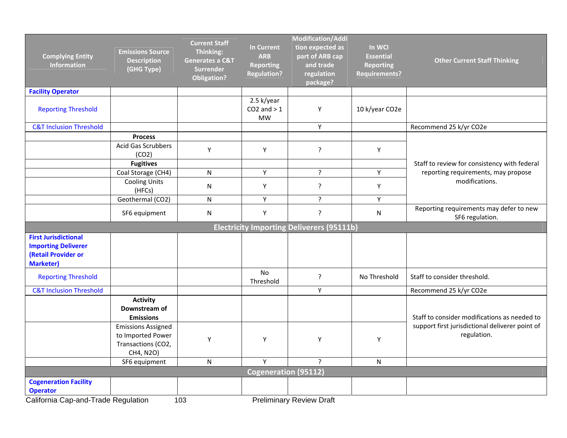| <b>Complying Entity</b><br><b>Information</b>                                                        | <b>Emissions Source</b><br><b>Description</b><br>(GHG Type)                       | <b>Current Staff</b><br>Thinking:<br><b>Generates a C&amp;T</b><br><b>Surrender</b><br><b>Obligation?</b> | <b>In Current</b><br><b>ARB</b><br><b>Reporting</b><br><b>Regulation?</b> | <b>Modification/Addi</b><br>tion expected as<br>part of ARB cap<br>and trade<br>regulation<br>package? | In WCI<br><b>Essential</b><br><b>Reporting</b><br><b>Requirements?</b> | <b>Other Current Staff Thinking</b>                            |
|------------------------------------------------------------------------------------------------------|-----------------------------------------------------------------------------------|-----------------------------------------------------------------------------------------------------------|---------------------------------------------------------------------------|--------------------------------------------------------------------------------------------------------|------------------------------------------------------------------------|----------------------------------------------------------------|
| <b>Facility Operator</b>                                                                             |                                                                                   |                                                                                                           |                                                                           |                                                                                                        |                                                                        |                                                                |
| <b>Reporting Threshold</b>                                                                           |                                                                                   |                                                                                                           | 2.5 k/year<br>$CO2$ and $>1$<br><b>MW</b>                                 | Y                                                                                                      | 10 k/year CO2e                                                         |                                                                |
| <b>C&amp;T Inclusion Threshold</b>                                                                   |                                                                                   |                                                                                                           |                                                                           | Υ                                                                                                      |                                                                        | Recommend 25 k/yr CO2e                                         |
|                                                                                                      | <b>Process</b>                                                                    |                                                                                                           |                                                                           |                                                                                                        |                                                                        |                                                                |
|                                                                                                      | Acid Gas Scrubbers<br>(CO2)                                                       | Υ                                                                                                         | Υ                                                                         | $\overline{?}$                                                                                         | Y                                                                      |                                                                |
|                                                                                                      | <b>Fugitives</b>                                                                  |                                                                                                           |                                                                           |                                                                                                        |                                                                        | Staff to review for consistency with federal                   |
|                                                                                                      | Coal Storage (CH4)                                                                | N                                                                                                         | Υ                                                                         | ?                                                                                                      | Υ                                                                      | reporting requirements, may propose                            |
|                                                                                                      | <b>Cooling Units</b><br>(HFCs)                                                    | N                                                                                                         | Υ                                                                         | ?                                                                                                      | Υ                                                                      | modifications.                                                 |
|                                                                                                      | Geothermal (CO2)                                                                  | $\mathsf{N}$                                                                                              | Υ                                                                         | $\overline{?}$                                                                                         | Υ                                                                      |                                                                |
|                                                                                                      | SF6 equipment                                                                     | N                                                                                                         | Υ                                                                         | $\overline{?}$                                                                                         | N                                                                      | Reporting requirements may defer to new<br>SF6 regulation.     |
|                                                                                                      |                                                                                   |                                                                                                           |                                                                           | <b>Electricity Importing Deliverers (95111b)</b>                                                       |                                                                        |                                                                |
| <b>First Jurisdictional</b><br><b>Importing Deliverer</b><br>(Retail Provider or<br><b>Marketer)</b> |                                                                                   |                                                                                                           |                                                                           |                                                                                                        |                                                                        |                                                                |
| <b>Reporting Threshold</b>                                                                           |                                                                                   |                                                                                                           | No<br>Threshold                                                           | ?                                                                                                      | No Threshold                                                           | Staff to consider threshold.                                   |
| <b>C&amp;T Inclusion Threshold</b>                                                                   |                                                                                   |                                                                                                           |                                                                           | Υ                                                                                                      |                                                                        | Recommend 25 k/yr CO2e                                         |
|                                                                                                      | <b>Activity</b><br>Downstream of<br><b>Emissions</b>                              |                                                                                                           |                                                                           |                                                                                                        |                                                                        | Staff to consider modifications as needed to                   |
|                                                                                                      | <b>Emissions Assigned</b><br>to Imported Power<br>Transactions (CO2,<br>CH4, N2O) | Υ                                                                                                         | Υ                                                                         | Υ                                                                                                      | Υ                                                                      | support first jurisdictional deliverer point of<br>regulation. |
|                                                                                                      | SF6 equipment                                                                     | N                                                                                                         | Y                                                                         | ?                                                                                                      | N                                                                      |                                                                |
|                                                                                                      |                                                                                   |                                                                                                           | <b>Cogeneration (95112)</b>                                               |                                                                                                        |                                                                        |                                                                |
| <b>Cogeneration Facility</b><br><b>Operator</b><br>California Cap-and-Trade Regulation               |                                                                                   | 103                                                                                                       |                                                                           | <b>Preliminary Review Draft</b>                                                                        |                                                                        |                                                                |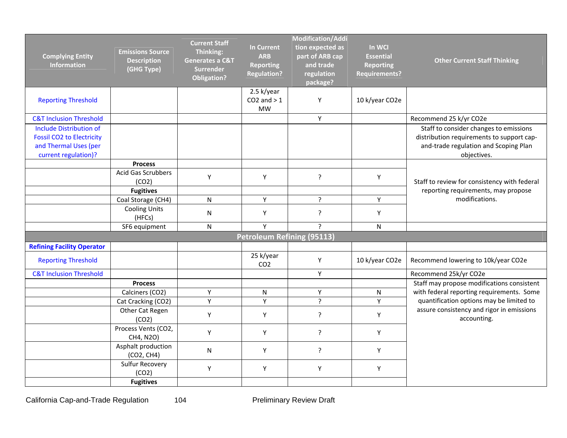| <b>Complying Entity</b><br><b>Information</b>                                                                       | <b>Emissions Source</b><br><b>Description</b><br>(GHG Type) | <b>Current Staff</b><br>Thinking:<br><b>Generates a C&amp;T</b><br><b>Surrender</b><br><b>Obligation?</b> | <b>In Current</b><br><b>ARB</b><br><b>Reporting</b><br><b>Regulation?</b> | <b>Modification/Addi</b><br>tion expected as<br>part of ARB cap<br>and trade<br>regulation<br>package? | In WCI<br><b>Essential</b><br><b>Reporting</b><br><b>Requirements?</b> | <b>Other Current Staff Thinking</b>                                                                                                         |
|---------------------------------------------------------------------------------------------------------------------|-------------------------------------------------------------|-----------------------------------------------------------------------------------------------------------|---------------------------------------------------------------------------|--------------------------------------------------------------------------------------------------------|------------------------------------------------------------------------|---------------------------------------------------------------------------------------------------------------------------------------------|
| <b>Reporting Threshold</b>                                                                                          |                                                             |                                                                                                           | 2.5 k/year<br>$CO2$ and $>1$<br><b>MW</b>                                 | Υ                                                                                                      | 10 k/year CO2e                                                         |                                                                                                                                             |
| <b>C&amp;T Inclusion Threshold</b>                                                                                  |                                                             |                                                                                                           |                                                                           | Y                                                                                                      |                                                                        | Recommend 25 k/yr CO2e                                                                                                                      |
| <b>Include Distribution of</b><br><b>Fossil CO2 to Electricity</b><br>and Thermal Uses (per<br>current regulation)? |                                                             |                                                                                                           |                                                                           |                                                                                                        |                                                                        | Staff to consider changes to emissions<br>distribution requirements to support cap-<br>and-trade regulation and Scoping Plan<br>objectives. |
|                                                                                                                     | <b>Process</b>                                              |                                                                                                           |                                                                           |                                                                                                        |                                                                        |                                                                                                                                             |
|                                                                                                                     | <b>Acid Gas Scrubbers</b><br>(CO2)                          | Υ                                                                                                         | Υ                                                                         | $\overline{?}$                                                                                         | Υ                                                                      | Staff to review for consistency with federal                                                                                                |
|                                                                                                                     | <b>Fugitives</b>                                            |                                                                                                           |                                                                           |                                                                                                        |                                                                        | reporting requirements, may propose                                                                                                         |
|                                                                                                                     | Coal Storage (CH4)                                          | N                                                                                                         | Y                                                                         | $\overline{?}$                                                                                         | Y                                                                      | modifications.                                                                                                                              |
|                                                                                                                     | <b>Cooling Units</b><br>(HFCs)                              | N                                                                                                         | Y                                                                         | $\overline{?}$                                                                                         | Y                                                                      |                                                                                                                                             |
|                                                                                                                     | SF6 equipment                                               | N                                                                                                         | Y                                                                         | $\overline{P}$                                                                                         | $\mathsf{N}$                                                           |                                                                                                                                             |
|                                                                                                                     |                                                             |                                                                                                           | <b>Petroleum Refining (95113)</b>                                         |                                                                                                        |                                                                        |                                                                                                                                             |
| <b>Refining Facility Operator</b>                                                                                   |                                                             |                                                                                                           |                                                                           |                                                                                                        |                                                                        |                                                                                                                                             |
| <b>Reporting Threshold</b>                                                                                          |                                                             |                                                                                                           | 25 k/year<br>CO <sub>2</sub>                                              | Υ                                                                                                      | 10 k/year CO2e                                                         | Recommend lowering to 10k/year CO2e                                                                                                         |
| <b>C&amp;T Inclusion Threshold</b>                                                                                  |                                                             |                                                                                                           |                                                                           | Y                                                                                                      |                                                                        | Recommend 25k/yr CO2e                                                                                                                       |
|                                                                                                                     | <b>Process</b>                                              |                                                                                                           |                                                                           |                                                                                                        |                                                                        | Staff may propose modifications consistent                                                                                                  |
|                                                                                                                     | Calciners (CO2)                                             | Υ                                                                                                         | $\mathsf{N}$                                                              | Υ                                                                                                      | ${\sf N}$                                                              | with federal reporting requirements. Some                                                                                                   |
|                                                                                                                     | Cat Cracking (CO2)                                          | Υ                                                                                                         | Υ                                                                         | $\overline{?}$                                                                                         | Υ                                                                      | quantification options may be limited to                                                                                                    |
|                                                                                                                     | Other Cat Regen<br>(CO2)                                    | Υ                                                                                                         | Y                                                                         | $\tilde{?}$                                                                                            | Y                                                                      | assure consistency and rigor in emissions<br>accounting.                                                                                    |
|                                                                                                                     | Process Vents (CO2,<br>CH4, N2O)                            | Υ                                                                                                         | Y                                                                         | $\overline{?}$                                                                                         | Y                                                                      |                                                                                                                                             |
|                                                                                                                     | Asphalt production<br>(CO2, CH4)                            | N                                                                                                         | Y                                                                         | ?                                                                                                      | Y                                                                      |                                                                                                                                             |
|                                                                                                                     | Sulfur Recovery<br>(CO2)                                    | Υ                                                                                                         | Y                                                                         | Υ                                                                                                      | Y                                                                      |                                                                                                                                             |
|                                                                                                                     | <b>Fugitives</b>                                            |                                                                                                           |                                                                           |                                                                                                        |                                                                        |                                                                                                                                             |

California Cap-and-Trade Regulation 104 104 Preliminary Review Draft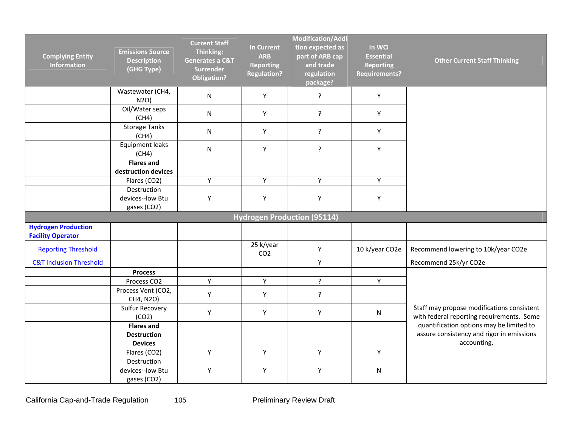| <b>Complying Entity</b><br><b>Information</b>          | <b>Emissions Source</b><br><b>Description</b><br>(GHG Type) | <b>Current Staff</b><br>Thinking:<br><b>Generates a C&amp;T</b><br><b>Surrender</b><br><b>Obligation?</b> | <b>In Current</b><br><b>ARB</b><br><b>Reporting</b><br><b>Regulation?</b> | Modification/Addi<br>tion expected as<br>part of ARB cap<br>and trade<br>regulation<br>package? | In WCI<br><b>Essential</b><br><b>Reporting</b><br><b>Requirements?</b> | <b>Other Current Staff Thinking</b>                                                                  |
|--------------------------------------------------------|-------------------------------------------------------------|-----------------------------------------------------------------------------------------------------------|---------------------------------------------------------------------------|-------------------------------------------------------------------------------------------------|------------------------------------------------------------------------|------------------------------------------------------------------------------------------------------|
|                                                        | Wastewater (CH4,<br>N2O                                     | $\mathsf{N}$                                                                                              | Y                                                                         | ?                                                                                               | $\mathsf Y$                                                            |                                                                                                      |
|                                                        | Oil/Water seps<br>(CH4)                                     | N                                                                                                         | Υ                                                                         | ?                                                                                               | Y                                                                      |                                                                                                      |
|                                                        | <b>Storage Tanks</b><br>(CH4)                               | N                                                                                                         | Υ                                                                         | $\tilde{.}$                                                                                     | Υ                                                                      |                                                                                                      |
|                                                        | Equipment leaks<br>(CH4)                                    | N                                                                                                         | Υ                                                                         | ?                                                                                               | Y                                                                      |                                                                                                      |
|                                                        | <b>Flares and</b><br>destruction devices                    |                                                                                                           |                                                                           |                                                                                                 |                                                                        |                                                                                                      |
|                                                        | Flares (CO2)                                                | Υ                                                                                                         | Y                                                                         | Υ                                                                                               | Y                                                                      |                                                                                                      |
|                                                        | Destruction<br>devices--low Btu<br>gases (CO2)              | Υ                                                                                                         | Y                                                                         | Υ                                                                                               | Υ                                                                      |                                                                                                      |
|                                                        |                                                             |                                                                                                           |                                                                           | <b>Hydrogen Production (95114)</b>                                                              |                                                                        |                                                                                                      |
| <b>Hydrogen Production</b><br><b>Facility Operator</b> |                                                             |                                                                                                           |                                                                           |                                                                                                 |                                                                        |                                                                                                      |
| <b>Reporting Threshold</b>                             |                                                             |                                                                                                           | 25 k/year<br>CO <sub>2</sub>                                              | Υ                                                                                               | 10 k/year CO2e                                                         | Recommend lowering to 10k/year CO2e                                                                  |
| <b>C&amp;T Inclusion Threshold</b>                     |                                                             |                                                                                                           |                                                                           | Y                                                                                               |                                                                        | Recommend 25k/yr CO2e                                                                                |
|                                                        | <b>Process</b>                                              |                                                                                                           |                                                                           |                                                                                                 |                                                                        |                                                                                                      |
|                                                        | Process CO2                                                 | Y                                                                                                         | Y                                                                         | $\tilde{.}$                                                                                     | Y                                                                      |                                                                                                      |
|                                                        | Process Vent (CO2,<br>CH4, N2O)                             | Υ                                                                                                         | Υ                                                                         | $\tilde{?}$                                                                                     |                                                                        |                                                                                                      |
|                                                        | Sulfur Recovery<br>(CO2)                                    | Υ                                                                                                         | Y                                                                         | Υ                                                                                               | ${\sf N}$                                                              | Staff may propose modifications consistent<br>with federal reporting requirements. Some              |
|                                                        | <b>Flares and</b><br><b>Destruction</b><br><b>Devices</b>   |                                                                                                           |                                                                           |                                                                                                 |                                                                        | quantification options may be limited to<br>assure consistency and rigor in emissions<br>accounting. |
|                                                        | Flares (CO2)                                                | Υ                                                                                                         | Y                                                                         | Y                                                                                               | Y                                                                      |                                                                                                      |
|                                                        | Destruction<br>devices--low Btu<br>gases (CO2)              | Υ                                                                                                         | Υ                                                                         | Υ                                                                                               | ${\sf N}$                                                              |                                                                                                      |

California Cap-and-Trade Regulation 105 Preliminary Review Draft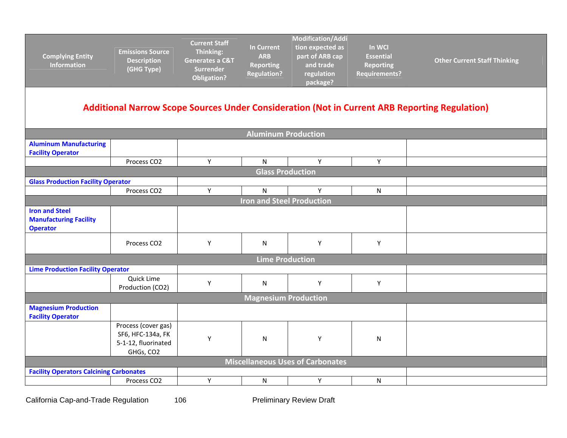| <b>Complying Entity</b><br><b>Information</b>                                                        | <b>Emissions Source</b><br><b>Description</b><br>(GHG Type)                  | <b>Current Staff</b><br>Thinking:<br><b>Generates a C&amp;T</b><br><b>Surrender</b><br><b>Obligation?</b> | <b>In Current</b><br><b>ARB</b><br><b>Reporting</b><br><b>Regulation?</b> | <b>Modification/Addi</b><br>tion expected as<br>part of ARB cap<br>and trade<br>regulation<br>package? | In WCI<br><b>Essential</b><br><b>Reporting</b><br><b>Requirements?</b> | <b>Other Current Staff Thinking</b> |  |  |  |
|------------------------------------------------------------------------------------------------------|------------------------------------------------------------------------------|-----------------------------------------------------------------------------------------------------------|---------------------------------------------------------------------------|--------------------------------------------------------------------------------------------------------|------------------------------------------------------------------------|-------------------------------------|--|--|--|
| <b>Additional Narrow Scope Sources Under Consideration (Not in Current ARB Reporting Regulation)</b> |                                                                              |                                                                                                           |                                                                           |                                                                                                        |                                                                        |                                     |  |  |  |
|                                                                                                      |                                                                              |                                                                                                           | <b>Aluminum Production</b>                                                |                                                                                                        |                                                                        |                                     |  |  |  |
| <b>Aluminum Manufacturing</b><br><b>Facility Operator</b>                                            |                                                                              |                                                                                                           |                                                                           |                                                                                                        |                                                                        |                                     |  |  |  |
|                                                                                                      | Process CO2                                                                  | Y                                                                                                         | $\mathsf{N}$                                                              | Υ                                                                                                      | Y                                                                      |                                     |  |  |  |
|                                                                                                      |                                                                              |                                                                                                           | <b>Glass Production</b>                                                   |                                                                                                        |                                                                        |                                     |  |  |  |
| <b>Glass Production Facility Operator</b>                                                            |                                                                              |                                                                                                           |                                                                           |                                                                                                        |                                                                        |                                     |  |  |  |
|                                                                                                      | Process CO2                                                                  | Y                                                                                                         | $\mathsf{N}$                                                              | Y                                                                                                      | N                                                                      |                                     |  |  |  |
|                                                                                                      |                                                                              |                                                                                                           | <b>Iron and Steel Production</b>                                          |                                                                                                        |                                                                        |                                     |  |  |  |
| <b>Iron and Steel</b><br><b>Manufacturing Facility</b><br><b>Operator</b>                            |                                                                              |                                                                                                           |                                                                           |                                                                                                        |                                                                        |                                     |  |  |  |
|                                                                                                      | Process CO <sub>2</sub>                                                      | Υ                                                                                                         | N                                                                         | Υ                                                                                                      | Υ                                                                      |                                     |  |  |  |
|                                                                                                      |                                                                              |                                                                                                           | <b>Lime Production</b>                                                    |                                                                                                        |                                                                        |                                     |  |  |  |
| <b>Lime Production Facility Operator</b>                                                             |                                                                              |                                                                                                           |                                                                           |                                                                                                        |                                                                        |                                     |  |  |  |
|                                                                                                      | Quick Lime<br>Production (CO2)                                               | Y                                                                                                         | $\mathsf{N}$                                                              | Y                                                                                                      | Y                                                                      |                                     |  |  |  |
|                                                                                                      |                                                                              |                                                                                                           | <b>Magnesium Production</b>                                               |                                                                                                        |                                                                        |                                     |  |  |  |
| <b>Magnesium Production</b><br><b>Facility Operator</b>                                              |                                                                              |                                                                                                           |                                                                           |                                                                                                        |                                                                        |                                     |  |  |  |
|                                                                                                      | Process (cover gas)<br>SF6, HFC-134a, FK<br>5-1-12, fluorinated<br>GHGs, CO2 | Y                                                                                                         | N                                                                         | Υ                                                                                                      | N                                                                      |                                     |  |  |  |
|                                                                                                      |                                                                              |                                                                                                           |                                                                           | Miscellaneous Uses of Carbonates                                                                       |                                                                        |                                     |  |  |  |
| <b>Facility Operators Calcining Carbonates</b>                                                       |                                                                              |                                                                                                           |                                                                           |                                                                                                        |                                                                        |                                     |  |  |  |
|                                                                                                      | Process CO2                                                                  | Υ                                                                                                         | $\mathsf{N}$                                                              | Υ                                                                                                      | ${\sf N}$                                                              |                                     |  |  |  |

California Cap-and-Trade Regulation 106 106 Preliminary Review Draft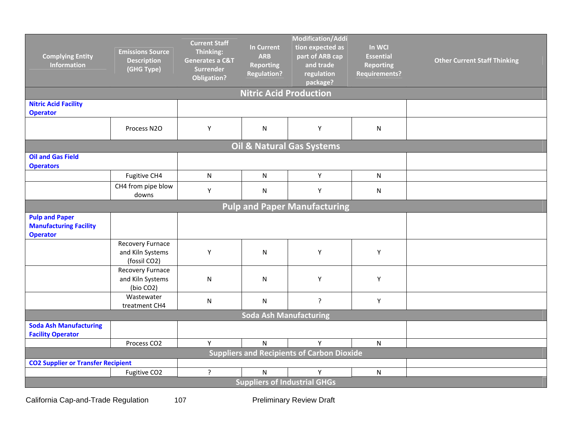| <b>Complying Entity</b><br><b>Information</b>                             | <b>Emissions Source</b><br><b>Description</b><br>(GHG Type) | <b>Current Staff</b><br>Thinking:<br>Generates a C&T<br><b>Surrender</b><br><b>Obligation?</b> | <b>In Current</b><br><b>ARB</b><br><b>Reporting</b><br><b>Regulation?</b> | Modification/Addi<br>tion expected as<br>part of ARB cap<br>and trade<br>regulation<br>package? | In WCI<br><b>Essential</b><br><b>Reporting</b><br><b>Requirements?</b> | <b>Other Current Staff Thinking</b> |  |  |
|---------------------------------------------------------------------------|-------------------------------------------------------------|------------------------------------------------------------------------------------------------|---------------------------------------------------------------------------|-------------------------------------------------------------------------------------------------|------------------------------------------------------------------------|-------------------------------------|--|--|
|                                                                           |                                                             |                                                                                                | <b>Nitric Acid Production</b>                                             |                                                                                                 |                                                                        |                                     |  |  |
| <b>Nitric Acid Facility</b><br><b>Operator</b>                            |                                                             |                                                                                                |                                                                           |                                                                                                 |                                                                        |                                     |  |  |
|                                                                           | Process N2O                                                 | Υ                                                                                              | N                                                                         | Υ                                                                                               | ${\sf N}$                                                              |                                     |  |  |
|                                                                           |                                                             |                                                                                                |                                                                           | Oil & Natural Gas Systems                                                                       |                                                                        |                                     |  |  |
| <b>Oil and Gas Field</b><br><b>Operators</b>                              |                                                             |                                                                                                |                                                                           |                                                                                                 |                                                                        |                                     |  |  |
|                                                                           | Fugitive CH4                                                | $\mathsf{N}$                                                                                   | N                                                                         | Y                                                                                               | N                                                                      |                                     |  |  |
|                                                                           | CH4 from pipe blow<br>downs                                 | Υ                                                                                              | N                                                                         | Υ                                                                                               | N                                                                      |                                     |  |  |
| <b>Pulp and Paper Manufacturing</b>                                       |                                                             |                                                                                                |                                                                           |                                                                                                 |                                                                        |                                     |  |  |
| <b>Pulp and Paper</b><br><b>Manufacturing Facility</b><br><b>Operator</b> |                                                             |                                                                                                |                                                                           |                                                                                                 |                                                                        |                                     |  |  |
|                                                                           | Recovery Furnace<br>and Kiln Systems<br>(fossil CO2)        | Υ                                                                                              | ${\sf N}$                                                                 | Υ                                                                                               | Y                                                                      |                                     |  |  |
|                                                                           | Recovery Furnace<br>and Kiln Systems<br>(bio CO2)           | ${\sf N}$                                                                                      | ${\sf N}$                                                                 | Υ                                                                                               | Υ                                                                      |                                     |  |  |
|                                                                           | Wastewater<br>treatment CH4                                 | ${\sf N}$                                                                                      | N                                                                         | ?                                                                                               | Υ                                                                      |                                     |  |  |
|                                                                           |                                                             |                                                                                                | <b>Soda Ash Manufacturing</b>                                             |                                                                                                 |                                                                        |                                     |  |  |
| <b>Soda Ash Manufacturing</b><br><b>Facility Operator</b>                 |                                                             |                                                                                                |                                                                           |                                                                                                 |                                                                        |                                     |  |  |
|                                                                           | Process CO <sub>2</sub>                                     | Y                                                                                              | $\mathsf{N}$                                                              | Y                                                                                               | $\mathsf{N}$                                                           |                                     |  |  |
| <b>CO2 Supplier or Transfer Recipient</b>                                 |                                                             |                                                                                                |                                                                           | <b>Suppliers and Recipients of Carbon Dioxide</b>                                               |                                                                        |                                     |  |  |
|                                                                           | Fugitive CO2                                                | $\overline{?}$                                                                                 | N                                                                         | Y                                                                                               | $\mathsf{N}$                                                           |                                     |  |  |
|                                                                           |                                                             |                                                                                                |                                                                           | <b>Suppliers of Industrial GHGs</b>                                                             |                                                                        |                                     |  |  |

California Cap-and-Trade Regulation 107 107 Preliminary Review Draft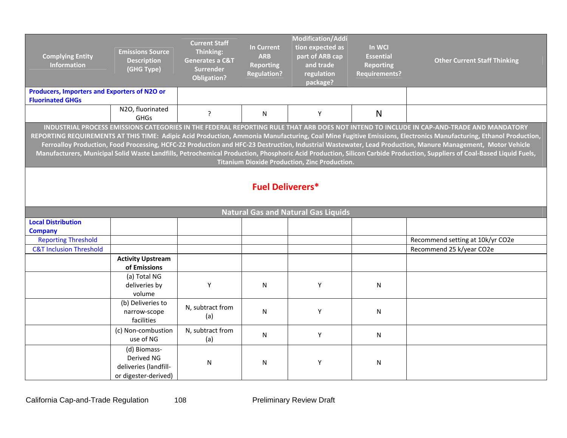| <b>Complying Entity</b><br><b>Information</b>                                                                                                                                                                                                                                                                                                                                                                                                                                                                                                                                                                                                                                                                  | <b>Emissions Source</b><br><b>Description</b><br>(GHG Type)                 | <b>Current Staff</b><br>Thinking:<br><b>Generates a C&amp;T</b><br><b>Surrender</b><br><b>Obligation?</b> | <b>In Current</b><br><b>ARB</b><br><b>Reporting</b><br><b>Regulation?</b> | <b>Modification/Addi</b><br>tion expected as<br>part of ARB cap<br>and trade<br>regulation<br>package? | In WCI<br><b>Essential</b><br><b>Reporting</b><br><b>Requirements?</b> | <b>Other Current Staff Thinking</b> |  |  |  |
|----------------------------------------------------------------------------------------------------------------------------------------------------------------------------------------------------------------------------------------------------------------------------------------------------------------------------------------------------------------------------------------------------------------------------------------------------------------------------------------------------------------------------------------------------------------------------------------------------------------------------------------------------------------------------------------------------------------|-----------------------------------------------------------------------------|-----------------------------------------------------------------------------------------------------------|---------------------------------------------------------------------------|--------------------------------------------------------------------------------------------------------|------------------------------------------------------------------------|-------------------------------------|--|--|--|
| Producers, Importers and Exporters of N2O or<br><b>Fluorinated GHGs</b>                                                                                                                                                                                                                                                                                                                                                                                                                                                                                                                                                                                                                                        |                                                                             |                                                                                                           |                                                                           |                                                                                                        |                                                                        |                                     |  |  |  |
|                                                                                                                                                                                                                                                                                                                                                                                                                                                                                                                                                                                                                                                                                                                | N2O, fluorinated<br><b>GHGs</b>                                             | ?                                                                                                         | N                                                                         | Y                                                                                                      | $\mathsf{N}$                                                           |                                     |  |  |  |
| INDUSTRIAL PROCESS EMISSIONS CATEGORIES IN THE FEDERAL REPORTING RULE THAT ARB DOES NOT INTEND TO INCLUDE IN CAP-AND-TRADE AND MANDATORY<br>REPORTING REQUIREMENTS AT THIS TIME: Adipic Acid Production, Ammonia Manufacturing, Coal Mine Fugitive Emissions, Electronics Manufacturing, Ethanol Production,<br>Ferroalloy Production, Food Processing, HCFC-22 Production and HFC-23 Destruction, Industrial Wastewater, Lead Production, Manure Management, Motor Vehicle<br>Manufacturers, Municipal Solid Waste Landfills, Petrochemical Production, Phosphoric Acid Production, Silicon Carbide Production, Suppliers of Coal-Based Liquid Fuels,<br><b>Titanium Dioxide Production, Zinc Production.</b> |                                                                             |                                                                                                           |                                                                           |                                                                                                        |                                                                        |                                     |  |  |  |
|                                                                                                                                                                                                                                                                                                                                                                                                                                                                                                                                                                                                                                                                                                                |                                                                             |                                                                                                           | <b>Fuel Deliverers*</b>                                                   |                                                                                                        |                                                                        |                                     |  |  |  |
|                                                                                                                                                                                                                                                                                                                                                                                                                                                                                                                                                                                                                                                                                                                |                                                                             |                                                                                                           |                                                                           | <b>Natural Gas and Natural Gas Liquids</b>                                                             |                                                                        |                                     |  |  |  |
| <b>Local Distribution</b>                                                                                                                                                                                                                                                                                                                                                                                                                                                                                                                                                                                                                                                                                      |                                                                             |                                                                                                           |                                                                           |                                                                                                        |                                                                        |                                     |  |  |  |
| <b>Company</b><br><b>Reporting Threshold</b>                                                                                                                                                                                                                                                                                                                                                                                                                                                                                                                                                                                                                                                                   |                                                                             |                                                                                                           |                                                                           |                                                                                                        |                                                                        | Recommend setting at 10k/yr CO2e    |  |  |  |
| <b>C&amp;T Inclusion Threshold</b>                                                                                                                                                                                                                                                                                                                                                                                                                                                                                                                                                                                                                                                                             |                                                                             |                                                                                                           |                                                                           |                                                                                                        |                                                                        | Recommend 25 k/year CO2e            |  |  |  |
|                                                                                                                                                                                                                                                                                                                                                                                                                                                                                                                                                                                                                                                                                                                | <b>Activity Upstream</b><br>of Emissions                                    |                                                                                                           |                                                                           |                                                                                                        |                                                                        |                                     |  |  |  |
|                                                                                                                                                                                                                                                                                                                                                                                                                                                                                                                                                                                                                                                                                                                | (a) Total NG<br>deliveries by<br>volume                                     | Υ                                                                                                         | N                                                                         | Υ                                                                                                      | N                                                                      |                                     |  |  |  |
|                                                                                                                                                                                                                                                                                                                                                                                                                                                                                                                                                                                                                                                                                                                | (b) Deliveries to<br>narrow-scope<br>facilities                             | N, subtract from<br>(a)                                                                                   | N                                                                         | Y                                                                                                      | N                                                                      |                                     |  |  |  |
|                                                                                                                                                                                                                                                                                                                                                                                                                                                                                                                                                                                                                                                                                                                | (c) Non-combustion<br>use of NG                                             | N, subtract from<br>(a)                                                                                   | N                                                                         | Y                                                                                                      | N                                                                      |                                     |  |  |  |
|                                                                                                                                                                                                                                                                                                                                                                                                                                                                                                                                                                                                                                                                                                                | (d) Biomass-<br>Derived NG<br>deliveries (landfill-<br>or digester-derived) | N                                                                                                         | ${\sf N}$                                                                 | Υ                                                                                                      | N                                                                      |                                     |  |  |  |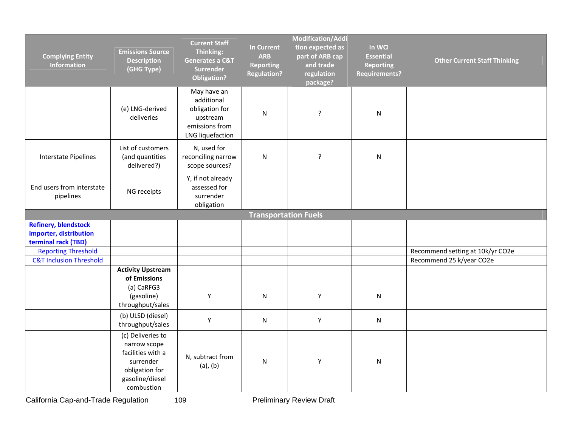| <b>Complying Entity</b><br><b>Information</b>                                | <b>Emissions Source</b><br><b>Description</b><br>(GHG Type)                                                            | <b>Current Staff</b><br>Thinking:<br><b>Generates a C&amp;T</b><br>Surrender<br><b>Obligation?</b> | <b>In Current</b><br><b>ARB</b><br><b>Reporting</b><br><b>Regulation?</b> | <b>Modification/Addi</b><br>tion expected as<br>part of ARB cap<br>and trade<br>regulation<br>package? | In WCI<br><b>Essential</b><br><b>Reporting</b><br><b>Requirements?</b> | <b>Other Current Staff Thinking</b> |
|------------------------------------------------------------------------------|------------------------------------------------------------------------------------------------------------------------|----------------------------------------------------------------------------------------------------|---------------------------------------------------------------------------|--------------------------------------------------------------------------------------------------------|------------------------------------------------------------------------|-------------------------------------|
|                                                                              | (e) LNG-derived<br>deliveries                                                                                          | May have an<br>additional<br>obligation for<br>upstream<br>emissions from<br>LNG liquefaction      | ${\sf N}$                                                                 | ?                                                                                                      | N                                                                      |                                     |
| Interstate Pipelines                                                         | List of customers<br>(and quantities<br>delivered?)                                                                    | N, used for<br>reconciling narrow<br>scope sources?                                                | ${\sf N}$                                                                 | ?                                                                                                      | N                                                                      |                                     |
| End users from interstate<br>pipelines                                       | NG receipts                                                                                                            | Y, if not already<br>assessed for<br>surrender<br>obligation                                       |                                                                           |                                                                                                        |                                                                        |                                     |
|                                                                              |                                                                                                                        |                                                                                                    | <b>Transportation Fuels</b>                                               |                                                                                                        |                                                                        |                                     |
| <b>Refinery, blendstock</b><br>importer, distribution<br>terminal rack (TBD) |                                                                                                                        |                                                                                                    |                                                                           |                                                                                                        |                                                                        |                                     |
| <b>Reporting Threshold</b>                                                   |                                                                                                                        |                                                                                                    |                                                                           |                                                                                                        |                                                                        | Recommend setting at 10k/yr CO2e    |
| <b>C&amp;T Inclusion Threshold</b>                                           |                                                                                                                        |                                                                                                    |                                                                           |                                                                                                        |                                                                        | Recommend 25 k/year CO2e            |
|                                                                              | <b>Activity Upstream</b><br>of Emissions                                                                               |                                                                                                    |                                                                           |                                                                                                        |                                                                        |                                     |
|                                                                              | (a) CaRFG3<br>(gasoline)<br>throughput/sales                                                                           | Υ                                                                                                  | N                                                                         | Υ                                                                                                      | N                                                                      |                                     |
|                                                                              | (b) ULSD (diesel)<br>throughput/sales                                                                                  | Υ                                                                                                  | ${\sf N}$                                                                 | Υ                                                                                                      | N                                                                      |                                     |
|                                                                              | (c) Deliveries to<br>narrow scope<br>facilities with a<br>surrender<br>obligation for<br>gasoline/diesel<br>combustion | N, subtract from<br>$(a)$ , $(b)$                                                                  | ${\sf N}$                                                                 | Υ                                                                                                      | ${\sf N}$                                                              |                                     |

California Cap-and-Trade Regulation 109 109 Preliminary Review Draft